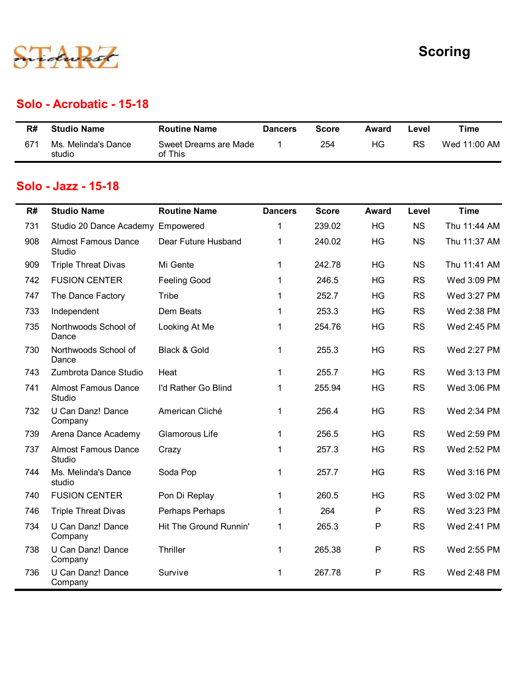

#### Solo - Acrobatic - 15-18

|     |                               |                                  |                |              |       |           | <b>Scoring</b> |
|-----|-------------------------------|----------------------------------|----------------|--------------|-------|-----------|----------------|
|     |                               |                                  |                |              |       |           |                |
|     |                               |                                  |                |              |       |           |                |
|     | Solo - Acrobatic - 15-18      |                                  |                |              |       |           |                |
| R#  | <b>Studio Name</b>            | <b>Routine Name</b>              | <b>Dancers</b> | <b>Score</b> | Award | Level     | <b>Time</b>    |
| 671 | Ms. Melinda's Dance<br>studio | Sweet Dreams are Made<br>of This | $\mathbf 1$    | 254          | HG    | <b>RS</b> | Wed 11:00 AM   |
|     |                               |                                  |                |              |       |           |                |
|     | Solo - Jazz - 15-18           |                                  |                |              |       |           |                |

#### Solo - Jazz - 15-18

|     |                                      |                                  |                      |              |              |           | <b>Scoring</b> |
|-----|--------------------------------------|----------------------------------|----------------------|--------------|--------------|-----------|----------------|
|     | <b>Solo - Acrobatic - 15-18</b>      |                                  |                      |              |              |           |                |
| R#  | <b>Studio Name</b>                   | <b>Routine Name</b>              | <b>Dancers</b>       | <b>Score</b> | Award        | Level     | <b>Time</b>    |
| 671 | Ms. Melinda's Dance<br>studio        | Sweet Dreams are Made<br>of This |                      | 254          | HG           | <b>RS</b> | Wed 11:00 AM   |
|     | Solo - Jazz - 15-18                  |                                  |                      |              |              |           |                |
| R#  | <b>Studio Name</b>                   | <b>Routine Name</b>              | <b>Dancers</b>       | <b>Score</b> | <b>Award</b> | Level     | <b>Time</b>    |
| 731 | Studio 20 Dance Academy Empowered    |                                  | 1                    | 239.02       | HG           | <b>NS</b> | Thu 11:44 AM   |
| 908 | <b>Almost Famous Dance</b><br>Studio | Dear Future Husband              | 1                    | 240.02       | HG           | <b>NS</b> | Thu 11:37 AM   |
| 909 | <b>Triple Threat Divas</b>           | Mi Gente                         | $\mathbf{1}$         | 242.78       | HG           | <b>NS</b> | Thu 11:41 AM   |
| 742 | <b>FUSION CENTER</b>                 | <b>Feeling Good</b>              | 1                    | 246.5        | HG           | <b>RS</b> | Wed 3:09 PM    |
| 747 | The Dance Factory                    | Tribe                            | 1                    | 252.7        | HG           | <b>RS</b> | Wed 3:27 PM    |
| 733 | Independent                          | Dem Beats                        | 1                    | 253.3        | HG           | <b>RS</b> | Wed 2:38 PM    |
| 735 | Northwoods School of<br>Dance        | Looking At Me                    | 1                    | 254.76       | HG           | <b>RS</b> | Wed 2:45 PM    |
| 730 | Northwoods School of<br>Dance        | Black & Gold                     |                      | 255.3        | HG           | <b>RS</b> | Wed 2:27 PM    |
| 743 | Zumbrota Dance Studio                | Heat                             | $\blacktriangleleft$ | 255.7        | HG           | <b>RS</b> | Wed 3:13 PM    |
| 741 | <b>Almost Famous Dance</b><br>Studio | I'd Rather Go Blind              | $\mathbf{1}$         | 255.94       | HG           | <b>RS</b> | Wed 3:06 PM    |
| 732 | U Can Danz! Dance<br>Company         | American Cliché                  | $\mathbf{1}$         | 256.4        | HG           | <b>RS</b> | Wed 2:34 PM    |
| 739 | Arena Dance Academy                  | Glamorous Life                   | $\mathbf{1}$         | 256.5        | HG           | <b>RS</b> | Wed 2:59 PM    |
| 737 | <b>Almost Famous Dance</b><br>Studio | Crazy                            | $\mathbf 1$          | 257.3        | HG           | <b>RS</b> | Wed 2:52 PM    |
| 744 | Ms. Melinda's Dance<br>studio        | Soda Pop                         | $\mathbf{1}$         | 257.7        | HG           | <b>RS</b> | Wed 3:16 PM    |
| 740 | <b>FUSION CENTER</b>                 | Pon Di Replay                    | 1                    | 260.5        | HG           | <b>RS</b> | Wed 3:02 PM    |
| 746 | <b>Triple Threat Divas</b>           | Perhaps Perhaps                  | 1                    | 264          | P            | <b>RS</b> | Wed 3:23 PM    |
| 734 | U Can Danz! Dance<br>Company         | Hit The Ground Runnin'           | $\mathbf{1}$         | 265.3        | P            | <b>RS</b> | Wed 2:41 PM    |
| 738 | U Can Danz! Dance<br>Company         | Thriller                         | $\mathbf{1}$         | 265.38       | ${\sf P}$    | <b>RS</b> | Wed 2:55 PM    |
| 736 | U Can Danz! Dance<br>Company         | Survive                          | $\mathbf{1}$         | 267.78       | $\mathsf{P}$ | <b>RS</b> | Wed 2:48 PM    |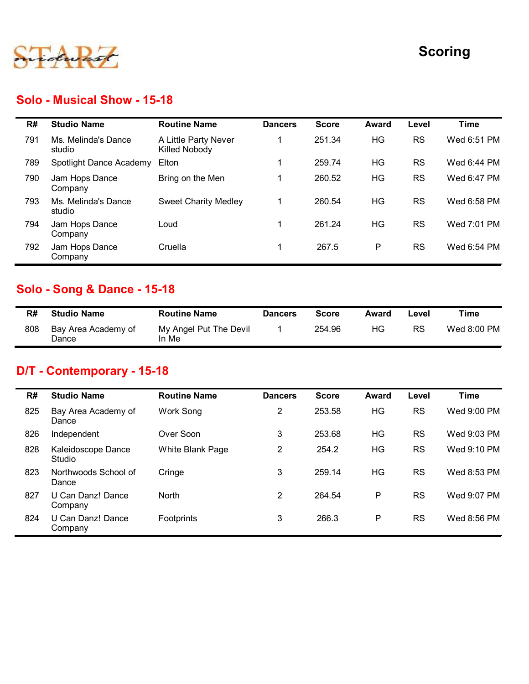

#### Solo - Musical Show - 15-18

|     |                                        |                                       |                |              |              |           | <b>Scoring</b> |
|-----|----------------------------------------|---------------------------------------|----------------|--------------|--------------|-----------|----------------|
|     | <b>Solo - Musical Show - 15-18</b>     |                                       |                |              |              |           |                |
| R#  | <b>Studio Name</b>                     | <b>Routine Name</b>                   | <b>Dancers</b> | <b>Score</b> | <b>Award</b> | Level     | <b>Time</b>    |
| 791 | Ms. Melinda's Dance<br>studio          | A Little Party Never<br>Killed Nobody | $\mathbf 1$    | 251.34       | HG           | <b>RS</b> | Wed 6:51 PM    |
| 789 | Spotlight Dance Academy                | Elton                                 | $\mathbf 1$    | 259.74       | <b>HG</b>    | <b>RS</b> | Wed 6:44 PM    |
| 790 | Jam Hops Dance<br>Company              | Bring on the Men                      | $\mathbf 1$    | 260.52       | <b>HG</b>    | <b>RS</b> | Wed 6:47 PM    |
| 793 | Ms. Melinda's Dance<br>studio          | <b>Sweet Charity Medley</b>           | $\mathbf{1}$   | 260.54       | HG           | <b>RS</b> | Wed 6:58 PM    |
| 794 | Jam Hops Dance<br>Company              | Loud                                  | $\mathbf 1$    | 261.24       | HG           | <b>RS</b> | Wed 7:01 PM    |
| 792 | Jam Hops Dance<br>Company              | Cruella                               | $\mathbf 1$    | 267.5        | P            | <b>RS</b> | Wed 6:54 PM    |
|     | <b>Solo - Song &amp; Dance - 15-18</b> |                                       |                |              |              |           |                |
| R#  | <b>Studio Name</b>                     | <b>Routine Name</b>                   | <b>Dancers</b> | <b>Score</b> | <b>Award</b> | Level     | <b>Time</b>    |
| 808 | Bay Area Academy of<br>Dance           | My Angel Put The Devil<br>In Me       | $\mathbf{1}$   | 254.96       | HG           | <b>RS</b> | Wed 8:00 PM    |

## Solo - Song & Dance - 15-18

| R#  | <b>Studio Name</b>           | <b>Routine Name</b>             | <b>Dancers</b> | Score  | Award | Level | Time        |
|-----|------------------------------|---------------------------------|----------------|--------|-------|-------|-------------|
| 808 | Bay Area Academy of<br>Dance | My Angel Put The Devil<br>In Me |                | 254.96 | ΗG    | RS    | Wed 8:00 PM |

## D/T - Contemporary - 15-18

|     | Company                                |                             |                |              |              |           |             |
|-----|----------------------------------------|-----------------------------|----------------|--------------|--------------|-----------|-------------|
| 793 | Ms. Melinda's Dance<br>studio          | <b>Sweet Charity Medley</b> | $\mathbf{1}$   | 260.54       | HG           | <b>RS</b> | Wed 6:58 PM |
| 794 | Jam Hops Dance<br>Company              | Loud                        | $\mathbf{1}$   | 261.24       | HG           | <b>RS</b> | Wed 7:01 PM |
| 792 | Jam Hops Dance<br>Company              | Cruella                     | $\mathbf{1}$   | 267.5        | $\mathsf{P}$ | RS        | Wed 6:54 PM |
|     | <b>Solo - Song &amp; Dance - 15-18</b> |                             |                |              |              |           |             |
| R#  | <b>Studio Name</b>                     | <b>Routine Name</b>         | <b>Dancers</b> | <b>Score</b> | <b>Award</b> | Level     | <b>Time</b> |
| 808 | Bay Area Academy of                    | My Angel Put The Devil      | 1              | 254.96       | <b>HG</b>    | <b>RS</b> | Wed 8:00 PM |
|     | Dance<br>D/T - Contemporary - 15-18    | In Me                       |                |              |              |           |             |
|     |                                        |                             |                |              |              |           |             |
| R#  | <b>Studio Name</b>                     | <b>Routine Name</b>         | <b>Dancers</b> | <b>Score</b> | <b>Award</b> | Level     | <b>Time</b> |
| 825 | Bay Area Academy of<br>Dance           | Work Song                   | $\overline{2}$ | 253.58       | HG           | <b>RS</b> | Wed 9:00 PM |
| 826 | Independent                            | Over Soon                   | $\mathfrak{S}$ | 253.68       | HG           | <b>RS</b> | Wed 9:03 PM |
| 828 | Kaleidoscope Dance<br>Studio           | White Blank Page            | $\overline{2}$ | 254.2        | HG           | <b>RS</b> | Wed 9:10 PM |
| 823 | Northwoods School of<br>Dance          | Cringe                      | 3              | 259.14       | HG           | <b>RS</b> | Wed 8:53 PM |
| 827 | U Can Danz! Dance<br>Company           | North                       | $\overline{2}$ | 264.54       | $\mathsf P$  | RS        | Wed 9:07 PM |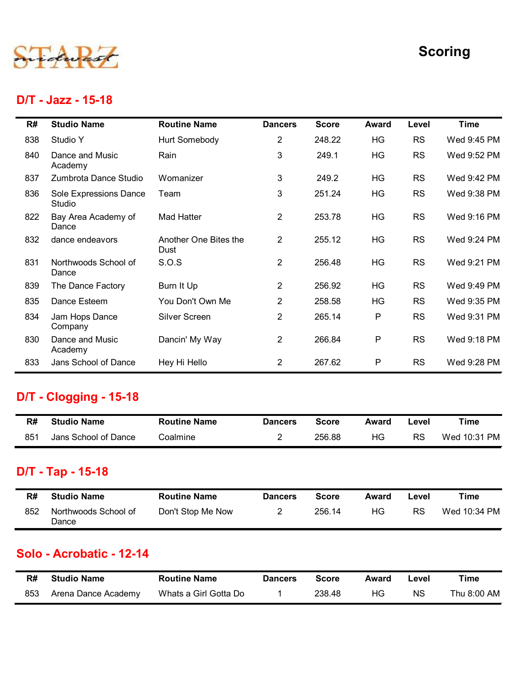

#### D/T - Jazz - 15-18

|                                  |                                                                                                                                                                                                                         |                                                                                                                                          |                                                                                                                       |                                                                              |                                                 | <b>Scoring</b>                                                                                                    |
|----------------------------------|-------------------------------------------------------------------------------------------------------------------------------------------------------------------------------------------------------------------------|------------------------------------------------------------------------------------------------------------------------------------------|-----------------------------------------------------------------------------------------------------------------------|------------------------------------------------------------------------------|-------------------------------------------------|-------------------------------------------------------------------------------------------------------------------|
|                                  |                                                                                                                                                                                                                         |                                                                                                                                          |                                                                                                                       |                                                                              |                                                 |                                                                                                                   |
| <b>Studio Name</b>               | <b>Routine Name</b>                                                                                                                                                                                                     | <b>Dancers</b>                                                                                                                           | <b>Score</b>                                                                                                          | <b>Award</b>                                                                 | Level                                           | <b>Time</b>                                                                                                       |
| Studio Y                         | Hurt Somebody                                                                                                                                                                                                           | $\overline{c}$                                                                                                                           | 248.22                                                                                                                | HG                                                                           | <b>RS</b>                                       | Wed 9:45 PM                                                                                                       |
| Dance and Music<br>Academy       | Rain                                                                                                                                                                                                                    | 3                                                                                                                                        | 249.1                                                                                                                 | HG                                                                           | <b>RS</b>                                       | Wed 9:52 PM                                                                                                       |
| Zumbrota Dance Studio            | Womanizer                                                                                                                                                                                                               | 3                                                                                                                                        | 249.2                                                                                                                 |                                                                              |                                                 | Wed 9:42 PM                                                                                                       |
| Sole Expressions Dance<br>Studio | Team                                                                                                                                                                                                                    | 3                                                                                                                                        | 251.24                                                                                                                | HG                                                                           | <b>RS</b>                                       | Wed 9:38 PM                                                                                                       |
| Dance                            |                                                                                                                                                                                                                         |                                                                                                                                          |                                                                                                                       |                                                                              |                                                 | Wed 9:16 PM                                                                                                       |
|                                  | Dust                                                                                                                                                                                                                    |                                                                                                                                          |                                                                                                                       |                                                                              |                                                 | Wed 9:24 PM                                                                                                       |
| Dance                            |                                                                                                                                                                                                                         |                                                                                                                                          |                                                                                                                       |                                                                              |                                                 | Wed 9:21 PM                                                                                                       |
|                                  |                                                                                                                                                                                                                         |                                                                                                                                          |                                                                                                                       |                                                                              |                                                 | Wed 9:49 PM                                                                                                       |
|                                  |                                                                                                                                                                                                                         |                                                                                                                                          |                                                                                                                       |                                                                              |                                                 | Wed 9:35 PM                                                                                                       |
| Company                          |                                                                                                                                                                                                                         | $\overline{2}$                                                                                                                           |                                                                                                                       |                                                                              |                                                 | Wed 9:31 PM                                                                                                       |
| Academy                          |                                                                                                                                                                                                                         |                                                                                                                                          |                                                                                                                       |                                                                              |                                                 | Wed 9:18 PM                                                                                                       |
|                                  |                                                                                                                                                                                                                         |                                                                                                                                          |                                                                                                                       |                                                                              |                                                 | Wed 9:28 PM                                                                                                       |
|                                  |                                                                                                                                                                                                                         |                                                                                                                                          |                                                                                                                       |                                                                              |                                                 |                                                                                                                   |
| <b>Studio Name</b>               | <b>Routine Name</b>                                                                                                                                                                                                     | <b>Dancers</b>                                                                                                                           | <b>Score</b>                                                                                                          | <b>Award</b>                                                                 | Level                                           | <b>Time</b>                                                                                                       |
|                                  |                                                                                                                                                                                                                         |                                                                                                                                          |                                                                                                                       |                                                                              |                                                 |                                                                                                                   |
|                                  | D/T - Jazz - 15-18<br>Bay Area Academy of<br>dance endeavors<br>Northwoods School of<br>The Dance Factory<br>Dance Esteem<br>Jam Hops Dance<br>Dance and Music<br>Jans School of Dance<br><b>D/T - Clogging - 15-18</b> | <b>Mad Hatter</b><br>Another One Bites the<br>S.O.S<br>Burn It Up<br>You Don't Own Me<br>Silver Screen<br>Dancin' My Way<br>Hey Hi Hello | $\overline{2}$<br>$2^{\circ}$<br>$\overline{2}$<br>$\overline{a}$<br>$\overline{2}$<br>$\overline{2}$<br>$\mathbf{2}$ | 253.78<br>255.12<br>256.48<br>256.92<br>258.58<br>265.14<br>266.84<br>267.62 | HG<br>HG<br>HG<br>HG<br>HG<br>HG<br>P<br>P<br>P | <b>RS</b><br><b>RS</b><br><b>RS</b><br><b>RS</b><br><b>RS</b><br><b>RS</b><br><b>RS</b><br><b>RS</b><br><b>RS</b> |

#### D/T - Clogging - 15-18

| R#  | <b>Studio Name</b>   | <b>Routine Name</b> | <b>Dancers</b> | Score  | Award | -evel | Time         |
|-----|----------------------|---------------------|----------------|--------|-------|-------|--------------|
| 851 | Jans School of Dance | Coalmine            |                | 256.88 | ΗG    | RS    | Wed 10:31 PM |

## D/T - Tap - 15-18

| 833 | .<br>Jans School of Dance     | Hey Hi Hello        | $\mathbf{2}^{\prime}$ | 267.62       | P            | <b>RS</b> | Wed 9:28 PM  |
|-----|-------------------------------|---------------------|-----------------------|--------------|--------------|-----------|--------------|
|     | <b>D/T - Clogging - 15-18</b> |                     |                       |              |              |           |              |
| R#  | <b>Studio Name</b>            | <b>Routine Name</b> | <b>Dancers</b>        | <b>Score</b> | <b>Award</b> | Level     | <b>Time</b>  |
| 851 | Jans School of Dance          | Coalmine            | $\overline{2}$        | 256.88       | HG           | <b>RS</b> | Wed 10:31 PM |
|     | D/T - Tap - 15-18             |                     |                       |              |              |           |              |
| R#  | <b>Studio Name</b>            | <b>Routine Name</b> | <b>Dancers</b>        | <b>Score</b> | <b>Award</b> | Level     | <b>Time</b>  |
| 852 | Northwoods School of<br>Dance | Don't Stop Me Now   | $\overline{2}$        | 256.14       | HG           | <b>RS</b> | Wed 10:34 PM |
|     | Solo - Acrobatic - 12-14      |                     |                       |              |              |           |              |
|     |                               |                     |                       |              |              |           |              |
| R#  | <b>Studio Name</b>            | <b>Routine Name</b> | <b>Dancers</b>        | <b>Score</b> | <b>Award</b> | Level     | <b>Time</b>  |

#### Solo - Acrobatic - 12-14

| R#  | <b>Studio Name</b>  | <b>Routine Name</b>   | <b>Dancers</b> | Score  | Award | ∟evel     | Time        |
|-----|---------------------|-----------------------|----------------|--------|-------|-----------|-------------|
| 853 | Arena Dance Academy | Whats a Girl Gotta Do |                | 238.48 | HG.   | <b>NS</b> | Thu 8:00 AM |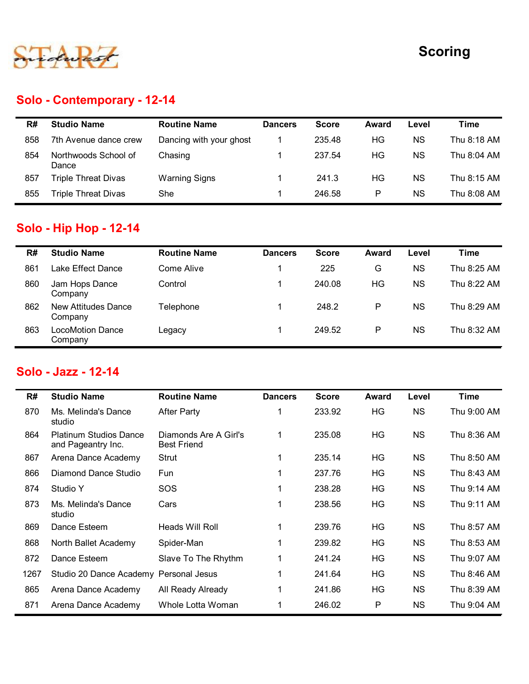

## Solo - Contemporary - 12-14

|     |                               |                         |                |              |              |           | <b>Scoring</b> |
|-----|-------------------------------|-------------------------|----------------|--------------|--------------|-----------|----------------|
|     |                               |                         |                |              |              |           |                |
|     |                               |                         |                |              |              |           |                |
|     | Solo - Contemporary - 12-14   |                         |                |              |              |           |                |
| R#  | <b>Studio Name</b>            | <b>Routine Name</b>     | <b>Dancers</b> | <b>Score</b> | Award        | Level     | <b>Time</b>    |
| 858 | 7th Avenue dance crew         | Dancing with your ghost | $\mathbf{1}$   | 235.48       | HG           | <b>NS</b> | Thu 8:18 AM    |
| 854 | Northwoods School of<br>Dance | Chasing                 | $\mathbf{1}$   | 237.54       | HG           | <b>NS</b> | Thu 8:04 AM    |
| 857 | <b>Triple Threat Divas</b>    | <b>Warning Signs</b>    | $\mathbf{1}$   | 241.3        | HG           | <b>NS</b> | Thu 8:15 AM    |
| 855 | <b>Triple Threat Divas</b>    | She                     | $\mathbf{1}$   | 246.58       | $\sf P$      | <b>NS</b> | Thu 8:08 AM    |
|     |                               |                         |                |              |              |           |                |
|     | <b>Solo - Hip Hop - 12-14</b> |                         |                |              |              |           |                |
| R#  | <b>Studio Name</b>            | <b>Routine Name</b>     | <b>Dancers</b> | <b>Score</b> | <b>Award</b> | Level     | <b>Time</b>    |
|     | Lake Effect Dance             | Come Alive              | $\mathbf{1}$   | 225          | G            | <b>NS</b> | Thu 8:25 AM    |
| 861 |                               |                         |                |              |              |           |                |
| 860 | Jam Hops Dance<br>Company     | Control                 | $\mathbf{1}$   | 240.08       | HG           | <b>NS</b> | Thu 8:22 AM    |

# Solo - Hip Hop - 12-14

|     | Solo - Contemporary - 12-14                         |                                             |                |              |              |           |             |
|-----|-----------------------------------------------------|---------------------------------------------|----------------|--------------|--------------|-----------|-------------|
| R#  | <b>Studio Name</b>                                  | <b>Routine Name</b>                         | <b>Dancers</b> | <b>Score</b> | Award        | Level     | <b>Time</b> |
| 858 | 7th Avenue dance crew                               | Dancing with your ghost                     | -1             | 235.48       | <b>HG</b>    | <b>NS</b> | Thu 8:18 AM |
| 854 | Northwoods School of<br>Dance                       | Chasing                                     | 1              | 237.54       | HG           | <b>NS</b> | Thu 8:04 AM |
| 857 | <b>Triple Threat Divas</b>                          | <b>Warning Signs</b>                        | 1              | 241.3        | HG           | <b>NS</b> | Thu 8:15 AM |
| 855 | <b>Triple Threat Divas</b>                          | She                                         | -1             | 246.58       | P            | <b>NS</b> | Thu 8:08 AM |
|     | Solo - Hip Hop - 12-14                              |                                             |                |              |              |           |             |
| R#  | <b>Studio Name</b>                                  | <b>Routine Name</b>                         | <b>Dancers</b> | <b>Score</b> | Award        | Level     | <b>Time</b> |
| 861 | Lake Effect Dance                                   | <b>Come Alive</b>                           |                | 225          | G            | <b>NS</b> | Thu 8:25 AM |
| 860 | Jam Hops Dance<br>Company                           | Control                                     | 1              | 240.08       | HG           | <b>NS</b> | Thu 8:22 AM |
| 862 | <b>New Attitudes Dance</b><br>Company               | Telephone                                   | 1              | 248.2        | P            | <b>NS</b> | Thu 8:29 AM |
| 863 | <b>LocoMotion Dance</b><br>Company                  | Legacy                                      | -1             | 249.52       | P            | <b>NS</b> | Thu 8:32 AM |
|     | Solo - Jazz - 12-14                                 |                                             |                |              |              |           |             |
| R#  | <b>Studio Name</b>                                  | <b>Routine Name</b>                         | <b>Dancers</b> | <b>Score</b> | <b>Award</b> | Level     | <b>Time</b> |
| 870 | Ms. Melinda's Dance<br>studio                       | <b>After Party</b>                          | 1              | 233.92       | HG           | <b>NS</b> | Thu 9:00 AM |
| 864 | <b>Platinum Studios Dance</b><br>and Pageantry Inc. | Diamonds Are A Girl's<br><b>Best Friend</b> | $\mathbf{1}$   | 235.08       | <b>HG</b>    | <b>NS</b> | Thu 8:36 AM |
| 867 | Arena Dance Academy                                 | Strut                                       | -1             | 235.14       | HG           | <b>NS</b> | Thu 8:50 AM |
|     |                                                     |                                             |                |              |              |           |             |

#### Solo - Jazz - 12-14

| R#   | <b>Studio Name</b>                                  | <b>Routine Name</b>                         | <b>Dancers</b> | <b>Score</b> | Award        | Level     | <b>Time</b> |
|------|-----------------------------------------------------|---------------------------------------------|----------------|--------------|--------------|-----------|-------------|
| 861  | Lake Effect Dance                                   | Come Alive                                  | $\mathbf 1$    | 225          | G            | <b>NS</b> | Thu 8:25 AM |
| 860  | Jam Hops Dance<br>Company                           | Control                                     | $\mathbf{1}$   | 240.08       | HG           | <b>NS</b> | Thu 8:22 AM |
| 862  | <b>New Attitudes Dance</b><br>Company               | Telephone                                   | $\mathbf{1}$   | 248.2        | $\mathsf{P}$ | <b>NS</b> | Thu 8:29 AM |
| 863  | <b>LocoMotion Dance</b><br>Company                  | Legacy                                      | $\mathbf{1}$   | 249.52       | $\mathsf{P}$ | <b>NS</b> | Thu 8:32 AM |
|      | Solo - Jazz - 12-14                                 |                                             |                |              |              |           |             |
| R#   | <b>Studio Name</b>                                  | <b>Routine Name</b>                         | <b>Dancers</b> | <b>Score</b> | Award        | Level     | <b>Time</b> |
| 870  | Ms. Melinda's Dance<br>studio                       | <b>After Party</b>                          | $\mathbf 1$    | 233.92       | HG           | <b>NS</b> | Thu 9:00 AM |
| 864  | <b>Platinum Studios Dance</b><br>and Pageantry Inc. | Diamonds Are A Girl's<br><b>Best Friend</b> | $\mathbf{1}$   | 235.08       | <b>HG</b>    | <b>NS</b> | Thu 8:36 AM |
| 867  | Arena Dance Academy                                 | Strut                                       | $\mathbf{1}$   | 235.14       | HG           | <b>NS</b> | Thu 8:50 AM |
| 866  | Diamond Dance Studio                                | Fun                                         | $\mathbf{1}$   | 237.76       | HG           | <b>NS</b> | Thu 8:43 AM |
| 874  | Studio Y                                            | SOS                                         | $\mathbf{1}$   | 238.28       | HG           | <b>NS</b> | Thu 9:14 AM |
| 873  | Ms. Melinda's Dance<br>studio                       | Cars                                        | $\mathbf{1}$   | 238.56       | HG           | <b>NS</b> | Thu 9:11 AM |
| 869  | Dance Esteem                                        | Heads Will Roll                             | $\mathbf{1}$   | 239.76       | HG           | <b>NS</b> | Thu 8:57 AM |
| 868  | North Ballet Academy                                | Spider-Man                                  | $\mathbf{1}$   | 239.82       | HG           | <b>NS</b> | Thu 8:53 AM |
| 872  | Dance Esteem                                        | Slave To The Rhythm                         | $\mathbf{1}$   | 241.24       | <b>HG</b>    | <b>NS</b> | Thu 9:07 AM |
|      | Studio 20 Dance Academy                             | Personal Jesus                              | $\mathbf{1}$   | 241.64       | HG           | <b>NS</b> | Thu 8:46 AM |
| 1267 | Arena Dance Academy                                 | All Ready Already                           | $\mathbf{1}$   | 241.86       | HG           | <b>NS</b> | Thu 8:39 AM |
| 865  |                                                     |                                             |                |              | $\mathsf{P}$ | <b>NS</b> | Thu 9:04 AM |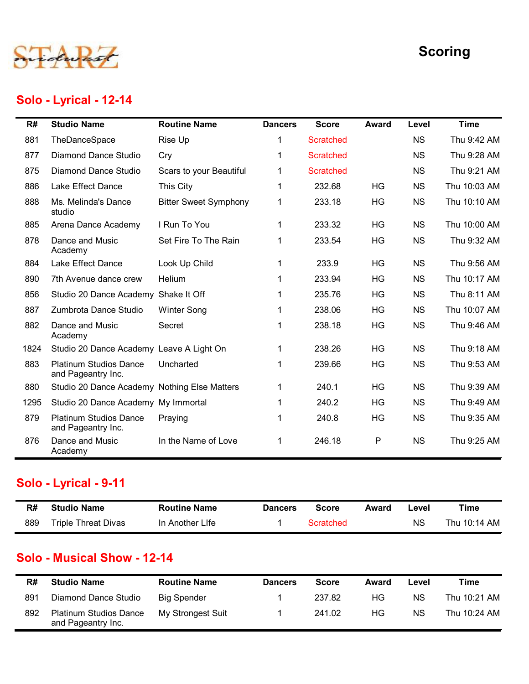

## Solo - Lyrical - 12-14

|      |                                                     |                              |                |                  |              |           | <b>Scoring</b> |
|------|-----------------------------------------------------|------------------------------|----------------|------------------|--------------|-----------|----------------|
|      | Solo - Lyrical - 12-14                              |                              |                |                  |              |           |                |
| R#   | <b>Studio Name</b>                                  | <b>Routine Name</b>          | <b>Dancers</b> | <b>Score</b>     | <b>Award</b> | Level     | <b>Time</b>    |
| 881  | TheDanceSpace                                       | Rise Up                      | 1              | <b>Scratched</b> |              | <b>NS</b> | Thu 9:42 AM    |
| 877  | <b>Diamond Dance Studio</b>                         | Cry                          | 1              | <b>Scratched</b> |              | <b>NS</b> | Thu 9:28 AM    |
| 875  | <b>Diamond Dance Studio</b>                         | Scars to your Beautiful      | $\mathbf 1$    | <b>Scratched</b> |              | <b>NS</b> | Thu 9:21 AM    |
| 886  | Lake Effect Dance                                   | This City                    | 1              | 232.68           | HG           | <b>NS</b> | Thu 10:03 AM   |
| 888  | Ms. Melinda's Dance<br>studio                       | <b>Bitter Sweet Symphony</b> | $\mathbf 1$    | 233.18           | HG           | <b>NS</b> | Thu 10:10 AM   |
| 885  | Arena Dance Academy                                 | I Run To You                 | 1              | 233.32           | <b>HG</b>    | <b>NS</b> | Thu 10:00 AM   |
| 878  | Dance and Music<br>Academy                          | Set Fire To The Rain         | 1              | 233.54           | HG           | <b>NS</b> | Thu 9:32 AM    |
| 884  | Lake Effect Dance                                   | Look Up Child                |                | 233.9            | HG           | <b>NS</b> | Thu 9:56 AM    |
| 890  | 7th Avenue dance crew                               | Helium                       |                | 233.94           | HG           | <b>NS</b> | Thu 10:17 AM   |
| 856  | Studio 20 Dance Academy Shake It Off                |                              |                | 235.76           | HG           | <b>NS</b> | Thu 8:11 AM    |
| 887  | Zumbrota Dance Studio                               | <b>Winter Song</b>           |                | 238.06           | HG           | <b>NS</b> | Thu 10:07 AM   |
| 882  | Dance and Music<br>Academy                          | Secret                       |                | 238.18           | HG           | <b>NS</b> | Thu 9:46 AM    |
| 1824 | Studio 20 Dance Academy Leave A Light On            |                              |                | 238.26           | HG           | <b>NS</b> | Thu 9:18 AM    |
| 883  | <b>Platinum Studios Dance</b><br>and Pageantry Inc. | Uncharted                    | 1              | 239.66           | HG           | <b>NS</b> | Thu 9:53 AM    |
| 880  | Studio 20 Dance Academy Nothing Else Matters        |                              | 1              | 240.1            | HG           | <b>NS</b> | Thu 9:39 AM    |
| 1295 | Studio 20 Dance Academy My Immortal                 |                              |                | 240.2            | HG           | <b>NS</b> | Thu 9:49 AM    |
| 879  | <b>Platinum Studios Dance</b><br>and Pageantry Inc. | Praying                      |                | 240.8            | HG           | <b>NS</b> | Thu 9:35 AM    |
| 876  | Dance and Music<br>Academy                          | In the Name of Love          | 1              | 246.18           | P            | <b>NS</b> | Thu 9:25 AM    |
|      | Solo - Lyrical - 9-11                               |                              |                |                  |              |           |                |
| R#   | <b>Studio Name</b>                                  | <b>Routine Name</b>          | <b>Dancers</b> | <b>Score</b>     | Award        | Level     | <b>Time</b>    |
| 889  | <b>Triple Threat Divas</b>                          | In Another Life              | 1              | <b>Scratched</b> |              | <b>NS</b> | Thu 10:14 AM   |
|      | <b>Solo - Musical Show - 12-14</b>                  |                              |                |                  |              |           |                |
| R#   | <b>Studio Name</b>                                  | <b>Routine Name</b>          | <b>Dancers</b> | <b>Score</b>     | <b>Award</b> | Level     | <b>Time</b>    |
| 891  | <b>Diamond Dance Studio</b>                         | <b>Big Spender</b>           | 1              | 237.82           | HG           | <b>NS</b> | Thu 10:21 AM   |
| 892  | <b>Platinum Studios Dance</b><br>and Pageantry Inc. | My Strongest Suit            | 1              | 241.02           | HG           | <b>NS</b> | Thu 10:24 AM   |

# Solo - Lyrical - 9-11

| R#  | <b>Studio Name</b>         | <b>Routine Name</b> | <b>Dancers</b> | Score     | Award | _evel     | Time         |
|-----|----------------------------|---------------------|----------------|-----------|-------|-----------|--------------|
| 889 | <b>Triple Threat Divas</b> | In Another LIfe     |                | Scratched |       | <b>NS</b> | Thu 10:14 AM |

#### Solo - Musical Show - 12-14

| R#  | <b>Studio Name</b>                                  | <b>Routine Name</b> | <b>Dancers</b> | <b>Score</b> | Award | Level     | Time         |
|-----|-----------------------------------------------------|---------------------|----------------|--------------|-------|-----------|--------------|
| 891 | Diamond Dance Studio                                | <b>Big Spender</b>  |                | 237.82       | ΗG    | <b>NS</b> | Thu 10:21 AM |
| 892 | <b>Platinum Studios Dance</b><br>and Pageantry Inc. | My Strongest Suit   |                | 241.02       | ΗG    | <b>NS</b> | Thu 10:24 AM |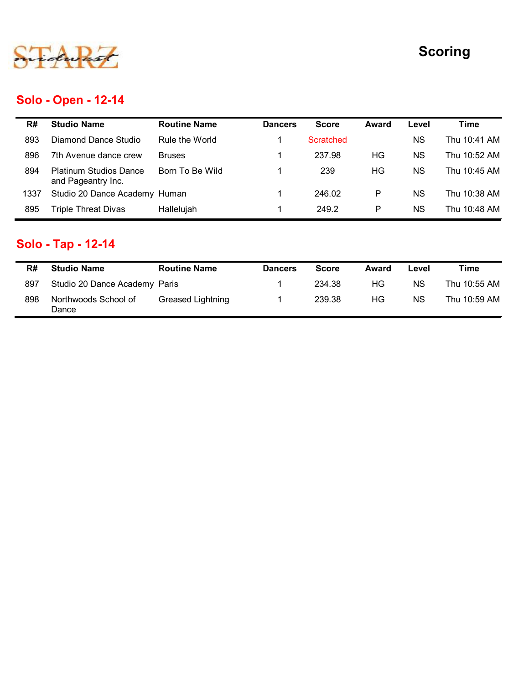

# Solo - Open - 12-14

|      |                                                     |                     |                |                  |              |           | <b>Scoring</b> |
|------|-----------------------------------------------------|---------------------|----------------|------------------|--------------|-----------|----------------|
|      | <b>Solo - Open - 12-14</b>                          |                     |                |                  |              |           |                |
| R#   | <b>Studio Name</b>                                  | <b>Routine Name</b> | <b>Dancers</b> | <b>Score</b>     | <b>Award</b> | Level     | <b>Time</b>    |
| 893  | <b>Diamond Dance Studio</b>                         | Rule the World      | 1              | <b>Scratched</b> |              | <b>NS</b> | Thu 10:41 AM   |
| 896  | 7th Avenue dance crew                               | <b>Bruses</b>       | 1              | 237.98           | HG           | <b>NS</b> | Thu 10:52 AM   |
| 894  | <b>Platinum Studios Dance</b><br>and Pageantry Inc. | Born To Be Wild     | $\mathbf{1}$   | 239              | HG           | <b>NS</b> | Thu 10:45 AM   |
|      |                                                     |                     | 1              | 246.02           | ${\sf P}$    | <b>NS</b> | Thu 10:38 AM   |
| 1337 | Studio 20 Dance Academy Human                       |                     |                |                  |              |           |                |
| 895  | <b>Triple Threat Divas</b>                          | Hallelujah          | $\mathbf 1$    | 249.2            | ${\sf P}$    | <b>NS</b> | Thu 10:48 AM   |
|      | Solo - Tap - 12-14                                  |                     |                |                  |              |           |                |
| R#   | <b>Studio Name</b>                                  | <b>Routine Name</b> | <b>Dancers</b> | <b>Score</b>     | <b>Award</b> | Level     | <b>Time</b>    |
| 897  | Studio 20 Dance Academy Paris                       |                     | -1             | 234.38           | HG           | <b>NS</b> | Thu 10:55 AM   |

# Solo - Tap - 12-14

| R#  | <b>Studio Name</b>            | <b>Routine Name</b> | <b>Dancers</b> | <b>Score</b> | Award | Level     | Time         |
|-----|-------------------------------|---------------------|----------------|--------------|-------|-----------|--------------|
| 897 | Studio 20 Dance Academy Paris |                     |                | 234.38       | ΗG    | ΝS        | Thu 10:55 AM |
| 898 | Northwoods School of<br>Dance | Greased Lightning   |                | 239.38       | НG    | <b>NS</b> | Thu 10:59 AM |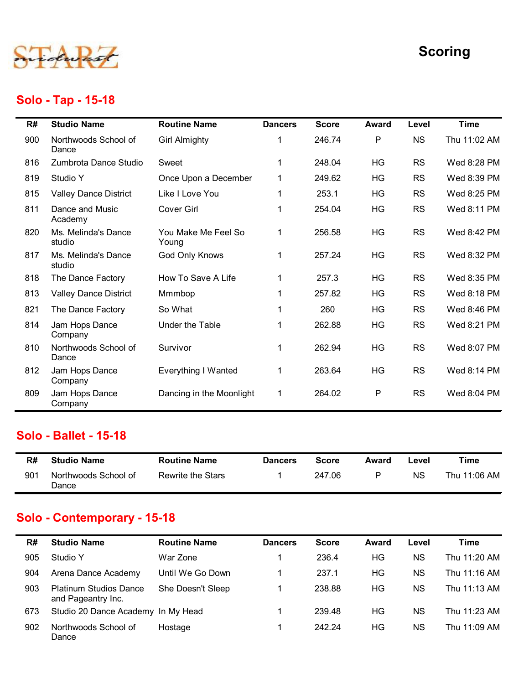

## Solo - Tap - 15-18

|                                                                                                                                                                                                                                                                                                                                                                                                                                  |                                                                                                     |                                                                             |                                                     |                                                          | <b>Scoring</b>                                            |
|----------------------------------------------------------------------------------------------------------------------------------------------------------------------------------------------------------------------------------------------------------------------------------------------------------------------------------------------------------------------------------------------------------------------------------|-----------------------------------------------------------------------------------------------------|-----------------------------------------------------------------------------|-----------------------------------------------------|----------------------------------------------------------|-----------------------------------------------------------|
|                                                                                                                                                                                                                                                                                                                                                                                                                                  |                                                                                                     |                                                                             |                                                     |                                                          | <b>Time</b>                                               |
| <b>Girl Almighty</b>                                                                                                                                                                                                                                                                                                                                                                                                             |                                                                                                     | 246.74                                                                      | P                                                   | <b>NS</b>                                                | Thu 11:02 AM                                              |
|                                                                                                                                                                                                                                                                                                                                                                                                                                  |                                                                                                     |                                                                             |                                                     |                                                          | Wed 8:28 PM                                               |
|                                                                                                                                                                                                                                                                                                                                                                                                                                  |                                                                                                     |                                                                             |                                                     |                                                          | Wed 8:39 PM                                               |
|                                                                                                                                                                                                                                                                                                                                                                                                                                  |                                                                                                     |                                                                             |                                                     |                                                          | Wed 8:25 PM                                               |
| <b>Cover Girl</b>                                                                                                                                                                                                                                                                                                                                                                                                                | 1                                                                                                   | 254.04                                                                      | HG                                                  | <b>RS</b>                                                | Wed 8:11 PM                                               |
| You Make Me Feel So<br>Young                                                                                                                                                                                                                                                                                                                                                                                                     | $\mathbf 1$                                                                                         | 256.58                                                                      | HG                                                  | <b>RS</b>                                                | Wed 8:42 PM                                               |
| God Only Knows                                                                                                                                                                                                                                                                                                                                                                                                                   |                                                                                                     | 257.24                                                                      | HG                                                  | <b>RS</b>                                                | Wed 8:32 PM                                               |
| How To Save A Life                                                                                                                                                                                                                                                                                                                                                                                                               |                                                                                                     | 257.3                                                                       | HG                                                  | <b>RS</b>                                                | Wed 8:35 PM                                               |
| Mmmbop                                                                                                                                                                                                                                                                                                                                                                                                                           |                                                                                                     | 257.82                                                                      | HG                                                  | <b>RS</b>                                                | Wed 8:18 PM                                               |
| So What                                                                                                                                                                                                                                                                                                                                                                                                                          |                                                                                                     | 260                                                                         | HG                                                  | <b>RS</b>                                                | Wed 8:46 PM                                               |
| Under the Table                                                                                                                                                                                                                                                                                                                                                                                                                  |                                                                                                     | 262.88                                                                      | HG                                                  | <b>RS</b>                                                | Wed 8:21 PM                                               |
| Survivor                                                                                                                                                                                                                                                                                                                                                                                                                         |                                                                                                     | 262.94                                                                      | HG                                                  | <b>RS</b>                                                | Wed 8:07 PM                                               |
| <b>Everything I Wanted</b>                                                                                                                                                                                                                                                                                                                                                                                                       | $\mathbf 1$                                                                                         | 263.64                                                                      | HG                                                  | <b>RS</b>                                                | Wed 8:14 PM                                               |
|                                                                                                                                                                                                                                                                                                                                                                                                                                  |                                                                                                     |                                                                             |                                                     |                                                          | Wed 8:04 PM                                               |
|                                                                                                                                                                                                                                                                                                                                                                                                                                  |                                                                                                     |                                                                             |                                                     |                                                          |                                                           |
| <b>Routine Name</b>                                                                                                                                                                                                                                                                                                                                                                                                              | <b>Dancers</b>                                                                                      | <b>Score</b>                                                                | <b>Award</b>                                        | Level                                                    | <b>Time</b>                                               |
| <b>Rewrite the Stars</b>                                                                                                                                                                                                                                                                                                                                                                                                         |                                                                                                     | 247.06                                                                      | P                                                   | <b>NS</b>                                                | Thu 11:06 AM                                              |
| Solo - Tap - 15-18<br><b>Studio Name</b><br>Northwoods School of<br>Zumbrota Dance Studio<br><b>Valley Dance District</b><br>Dance and Music<br>Ms. Melinda's Dance<br>Ms. Melinda's Dance<br>The Dance Factory<br><b>Valley Dance District</b><br>The Dance Factory<br>Jam Hops Dance<br>Northwoods School of<br>Jam Hops Dance<br>Jam Hops Dance<br><b>Solo - Ballet - 15-18</b><br><b>Studio Name</b><br>Northwoods School of | <b>Routine Name</b><br>Sweet<br>Once Upon a December<br>Like I Love You<br>Dancing in the Moonlight | <b>Dancers</b><br>$\mathbf 1$<br>$\mathbf 1$<br>$\mathbf 1$<br>$\mathbf{1}$ | <b>Score</b><br>248.04<br>249.62<br>253.1<br>264.02 | <b>Award</b><br><b>HG</b><br><b>HG</b><br><b>HG</b><br>P | Level<br><b>RS</b><br><b>RS</b><br><b>RS</b><br><b>RS</b> |

#### Solo - Ballet - 15-18

| R#  | <b>Studio Name</b>            | <b>Routine Name</b> | <b>Dancers</b> | <b>Score</b> | Award | _evel | Time         |
|-----|-------------------------------|---------------------|----------------|--------------|-------|-------|--------------|
| 901 | Northwoods School of<br>Dance | Rewrite the Stars   |                | 247.06       | D     | ΝS    | Thu 11:06 AM |

## Solo - Contemporary - 15-18

| HG<br>Northwoods School of<br>810<br>$\mathbf{1}$<br>262.94<br>Survivor<br>Dance<br>Jam Hops Dance<br>HG<br><b>Everything I Wanted</b><br>$\mathbf{1}$<br>263.64<br>812<br>Company<br>P<br>Jam Hops Dance<br>$\mathbf{1}$<br>264.02<br>809<br>Dancing in the Moonlight<br>Company<br>Solo - Ballet - 15-18<br><b>Studio Name</b><br><b>Routine Name</b><br><b>Score</b><br>R#<br><b>Dancers</b><br>Award<br>247.06<br>$\mathsf{P}$<br>Northwoods School of<br>Rewrite the Stars<br>901<br>1<br>Dance<br>Solo - Contemporary - 15-18<br><b>Studio Name</b><br><b>Routine Name</b><br><b>Score</b><br>R#<br><b>Dancers</b><br>Award<br>War Zone<br>236.4<br><b>HG</b> | <b>RS</b><br>RS<br>RS<br>Level<br><b>NS</b> | Wed 8:07 PM<br>Wed 8:14 PM<br>Wed 8:04 PM<br><b>Time</b><br>Thu 11:06 AM |
|---------------------------------------------------------------------------------------------------------------------------------------------------------------------------------------------------------------------------------------------------------------------------------------------------------------------------------------------------------------------------------------------------------------------------------------------------------------------------------------------------------------------------------------------------------------------------------------------------------------------------------------------------------------------|---------------------------------------------|--------------------------------------------------------------------------|
|                                                                                                                                                                                                                                                                                                                                                                                                                                                                                                                                                                                                                                                                     |                                             |                                                                          |
|                                                                                                                                                                                                                                                                                                                                                                                                                                                                                                                                                                                                                                                                     |                                             |                                                                          |
|                                                                                                                                                                                                                                                                                                                                                                                                                                                                                                                                                                                                                                                                     |                                             |                                                                          |
|                                                                                                                                                                                                                                                                                                                                                                                                                                                                                                                                                                                                                                                                     |                                             |                                                                          |
|                                                                                                                                                                                                                                                                                                                                                                                                                                                                                                                                                                                                                                                                     |                                             |                                                                          |
|                                                                                                                                                                                                                                                                                                                                                                                                                                                                                                                                                                                                                                                                     |                                             |                                                                          |
|                                                                                                                                                                                                                                                                                                                                                                                                                                                                                                                                                                                                                                                                     | Level                                       | <b>Time</b>                                                              |
| 905<br>Studio Y<br>$\mathbf 1$                                                                                                                                                                                                                                                                                                                                                                                                                                                                                                                                                                                                                                      | <b>NS</b>                                   | Thu 11:20 AM                                                             |
| 237.1<br>HG<br>Arena Dance Academy<br>Until We Go Down<br>904<br>$\mathbf 1$                                                                                                                                                                                                                                                                                                                                                                                                                                                                                                                                                                                        | <b>NS</b>                                   | Thu 11:16 AM                                                             |
| HG<br>903<br><b>Platinum Studios Dance</b><br>She Doesn't Sleep<br>238.88<br>$\mathbf{1}$<br>and Pageantry Inc.                                                                                                                                                                                                                                                                                                                                                                                                                                                                                                                                                     | <b>NS</b>                                   | Thu 11:13 AM                                                             |
| 239.48<br>HG<br>Studio 20 Dance Academy In My Head<br>673<br>$\mathbf 1$                                                                                                                                                                                                                                                                                                                                                                                                                                                                                                                                                                                            | <b>NS</b>                                   | Thu 11:23 AM                                                             |
| 242.24<br>HG<br>Northwoods School of<br>$\mathbf{1}$<br>902<br>Hostage<br>Dance                                                                                                                                                                                                                                                                                                                                                                                                                                                                                                                                                                                     | <b>NS</b>                                   | Thu 11:09 AM                                                             |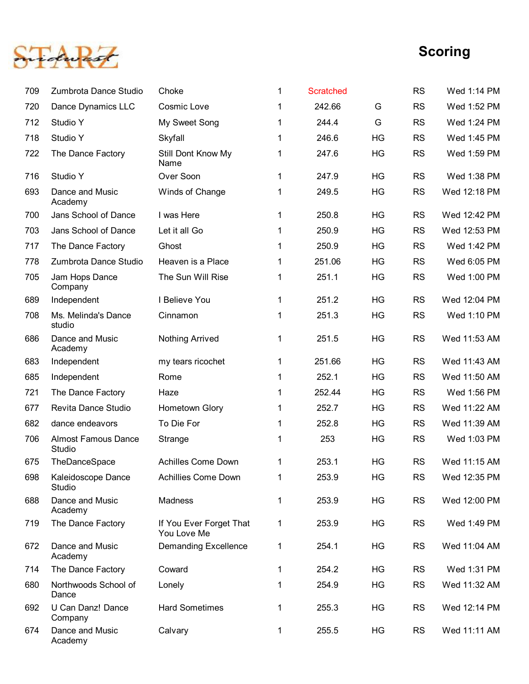

|     |                                      |                                        |              |                  |    |           | <b>Scoring</b> |
|-----|--------------------------------------|----------------------------------------|--------------|------------------|----|-----------|----------------|
|     |                                      |                                        |              |                  |    |           |                |
| 709 | Zumbrota Dance Studio                | Choke                                  | $\mathbf{1}$ | <b>Scratched</b> |    | <b>RS</b> | Wed 1:14 PM    |
| 720 | Dance Dynamics LLC                   | Cosmic Love                            | $\mathbf{1}$ | 242.66           | G  | <b>RS</b> | Wed 1:52 PM    |
| 712 | Studio Y                             | My Sweet Song                          | 1            | 244.4            | G  | <b>RS</b> | Wed 1:24 PM    |
| 718 | Studio Y                             | Skyfall                                | $\mathbf{1}$ | 246.6            | HG | <b>RS</b> | Wed 1:45 PM    |
| 722 | The Dance Factory                    | Still Dont Know My<br>Name             | $\mathbf{1}$ | 247.6            | HG | <b>RS</b> | Wed 1:59 PM    |
| 716 | Studio Y                             | Over Soon                              | $\mathbf{1}$ | 247.9            | HG | <b>RS</b> | Wed 1:38 PM    |
| 693 | Dance and Music<br>Academy           | Winds of Change                        | $\mathbf{1}$ | 249.5            | HG | <b>RS</b> | Wed 12:18 PM   |
| 700 | Jans School of Dance                 | I was Here                             | $\mathbf 1$  | 250.8            | HG | <b>RS</b> | Wed 12:42 PM   |
| 703 | Jans School of Dance                 | Let it all Go                          | $\mathbf 1$  | 250.9            | HG | <b>RS</b> | Wed 12:53 PM   |
| 717 | The Dance Factory                    | Ghost                                  | 1            | 250.9            | HG | <b>RS</b> | Wed 1:42 PM    |
| 778 | Zumbrota Dance Studio                | Heaven is a Place                      | 1            | 251.06           | HG | <b>RS</b> | Wed 6:05 PM    |
| 705 | Jam Hops Dance<br>Company            | The Sun Will Rise                      | 1            | 251.1            | HG | <b>RS</b> | Wed 1:00 PM    |
| 689 | Independent                          | I Believe You                          | $\mathbf{1}$ | 251.2            | HG | <b>RS</b> | Wed 12:04 PM   |
| 708 | Ms. Melinda's Dance<br>studio        | Cinnamon                               | $\mathbf{1}$ | 251.3            | HG | <b>RS</b> | Wed 1:10 PM    |
| 686 | Dance and Music<br>Academy           | <b>Nothing Arrived</b>                 | $\mathbf{1}$ | 251.5            | HG | <b>RS</b> | Wed 11:53 AM   |
| 683 | Independent                          | my tears ricochet                      | $\mathbf{1}$ | 251.66           | HG | <b>RS</b> | Wed 11:43 AM   |
| 685 | Independent                          | Rome                                   | $\mathbf 1$  | 252.1            | HG | <b>RS</b> | Wed 11:50 AM   |
| 721 | The Dance Factory                    | Haze                                   | $\mathbf{1}$ | 252.44           | HG | <b>RS</b> | Wed 1:56 PM    |
| 677 | Revita Dance Studio                  | Hometown Glory                         | $\mathbf 1$  | 252.7            | HG | <b>RS</b> | Wed 11:22 AM   |
| 682 | dance endeavors                      | To Die For                             | $\mathbf 1$  | 252.8            | HG | <b>RS</b> | Wed 11:39 AM   |
| 706 | <b>Almost Famous Dance</b><br>Studio | Strange                                | $\mathbf{1}$ | 253              | HG | <b>RS</b> | Wed 1:03 PM    |
| 675 | TheDanceSpace                        | <b>Achilles Come Down</b>              | $\mathbf{1}$ | 253.1            | HG | <b>RS</b> | Wed 11:15 AM   |
| 698 | Kaleidoscope Dance<br>Studio         | <b>Achillies Come Down</b>             | $\mathbf{1}$ | 253.9            | HG | <b>RS</b> | Wed 12:35 PM   |
| 688 | Dance and Music<br>Academy           | Madness                                | $\mathbf 1$  | 253.9            | HG | <b>RS</b> | Wed 12:00 PM   |
| 719 | The Dance Factory                    | If You Ever Forget That<br>You Love Me | $\mathbf{1}$ | 253.9            | HG | <b>RS</b> | Wed 1:49 PM    |
| 672 | Dance and Music<br>Academy           | <b>Demanding Excellence</b>            | $\mathbf{1}$ | 254.1            | HG | <b>RS</b> | Wed 11:04 AM   |
| 714 | The Dance Factory                    | Coward                                 | $\mathbf{1}$ | 254.2            | HG | <b>RS</b> | Wed 1:31 PM    |
| 680 | Northwoods School of<br>Dance        | Lonely                                 | $\mathbf{1}$ | 254.9            | HG | <b>RS</b> | Wed 11:32 AM   |
| 692 | U Can Danz! Dance<br>Company         | <b>Hard Sometimes</b>                  | $\mathbf 1$  | 255.3            | HG | <b>RS</b> | Wed 12:14 PM   |
| 674 | Dance and Music<br>Academy           | Calvary                                | $\mathbf 1$  | 255.5            | HG | <b>RS</b> | Wed 11:11 AM   |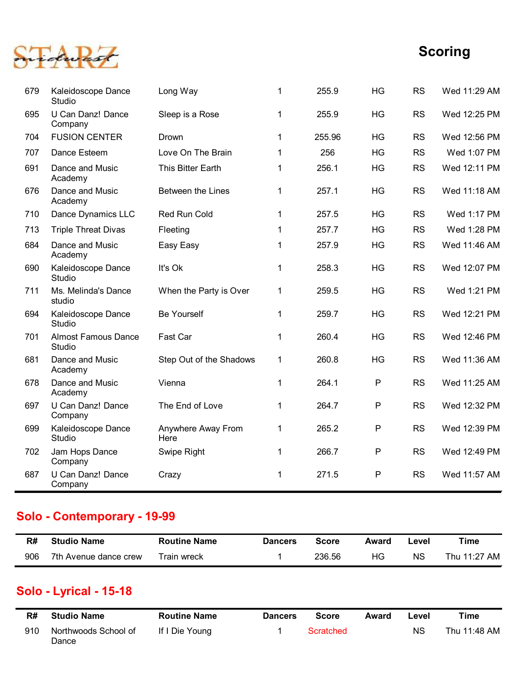

| Kaleidoscope Dance<br>It's Ok<br>258.3<br>HG<br><b>RS</b><br>Wed 12:07 PM<br>690<br>1<br>Studio<br>Wed 1:21 PM<br>Ms. Melinda's Dance<br>When the Party is Over<br>259.5<br>HG<br><b>RS</b><br>711<br>$\mathbf{1}$<br>studio<br>Kaleidoscope Dance<br><b>Be Yourself</b><br>259.7<br>HG<br><b>RS</b><br>Wed 12:21 PM<br>694<br>1<br>Studio<br><b>Almost Famous Dance</b><br>Fast Car<br>260.4<br>HG<br><b>RS</b><br>Wed 12:46 PM<br>701<br>1<br>Studio<br>Dance and Music<br>Step Out of the Shadows<br>260.8<br>HG<br><b>RS</b><br>Wed 11:36 AM<br>681<br>$\mathbf 1$<br>Academy<br>264.1<br>P<br><b>RS</b><br>678<br>Dance and Music<br>Wed 11:25 AM<br>Vienna<br>1<br>Academy<br>U Can Danz! Dance<br>P<br><b>RS</b><br>The End of Love<br>264.7<br>Wed 12:32 PM<br>697<br>1<br>Company<br>Kaleidoscope Dance<br>P<br>Anywhere Away From<br>265.2<br><b>RS</b><br>Wed 12:39 PM<br>699<br>$\mathbf{1}$<br>Studio<br>Here<br>$\mathsf{P}$<br>Jam Hops Dance<br>266.7<br><b>RS</b><br>Wed 12:49 PM<br>702<br>Swipe Right<br>$\mathbf 1$<br>Company<br>U Can Danz! Dance<br>${\sf P}$<br>Wed 11:57 AM<br>271.5<br><b>RS</b><br>687<br>Crazy<br>1<br>Company<br><b>Routine Name</b><br><b>Time</b><br><b>Studio Name</b><br><b>Score</b><br>R#<br><b>Dancers</b><br>Award<br>Level<br>HG<br>Thu 11:27 AM<br>236.56<br><b>NS</b><br>906<br>7th Avenue dance crew<br>Train wreck<br>1 | <b>FUSION CENTER</b><br>255.96<br><b>HG</b><br><b>RS</b><br>704<br>Drown<br>1<br>256<br>Dance Esteem<br>Love On The Brain<br><b>HG</b><br><b>RS</b><br>707<br>1<br>Dance and Music<br>This Bitter Earth<br>256.1<br><b>HG</b><br><b>RS</b><br>691<br>$\mathbf 1$<br>Academy<br>257.1<br>HG<br><b>RS</b><br>Dance and Music<br>Between the Lines<br>676<br>$\mathbf{1}$<br>Academy<br>257.5<br><b>HG</b><br><b>RS</b><br>Dance Dynamics LLC<br>Red Run Cold<br>710<br>$\mathbf 1$<br>HG<br><b>Triple Threat Divas</b><br>257.7<br><b>RS</b><br>713<br>Fleeting<br>1<br><b>HG</b><br><b>RS</b><br>257.9<br>684<br>Dance and Music<br>Easy Easy<br>Academy<br>Solo - Contemporary - 19-99<br>Solo - Lyrical - 15-18 | Studio<br>U Can Danz! Dance<br>Sleep is a Rose<br>255.9<br>HG<br><b>RS</b><br>695<br>1<br>Company<br>Wed 1:17 PM<br>Wed 1:28 PM |
|-----------------------------------------------------------------------------------------------------------------------------------------------------------------------------------------------------------------------------------------------------------------------------------------------------------------------------------------------------------------------------------------------------------------------------------------------------------------------------------------------------------------------------------------------------------------------------------------------------------------------------------------------------------------------------------------------------------------------------------------------------------------------------------------------------------------------------------------------------------------------------------------------------------------------------------------------------------------------------------------------------------------------------------------------------------------------------------------------------------------------------------------------------------------------------------------------------------------------------------------------------------------------------------------------------------------------------------------------------------------------------------|------------------------------------------------------------------------------------------------------------------------------------------------------------------------------------------------------------------------------------------------------------------------------------------------------------------------------------------------------------------------------------------------------------------------------------------------------------------------------------------------------------------------------------------------------------------------------------------------------------------------------------------------------------------------------------------------------------------|---------------------------------------------------------------------------------------------------------------------------------|
|                                                                                                                                                                                                                                                                                                                                                                                                                                                                                                                                                                                                                                                                                                                                                                                                                                                                                                                                                                                                                                                                                                                                                                                                                                                                                                                                                                                   |                                                                                                                                                                                                                                                                                                                                                                                                                                                                                                                                                                                                                                                                                                                  |                                                                                                                                 |
|                                                                                                                                                                                                                                                                                                                                                                                                                                                                                                                                                                                                                                                                                                                                                                                                                                                                                                                                                                                                                                                                                                                                                                                                                                                                                                                                                                                   |                                                                                                                                                                                                                                                                                                                                                                                                                                                                                                                                                                                                                                                                                                                  |                                                                                                                                 |
|                                                                                                                                                                                                                                                                                                                                                                                                                                                                                                                                                                                                                                                                                                                                                                                                                                                                                                                                                                                                                                                                                                                                                                                                                                                                                                                                                                                   |                                                                                                                                                                                                                                                                                                                                                                                                                                                                                                                                                                                                                                                                                                                  |                                                                                                                                 |
|                                                                                                                                                                                                                                                                                                                                                                                                                                                                                                                                                                                                                                                                                                                                                                                                                                                                                                                                                                                                                                                                                                                                                                                                                                                                                                                                                                                   |                                                                                                                                                                                                                                                                                                                                                                                                                                                                                                                                                                                                                                                                                                                  |                                                                                                                                 |
|                                                                                                                                                                                                                                                                                                                                                                                                                                                                                                                                                                                                                                                                                                                                                                                                                                                                                                                                                                                                                                                                                                                                                                                                                                                                                                                                                                                   |                                                                                                                                                                                                                                                                                                                                                                                                                                                                                                                                                                                                                                                                                                                  |                                                                                                                                 |
|                                                                                                                                                                                                                                                                                                                                                                                                                                                                                                                                                                                                                                                                                                                                                                                                                                                                                                                                                                                                                                                                                                                                                                                                                                                                                                                                                                                   |                                                                                                                                                                                                                                                                                                                                                                                                                                                                                                                                                                                                                                                                                                                  |                                                                                                                                 |
|                                                                                                                                                                                                                                                                                                                                                                                                                                                                                                                                                                                                                                                                                                                                                                                                                                                                                                                                                                                                                                                                                                                                                                                                                                                                                                                                                                                   |                                                                                                                                                                                                                                                                                                                                                                                                                                                                                                                                                                                                                                                                                                                  |                                                                                                                                 |
|                                                                                                                                                                                                                                                                                                                                                                                                                                                                                                                                                                                                                                                                                                                                                                                                                                                                                                                                                                                                                                                                                                                                                                                                                                                                                                                                                                                   |                                                                                                                                                                                                                                                                                                                                                                                                                                                                                                                                                                                                                                                                                                                  |                                                                                                                                 |
|                                                                                                                                                                                                                                                                                                                                                                                                                                                                                                                                                                                                                                                                                                                                                                                                                                                                                                                                                                                                                                                                                                                                                                                                                                                                                                                                                                                   |                                                                                                                                                                                                                                                                                                                                                                                                                                                                                                                                                                                                                                                                                                                  |                                                                                                                                 |
|                                                                                                                                                                                                                                                                                                                                                                                                                                                                                                                                                                                                                                                                                                                                                                                                                                                                                                                                                                                                                                                                                                                                                                                                                                                                                                                                                                                   |                                                                                                                                                                                                                                                                                                                                                                                                                                                                                                                                                                                                                                                                                                                  |                                                                                                                                 |
|                                                                                                                                                                                                                                                                                                                                                                                                                                                                                                                                                                                                                                                                                                                                                                                                                                                                                                                                                                                                                                                                                                                                                                                                                                                                                                                                                                                   |                                                                                                                                                                                                                                                                                                                                                                                                                                                                                                                                                                                                                                                                                                                  |                                                                                                                                 |
|                                                                                                                                                                                                                                                                                                                                                                                                                                                                                                                                                                                                                                                                                                                                                                                                                                                                                                                                                                                                                                                                                                                                                                                                                                                                                                                                                                                   |                                                                                                                                                                                                                                                                                                                                                                                                                                                                                                                                                                                                                                                                                                                  |                                                                                                                                 |
|                                                                                                                                                                                                                                                                                                                                                                                                                                                                                                                                                                                                                                                                                                                                                                                                                                                                                                                                                                                                                                                                                                                                                                                                                                                                                                                                                                                   |                                                                                                                                                                                                                                                                                                                                                                                                                                                                                                                                                                                                                                                                                                                  |                                                                                                                                 |
|                                                                                                                                                                                                                                                                                                                                                                                                                                                                                                                                                                                                                                                                                                                                                                                                                                                                                                                                                                                                                                                                                                                                                                                                                                                                                                                                                                                   |                                                                                                                                                                                                                                                                                                                                                                                                                                                                                                                                                                                                                                                                                                                  |                                                                                                                                 |
|                                                                                                                                                                                                                                                                                                                                                                                                                                                                                                                                                                                                                                                                                                                                                                                                                                                                                                                                                                                                                                                                                                                                                                                                                                                                                                                                                                                   |                                                                                                                                                                                                                                                                                                                                                                                                                                                                                                                                                                                                                                                                                                                  |                                                                                                                                 |
| Wed 11:46 AM                                                                                                                                                                                                                                                                                                                                                                                                                                                                                                                                                                                                                                                                                                                                                                                                                                                                                                                                                                                                                                                                                                                                                                                                                                                                                                                                                                      |                                                                                                                                                                                                                                                                                                                                                                                                                                                                                                                                                                                                                                                                                                                  |                                                                                                                                 |
|                                                                                                                                                                                                                                                                                                                                                                                                                                                                                                                                                                                                                                                                                                                                                                                                                                                                                                                                                                                                                                                                                                                                                                                                                                                                                                                                                                                   |                                                                                                                                                                                                                                                                                                                                                                                                                                                                                                                                                                                                                                                                                                                  |                                                                                                                                 |
| Wed 11:18 AM                                                                                                                                                                                                                                                                                                                                                                                                                                                                                                                                                                                                                                                                                                                                                                                                                                                                                                                                                                                                                                                                                                                                                                                                                                                                                                                                                                      |                                                                                                                                                                                                                                                                                                                                                                                                                                                                                                                                                                                                                                                                                                                  |                                                                                                                                 |
| Wed 12:11 PM                                                                                                                                                                                                                                                                                                                                                                                                                                                                                                                                                                                                                                                                                                                                                                                                                                                                                                                                                                                                                                                                                                                                                                                                                                                                                                                                                                      |                                                                                                                                                                                                                                                                                                                                                                                                                                                                                                                                                                                                                                                                                                                  |                                                                                                                                 |
| Wed 1:07 PM                                                                                                                                                                                                                                                                                                                                                                                                                                                                                                                                                                                                                                                                                                                                                                                                                                                                                                                                                                                                                                                                                                                                                                                                                                                                                                                                                                       |                                                                                                                                                                                                                                                                                                                                                                                                                                                                                                                                                                                                                                                                                                                  |                                                                                                                                 |
| Wed 12:56 PM                                                                                                                                                                                                                                                                                                                                                                                                                                                                                                                                                                                                                                                                                                                                                                                                                                                                                                                                                                                                                                                                                                                                                                                                                                                                                                                                                                      |                                                                                                                                                                                                                                                                                                                                                                                                                                                                                                                                                                                                                                                                                                                  |                                                                                                                                 |
|                                                                                                                                                                                                                                                                                                                                                                                                                                                                                                                                                                                                                                                                                                                                                                                                                                                                                                                                                                                                                                                                                                                                                                                                                                                                                                                                                                                   |                                                                                                                                                                                                                                                                                                                                                                                                                                                                                                                                                                                                                                                                                                                  |                                                                                                                                 |
| Wed 12:25 PM                                                                                                                                                                                                                                                                                                                                                                                                                                                                                                                                                                                                                                                                                                                                                                                                                                                                                                                                                                                                                                                                                                                                                                                                                                                                                                                                                                      |                                                                                                                                                                                                                                                                                                                                                                                                                                                                                                                                                                                                                                                                                                                  | 255.9<br>HG<br><b>RS</b><br>Long Way<br>Wed 11:29 AM<br>679<br>Kaleidoscope Dance<br>1                                          |

# Solo - Contemporary - 19-99

| R#  | <b>Studio Name</b>    | <b>Routine Name</b> | <b>Dancers</b> | Score  | Award | -evel     | Time         |
|-----|-----------------------|---------------------|----------------|--------|-------|-----------|--------------|
| 906 | 7th Avenue dance crew | Train wreck         |                | 236.56 | НG    | <b>NS</b> | Thu 11:27 AM |

## Solo - Lyrical - 15-18

| R#  | <b>Studio Name</b><br><b>Routine Name</b> |                | <b>Dancers</b> | Score     | Award | Level | Time         |
|-----|-------------------------------------------|----------------|----------------|-----------|-------|-------|--------------|
| 910 | Northwoods School of<br>Dance             | If I Die Young |                | Scratched |       | ΝS    | Thu 11:48 AM |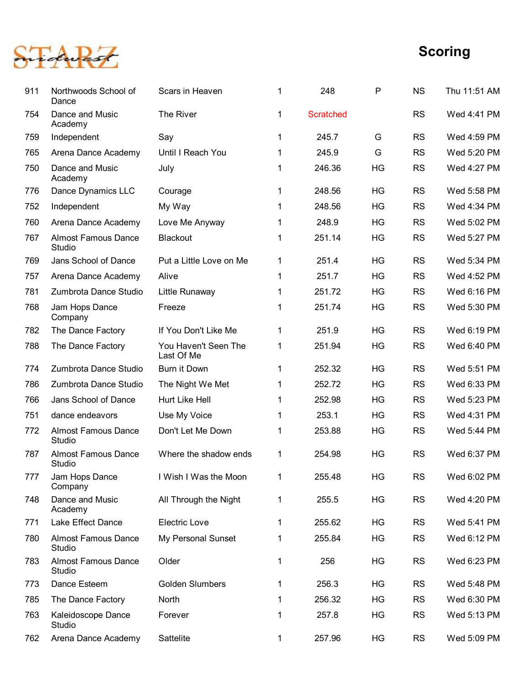

|     |                                                                    |                                    |                              |                  |           |                        | <b>Scoring</b>             |
|-----|--------------------------------------------------------------------|------------------------------------|------------------------------|------------------|-----------|------------------------|----------------------------|
| 911 | Northwoods School of<br>Dance                                      | Scars in Heaven                    | $\mathbf{1}$                 | 248              | P         | <b>NS</b>              | Thu 11:51 AM               |
| 754 | Dance and Music<br>Academy                                         | The River                          | $\mathbf{1}$                 | <b>Scratched</b> |           | <b>RS</b>              | Wed 4:41 PM                |
| 759 | Independent                                                        | Say                                | $\mathbf{1}$                 | 245.7            | G         | <b>RS</b>              | Wed 4:59 PM                |
| 765 | Arena Dance Academy                                                | Until I Reach You                  | $\blacktriangleleft$         | 245.9            | G         | <b>RS</b>              | Wed 5:20 PM                |
| 750 | Dance and Music<br>Academy                                         | July                               | $\mathbf{1}$                 | 246.36           | HG        | <b>RS</b>              | Wed 4:27 PM                |
| 776 | Dance Dynamics LLC                                                 | Courage                            | $\mathbf{1}$                 | 248.56           | <b>HG</b> | <b>RS</b>              | Wed 5:58 PM                |
| 752 | Independent                                                        | My Way                             | $\mathbf{1}$                 | 248.56           | HG        | <b>RS</b>              | Wed 4:34 PM                |
| 760 | Arena Dance Academy                                                | Love Me Anyway                     | $\mathbf{1}$                 | 248.9            | <b>HG</b> | <b>RS</b>              | Wed 5:02 PM                |
| 767 | <b>Almost Famous Dance</b><br>Studio                               | <b>Blackout</b>                    | 1                            | 251.14           | HG        | <b>RS</b>              | Wed 5:27 PM                |
| 769 | Jans School of Dance                                               | Put a Little Love on Me            | $\mathbf{1}$                 | 251.4            | HG        | <b>RS</b>              | Wed 5:34 PM                |
| 757 | Arena Dance Academy                                                | Alive                              | $\mathbf{1}$                 | 251.7            | HG        | <b>RS</b>              | Wed 4:52 PM                |
| 781 | Zumbrota Dance Studio                                              | Little Runaway                     | $\mathbf{1}$                 | 251.72           | HG        | <b>RS</b>              | Wed 6:16 PM                |
| 768 | Jam Hops Dance<br>Company                                          | Freeze                             | $\mathbf{1}$                 | 251.74           | HG        | <b>RS</b>              | Wed 5:30 PM                |
| 782 | The Dance Factory                                                  | If You Don't Like Me               | $\mathbf{1}$                 | 251.9            | HG        | <b>RS</b>              | Wed 6:19 PM                |
| 788 | The Dance Factory                                                  | You Haven't Seen The<br>Last Of Me | $\mathbf{1}$                 | 251.94           | HG        | <b>RS</b>              | Wed 6:40 PM                |
| 774 | Zumbrota Dance Studio                                              | Burn it Down                       | $\mathbf{1}$                 | 252.32           | HG        | <b>RS</b>              | Wed 5:51 PM                |
| 786 | Zumbrota Dance Studio                                              | The Night We Met                   | $\mathbf{1}$                 | 252.72           | HG        | <b>RS</b>              | Wed 6:33 PM                |
| 766 | Jans School of Dance                                               | Hurt Like Hell                     | $\mathbf{1}$                 | 252.98           | HG        | <b>RS</b>              | Wed 5:23 PM                |
| 751 | dance endeavors                                                    | Use My Voice                       | $\blacktriangleleft$         | 253.1            | HG        | <b>RS</b>              | Wed 4:31 PM                |
| 772 | <b>Almost Famous Dance</b><br>Studio                               | Don't Let Me Down                  | $\mathbf{1}$                 | 253.88           | HG        | <b>RS</b>              | Wed 5:44 PM                |
| 787 | <b>Almost Famous Dance</b><br>Studio                               | Where the shadow ends              | $\mathbf{1}$                 | 254.98           | HG        | <b>RS</b>              | Wed 6:37 PM                |
| 777 | Jam Hops Dance<br>Company                                          | I Wish I Was the Moon              | $\mathbf{1}$                 | 255.48           | HG        | <b>RS</b>              | Wed 6:02 PM                |
| 748 | Dance and Music<br>Academy                                         | All Through the Night              | $\mathbf{1}$                 | 255.5            | HG        | <b>RS</b>              | Wed 4:20 PM                |
| 771 | Lake Effect Dance                                                  | Electric Love                      | $\mathbf{1}$                 | 255.62           | HG        | <b>RS</b>              | Wed 5:41 PM                |
| 780 | <b>Almost Famous Dance</b><br>Studio<br><b>Almost Famous Dance</b> | My Personal Sunset<br>Older        | $\mathbf{1}$<br>$\mathbf{1}$ | 255.84<br>256    | HG<br>HG  | <b>RS</b><br><b>RS</b> | Wed 6:12 PM<br>Wed 6:23 PM |
| 783 | Studio                                                             |                                    |                              |                  |           |                        |                            |
| 773 | Dance Esteem                                                       | <b>Golden Slumbers</b>             | $\mathbf{1}$                 | 256.3            | HG        | <b>RS</b>              | Wed 5:48 PM                |
| 785 | The Dance Factory                                                  | North<br>Forever                   | $\mathbf{1}$<br>$\mathbf{1}$ | 256.32<br>257.8  | HG<br>HG  | <b>RS</b><br><b>RS</b> | Wed 6:30 PM                |
| 763 | Kaleidoscope Dance<br>Studio                                       |                                    |                              |                  |           |                        | Wed 5:13 PM                |
| 762 | Arena Dance Academy                                                | Sattelite                          | $\mathbf 1$                  | 257.96           | HG        | <b>RS</b>              | Wed 5:09 PM                |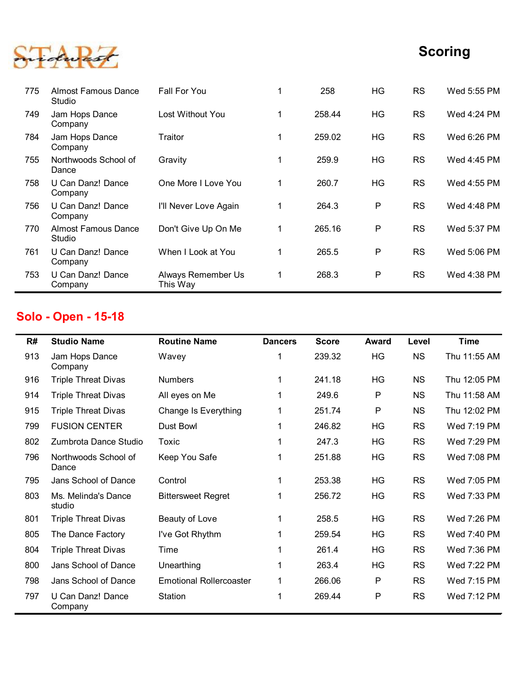

|     |                                      |                                |                |              |       |           | <b>Scoring</b> |
|-----|--------------------------------------|--------------------------------|----------------|--------------|-------|-----------|----------------|
|     |                                      |                                |                |              |       |           |                |
| 775 | <b>Almost Famous Dance</b><br>Studio | Fall For You                   | 1              | 258          | HG    | <b>RS</b> | Wed 5:55 PM    |
| 749 | Jam Hops Dance<br>Company            | Lost Without You               | 1              | 258.44       | HG    | <b>RS</b> | Wed 4:24 PM    |
| 784 | Jam Hops Dance<br>Company            | Traitor                        | 1              | 259.02       | HG    | <b>RS</b> | Wed 6:26 PM    |
| 755 | Northwoods School of<br>Dance        | Gravity                        | $\mathbf{1}$   | 259.9        | HG    | <b>RS</b> | Wed 4:45 PM    |
| 758 | U Can Danz! Dance<br>Company         | One More I Love You            | $\mathbf 1$    | 260.7        | HG    | <b>RS</b> | Wed 4:55 PM    |
| 756 | U Can Danz! Dance<br>Company         | I'll Never Love Again          | $\mathbf{1}$   | 264.3        | P     | <b>RS</b> | Wed 4:48 PM    |
| 770 | <b>Almost Famous Dance</b><br>Studio | Don't Give Up On Me            | $\mathbf{1}$   | 265.16       | P     | <b>RS</b> | Wed 5:37 PM    |
|     | 761 U Can Danz! Dance<br>Company     | When I Look at You             | 1              | 265.5        | P     | <b>RS</b> | Wed 5:06 PM    |
| 753 | U Can Danz! Dance<br>Company         | Always Remember Us<br>This Way | 1              | 268.3        | P     | <b>RS</b> | Wed 4:38 PM    |
|     | <b>Solo - Open - 15-18</b>           |                                |                |              |       |           |                |
| R#  | <b>Studio Name</b>                   | <b>Routine Name</b>            | <b>Dancers</b> | <b>Score</b> | Award | Level     | <b>Time</b>    |
| 913 | Jam Hops Dance<br>Company            | Wavey                          | 1              | 239.32       | HG    | <b>NS</b> | Thu 11:55 AM   |
| 916 | <b>Triple Threat Divas</b>           | <b>Numbers</b>                 | 1              | 241.18       | HG    | <b>NS</b> | Thu 12:05 PM   |
| 914 | <b>Triple Threat Divas</b>           | All eyes on Me                 |                | 249.6        | P     | <b>NS</b> | Thu 11:58 AM   |
| 915 | <b>Triple Threat Divas</b>           | Change Is Everything           |                | 251.74       | P     | <b>NS</b> | Thu 12:02 PM   |
| 799 | <b>FUSION CENTER</b>                 | Dust Bowl                      |                | 246.82       | HG    | <b>RS</b> | Wed 7:19 PM    |
| 802 | Zumbrota Dance Studio                | Toxic                          | 1              | 247.3        | HG    | <b>RS</b> | Wed 7:29 PM    |
|     |                                      |                                |                |              |       |           |                |

## Solo - Open - 15-18

| ັບບ | U VAII DANZ: DANVU<br>Company        |                                |                | ∠∪∪.         | .            |           |              |
|-----|--------------------------------------|--------------------------------|----------------|--------------|--------------|-----------|--------------|
| 756 | U Can Danz! Dance<br>Company         | I'll Never Love Again          | $\mathbf 1$    | 264.3        | $\mathsf{P}$ | <b>RS</b> | Wed 4:48 PM  |
| 770 | <b>Almost Famous Dance</b><br>Studio | Don't Give Up On Me            | $\mathbf 1$    | 265.16       | P            | <b>RS</b> | Wed 5:37 PM  |
| 761 | U Can Danz! Dance<br>Company         | When I Look at You             | $\mathbf{1}$   | 265.5        | $\mathsf{P}$ | <b>RS</b> | Wed 5:06 PM  |
| 753 | U Can Danz! Dance<br>Company         | Always Remember Us<br>This Way | $\mathbf{1}$   | 268.3        | $\mathsf{P}$ | <b>RS</b> | Wed 4:38 PM  |
|     | Solo - Open - 15-18                  |                                |                |              |              |           |              |
| R#  | <b>Studio Name</b>                   | <b>Routine Name</b>            | <b>Dancers</b> | <b>Score</b> | <b>Award</b> | Level     | <b>Time</b>  |
| 913 | Jam Hops Dance<br>Company            | Wavey                          | 1              | 239.32       | HG           | <b>NS</b> | Thu 11:55 AM |
| 916 | <b>Triple Threat Divas</b>           | <b>Numbers</b>                 | $\mathbf 1$    | 241.18       | HG           | <b>NS</b> | Thu 12:05 PM |
| 914 | <b>Triple Threat Divas</b>           | All eyes on Me                 | $\mathbf 1$    | 249.6        | $\mathsf{P}$ | <b>NS</b> | Thu 11:58 AM |
| 915 | <b>Triple Threat Divas</b>           | Change Is Everything           | $\mathbf 1$    | 251.74       | P            | <b>NS</b> | Thu 12:02 PM |
| 799 | <b>FUSION CENTER</b>                 | Dust Bowl                      | $\mathbf 1$    | 246.82       | HG           | <b>RS</b> | Wed 7:19 PM  |
| 802 | Zumbrota Dance Studio                | Toxic                          | $\mathbf 1$    | 247.3        | HG           | <b>RS</b> | Wed 7:29 PM  |
| 796 | Northwoods School of<br>Dance        | Keep You Safe                  | $\mathbf 1$    | 251.88       | HG           | <b>RS</b> | Wed 7:08 PM  |
| 795 | Jans School of Dance                 | Control                        | $\mathbf 1$    | 253.38       | HG           | <b>RS</b> | Wed 7:05 PM  |
| 803 | Ms. Melinda's Dance<br>studio        | <b>Bittersweet Regret</b>      | 1              | 256.72       | HG           | <b>RS</b> | Wed 7:33 PM  |
| 801 | <b>Triple Threat Divas</b>           | Beauty of Love                 | 1              | 258.5        | HG           | <b>RS</b> | Wed 7:26 PM  |
| 805 | The Dance Factory                    | I've Got Rhythm                | 1              | 259.54       | HG           | <b>RS</b> | Wed 7:40 PM  |
| 804 | <b>Triple Threat Divas</b>           | Time                           | 1              | 261.4        | HG           | <b>RS</b> | Wed 7:36 PM  |
| 800 | Jans School of Dance                 | Unearthing                     | 1              | 263.4        | HG           | <b>RS</b> | Wed 7:22 PM  |
| 798 | Jans School of Dance                 | <b>Emotional Rollercoaster</b> |                | 266.06       | P            | <b>RS</b> | Wed 7:15 PM  |
| 797 | U Can Danz! Dance<br>Company         | Station                        | 1              | 269.44       | P            | <b>RS</b> | Wed 7:12 PM  |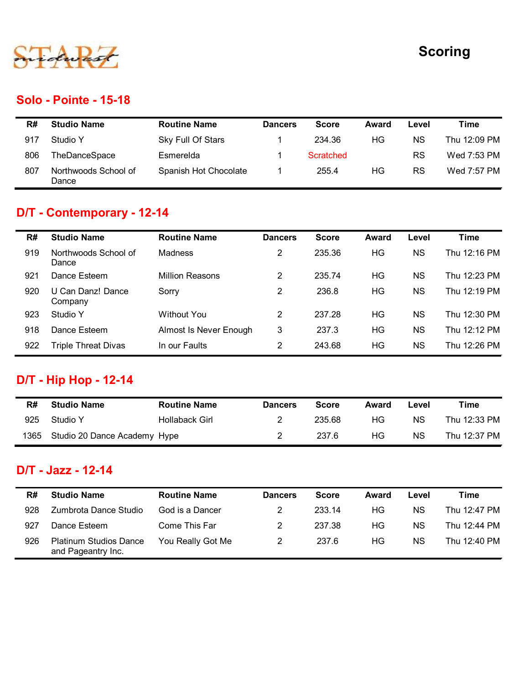

#### Solo - Pointe - 15-18

|     |                               |                        |                |                  |              |           | <b>Scoring</b> |
|-----|-------------------------------|------------------------|----------------|------------------|--------------|-----------|----------------|
|     |                               |                        |                |                  |              |           |                |
|     |                               |                        |                |                  |              |           |                |
|     | <b>Solo - Pointe - 15-18</b>  |                        |                |                  |              |           |                |
| R#  | <b>Studio Name</b>            | <b>Routine Name</b>    | <b>Dancers</b> | <b>Score</b>     | <b>Award</b> | Level     | <b>Time</b>    |
| 917 | Studio Y                      | Sky Full Of Stars      | $\mathbf{1}$   | 234.36           | HG           | <b>NS</b> | Thu 12:09 PM   |
| 806 | TheDanceSpace                 | Esmerelda              | $\mathbf{1}$   | <b>Scratched</b> |              | <b>RS</b> | Wed 7:53 PM    |
| 807 | Northwoods School of<br>Dance | Spanish Hot Chocolate  | $\mathbf{1}$   | 255.4            | HG           | <b>RS</b> | Wed 7:57 PM    |
|     | D/T - Contemporary - 12-14    |                        |                |                  |              |           |                |
| R#  | <b>Studio Name</b>            | <b>Routine Name</b>    | <b>Dancers</b> | <b>Score</b>     | <b>Award</b> | Level     | <b>Time</b>    |
| 919 | Northwoods School of<br>Dance | Madness                | $\overline{2}$ | 235.36           | HG           | <b>NS</b> | Thu 12:16 PM   |
| 921 | Dance Esteem                  | <b>Million Reasons</b> | $\overline{2}$ | 235.74           | HG           | <b>NS</b> | Thu 12:23 PM   |
|     |                               |                        | $\mathcal{P}$  | 236.8            | HG.          | <b>NS</b> | Thu 12:19 PM   |

# D/T - Contemporary - 12-14

|      |                                                     |                        |                |                  |              |           | <b>Scoring</b> |
|------|-----------------------------------------------------|------------------------|----------------|------------------|--------------|-----------|----------------|
|      | Solo - Pointe - 15-18                               |                        |                |                  |              |           |                |
| R#   | <b>Studio Name</b>                                  | <b>Routine Name</b>    | <b>Dancers</b> | <b>Score</b>     | <b>Award</b> | Level     | <b>Time</b>    |
| 917  | Studio Y                                            | Sky Full Of Stars      | 1              | 234.36           | HG           | <b>NS</b> | Thu 12:09 PM   |
| 806  | TheDanceSpace                                       | Esmerelda              | $\mathbf 1$    | <b>Scratched</b> |              | <b>RS</b> | Wed 7:53 PM    |
| 807  | Northwoods School of<br>Dance                       | Spanish Hot Chocolate  | 1              | 255.4            | HG           | <b>RS</b> | Wed 7:57 PM    |
|      | D/T - Contemporary - 12-14                          |                        |                |                  |              |           |                |
| R#   | <b>Studio Name</b>                                  | <b>Routine Name</b>    | <b>Dancers</b> | <b>Score</b>     | <b>Award</b> | Level     | <b>Time</b>    |
| 919  | Northwoods School of<br>Dance                       | Madness                | $\overline{2}$ | 235.36           | HG           | <b>NS</b> | Thu 12:16 PM   |
| 921  | Dance Esteem                                        | <b>Million Reasons</b> | $\overline{2}$ | 235.74           | <b>HG</b>    | <b>NS</b> | Thu 12:23 PM   |
| 920  | U Can Danz! Dance<br>Company                        | Sorry                  | $\overline{2}$ | 236.8            | <b>HG</b>    | <b>NS</b> | Thu 12:19 PM   |
| 923  | Studio Y                                            | <b>Without You</b>     | $\overline{2}$ | 237.28           | HG           | <b>NS</b> | Thu 12:30 PM   |
| 918  | Dance Esteem                                        | Almost Is Never Enough | 3              | 237.3            | HG           | <b>NS</b> | Thu 12:12 PM   |
| 922  | <b>Triple Threat Divas</b>                          | In our Faults          | $\overline{c}$ | 243.68           | HG           | <b>NS</b> | Thu 12:26 PM   |
|      | <b>D/T - Hip Hop - 12-14</b>                        |                        |                |                  |              |           |                |
| R#   | <b>Studio Name</b>                                  | <b>Routine Name</b>    | <b>Dancers</b> | <b>Score</b>     | <b>Award</b> | Level     | <b>Time</b>    |
| 925  | Studio Y                                            | Hollaback Girl         | $\overline{2}$ | 235.68           | HG           | <b>NS</b> | Thu 12:33 PM   |
| 1365 | Studio 20 Dance Academy Hype                        |                        | 2              | 237.6            | HG           | <b>NS</b> | Thu 12:37 PM   |
|      | D/T - Jazz - 12-14                                  |                        |                |                  |              |           |                |
| R#   | <b>Studio Name</b>                                  | <b>Routine Name</b>    | <b>Dancers</b> | <b>Score</b>     | <b>Award</b> | Level     | <b>Time</b>    |
| 928  | Zumbrota Dance Studio                               | God is a Dancer        | 2              | 233.14           | HG           | <b>NS</b> | Thu 12:47 PM   |
| 927  | Dance Esteem                                        | Come This Far          | 2              | 237.38           | HG           | <b>NS</b> | Thu 12:44 PM   |
| 926  | <b>Platinum Studios Dance</b><br>and Dagooptry Inc. | You Really Got Me      | $\overline{2}$ | 237.6            | HG           | <b>NS</b> | Thu 12:40 PM   |

## D/T - Hip Hop - 12-14

| R#   | <b>Studio Name</b>           | <b>Routine Name</b> | <b>Dancers</b> | <b>Score</b> | Award | Level     | Time         |
|------|------------------------------|---------------------|----------------|--------------|-------|-----------|--------------|
| 925  | Studio Y                     | Hollaback Girl      |                | 235.68       | ΗG    | <b>NS</b> | Thu 12:33 PM |
| 1365 | Studio 20 Dance Academy Hype |                     |                | 237.6        | ΗG    | <b>NS</b> | Thu 12:37 PM |

#### D/T - Jazz - 12-14

|      | U Can Danz! Dance<br>Company             | Sorry                  | $\overline{2}$ | 236.8        | HG           | <b>NS</b> | Thu 12:19 PM |
|------|------------------------------------------|------------------------|----------------|--------------|--------------|-----------|--------------|
| 923  | Studio Y                                 | <b>Without You</b>     | 2              | 237.28       | HG           | <b>NS</b> | Thu 12:30 PM |
| 918  | Dance Esteem                             | Almost Is Never Enough | 3              | 237.3        | HG           | <b>NS</b> | Thu 12:12 PM |
| 922  | <b>Triple Threat Divas</b>               | In our Faults          | 2              | 243.68       | HG           | <b>NS</b> | Thu 12:26 PM |
|      | <b>D/T - Hip Hop - 12-14</b>             |                        |                |              |              |           |              |
| R#   | <b>Studio Name</b>                       | <b>Routine Name</b>    | <b>Dancers</b> | <b>Score</b> | <b>Award</b> | Level     | <b>Time</b>  |
| 925  | Studio Y                                 | Hollaback Girl         | $\overline{2}$ | 235.68       | HG           | <b>NS</b> | Thu 12:33 PM |
|      |                                          |                        |                |              |              |           |              |
| 1365 | Studio 20 Dance Academy Hype             |                        | 2              | 237.6        | HG           | <b>NS</b> | Thu 12:37 PM |
| R#   | D/T - Jazz - 12-14<br><b>Studio Name</b> | <b>Routine Name</b>    | <b>Dancers</b> | <b>Score</b> | <b>Award</b> | Level     | <b>Time</b>  |
| 928  | Zumbrota Dance Studio                    | God is a Dancer        | $\overline{2}$ | 233.14       | HG           | <b>NS</b> | Thu 12:47 PM |
| 927  | Dance Esteem                             | Come This Far          | $\overline{2}$ | 237.38       | HG           | <b>NS</b> | Thu 12:44 PM |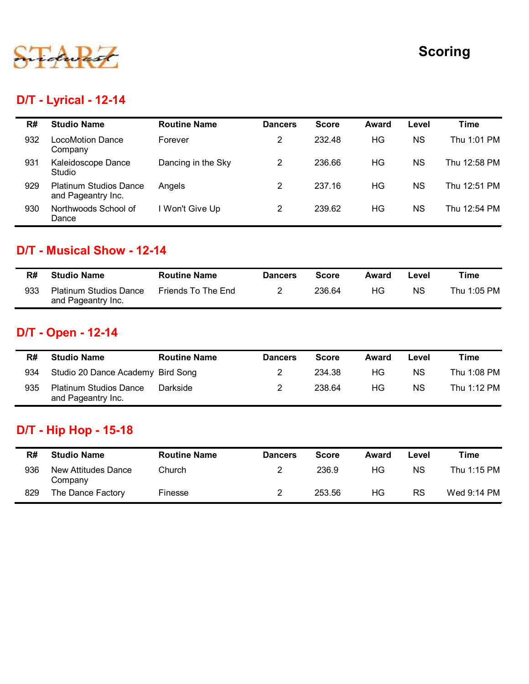

## D/T - Lyrical - 12-14

|     |                                                     |                     |                |              |              |            | <b>Scoring</b> |
|-----|-----------------------------------------------------|---------------------|----------------|--------------|--------------|------------|----------------|
|     | <b>D/T - Lyrical - 12-14</b>                        |                     |                |              |              |            |                |
| R#  | <b>Studio Name</b>                                  | <b>Routine Name</b> | <b>Dancers</b> | <b>Score</b> | <b>Award</b> | Level      | <b>Time</b>    |
| 932 | <b>LocoMotion Dance</b><br>Company                  | Forever             | $\overline{2}$ | 232.48       | HG           | <b>NS</b>  | Thu 1:01 PM    |
| 931 | Kaleidoscope Dance<br>Studio                        | Dancing in the Sky  | $\overline{2}$ | 236.66       | <b>HG</b>    | <b>NS</b>  | Thu 12:58 PM   |
| 929 | <b>Platinum Studios Dance</b><br>and Pageantry Inc. | Angels              | $\overline{2}$ | 237.16       | HG           | <b>NS</b>  | Thu 12:51 PM   |
| 930 | Northwoods School of<br>Dance                       | I Won't Give Up     | $\overline{2}$ | 239.62       | HG           | <b>NS</b>  | Thu 12:54 PM   |
|     | D/T - Musical Show - 12-14                          |                     |                |              |              |            |                |
| R#  | <b>Studio Name</b>                                  | <b>Routine Name</b> | <b>Dancers</b> | <b>Score</b> | <b>Award</b> | Level      | <b>Time</b>    |
| 933 | <b>Platinum Studios Dance</b><br>and Pageantry Inc. | Friends To The End  | $\overline{2}$ | 236.64       | HG           | ${\sf NS}$ | Thu 1:05 PM    |
|     | D/T - Open - 12-14                                  |                     |                |              |              |            |                |
|     |                                                     | <b>Routine Name</b> | <b>Dancers</b> | <b>Score</b> | Award        | Level      | <b>Time</b>    |
| R#  | <b>Studio Name</b>                                  |                     |                |              |              |            |                |
| 934 | Studio 20 Dance Academy Bird Song                   |                     | $\overline{c}$ | 234.38       | HG           | <b>NS</b>  | Thu 1:08 PM    |

#### D/T - Musical Show - 12-14

| R#  | <b>Studio Name</b>                                  | <b>Routine Name</b> | <b>Dancers</b> | Score  | Award | ∟evel | ™e          |
|-----|-----------------------------------------------------|---------------------|----------------|--------|-------|-------|-------------|
| 933 | <b>Platinum Studios Dance</b><br>and Pageantry Inc. | Friends To The End  |                | 236.64 | ΗG    | ΝS    | Thu 1:05 PM |

## D/T - Open - 12-14

| R#  | <b>Studio Name</b>                                  | <b>Routine Name</b> | <b>Dancers</b>   | <b>Score</b> | <b>Award</b> | Level     | <b>Time</b> |
|-----|-----------------------------------------------------|---------------------|------------------|--------------|--------------|-----------|-------------|
| 933 | <b>Platinum Studios Dance</b><br>and Pageantry Inc. | Friends To The End  | $\overline{2}$   | 236.64       | HG           | <b>NS</b> | Thu 1:05 PM |
|     | D/T - Open - 12-14                                  |                     |                  |              |              |           |             |
| R#  | <b>Studio Name</b>                                  | <b>Routine Name</b> | <b>Dancers</b>   | <b>Score</b> | Award        | Level     | <b>Time</b> |
| 934 | Studio 20 Dance Academy Bird Song                   |                     | $\overline{2}$   | 234.38       | HG           | <b>NS</b> | Thu 1:08 PM |
| 935 | <b>Platinum Studios Dance</b><br>and Pageantry Inc. | Darkside            | $\overline{2}$   | 238.64       | HG           | <b>NS</b> | Thu 1:12 PM |
|     | <b>D/T</b> - Hip Hop - 15-18                        |                     |                  |              |              |           |             |
| R#  | <b>Studio Name</b>                                  | <b>Routine Name</b> | <b>Dancers</b>   | <b>Score</b> | <b>Award</b> | Level     | <b>Time</b> |
| 936 | <b>New Attitudes Dance</b><br>Company               | Church              | $\boldsymbol{2}$ | 236.9        | HG           | <b>NS</b> | Thu 1:15 PM |
|     | The Dance Factory                                   | Finesse             | $\overline{2}$   | 253.56       | HG           | <b>RS</b> | Wed 9:14 PM |

## D/T - Hip Hop - 15-18

| R#  | <b>Studio Name</b>             | <b>Routine Name</b> | <b>Dancers</b> | Score  | Award | Level | Time        |
|-----|--------------------------------|---------------------|----------------|--------|-------|-------|-------------|
| 936 | New Attitudes Dance<br>Company | Church              |                | 236.9  | НG    | ΝS    | Thu 1:15 PM |
| 829 | The Dance Factory              | Finesse             |                | 253.56 | ΗG    | RS    | Wed 9:14 PM |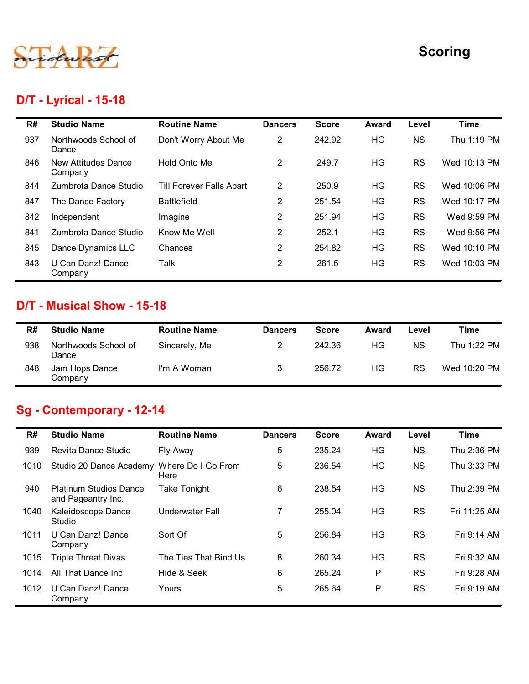

## D/T - Lyrical - 15-18

|     |                                                  |                          |                |              |              |           | <b>Scoring</b> |
|-----|--------------------------------------------------|--------------------------|----------------|--------------|--------------|-----------|----------------|
|     | <b>D/T - Lyrical - 15-18</b>                     |                          |                |              |              |           |                |
| R#  | <b>Studio Name</b>                               | <b>Routine Name</b>      | <b>Dancers</b> | <b>Score</b> | <b>Award</b> | Level     | <b>Time</b>    |
| 937 | Northwoods School of<br>Dance                    | Don't Worry About Me     | $\overline{2}$ | 242.92       | HG           | <b>NS</b> | Thu 1:19 PM    |
| 846 | <b>New Attitudes Dance</b><br>Company            | Hold Onto Me             | $\overline{2}$ | 249.7        | <b>HG</b>    | <b>RS</b> | Wed 10:13 PM   |
| 844 | Zumbrota Dance Studio                            | Till Forever Falls Apart | $\overline{2}$ | 250.9        | HG           | <b>RS</b> | Wed 10:06 PM   |
| 847 | The Dance Factory                                | <b>Battlefield</b>       | $\overline{2}$ | 251.54       | HG           | <b>RS</b> | Wed 10:17 PM   |
| 842 | Independent                                      | Imagine                  | $\overline{2}$ | 251.94       | HG           | <b>RS</b> | Wed 9:59 PM    |
| 841 | Zumbrota Dance Studio                            | Know Me Well             | $\overline{2}$ | 252.1        | HG           | <b>RS</b> | Wed 9:56 PM    |
| 845 | Dance Dynamics LLC                               | Chances                  | $\overline{2}$ | 254.82       | HG           | <b>RS</b> | Wed 10:10 PM   |
| 843 | U Can Danz! Dance<br>Company                     | Talk                     | $\overline{2}$ | 261.5        | HG           | <b>RS</b> | Wed 10:03 PM   |
| R#  | D/T - Musical Show - 15-18<br><b>Studio Name</b> | <b>Routine Name</b>      | <b>Dancers</b> | <b>Score</b> | <b>Award</b> | Level     | <b>Time</b>    |
| 938 | Northwoods School of                             | Sincerely, Me            | $\overline{2}$ | 242.36       | HG           | <b>NS</b> | Thu 1:22 PM    |
|     | Dance<br>Jam Hops Dance                          |                          |                |              |              |           |                |

#### D/T - Musical Show - 15-18

| R#  | <b>Studio Name</b>            | <b>Routine Name</b> | <b>Dancers</b> | <b>Score</b> | Award | Level     | Time         |
|-----|-------------------------------|---------------------|----------------|--------------|-------|-----------|--------------|
| 938 | Northwoods School of<br>Dance | Sincerely, Me       | 2              | 242.36       | HG    | <b>NS</b> | Thu 1:22 PM  |
| 848 | Jam Hops Dance<br>Company     | I'm A Woman         | 3              | 256.72       | ΗG    | <b>RS</b> | Wed 10:20 PM |

# Sg - Contemporary - 12-14

|           | Zumbrota Dance Studio                               | Know Me Well           | $\overline{2}$ | 252.1        | <b>HG</b>    | <b>RS</b> | Wed 9:56 PM  |
|-----------|-----------------------------------------------------|------------------------|----------------|--------------|--------------|-----------|--------------|
| 845       | Dance Dynamics LLC                                  | Chances                | $\overline{2}$ | 254.82       | HG           | <b>RS</b> | Wed 10:10 PM |
| 843       | U Can Danz! Dance<br>Company                        | Talk                   | $\overline{2}$ | 261.5        | HG           | <b>RS</b> | Wed 10:03 PM |
|           | D/T - Musical Show - 15-18                          |                        |                |              |              |           |              |
| R#        | <b>Studio Name</b>                                  | <b>Routine Name</b>    | <b>Dancers</b> | <b>Score</b> | <b>Award</b> | Level     | <b>Time</b>  |
| 938       | Northwoods School of<br>Dance                       | Sincerely, Me          | $\overline{2}$ | 242.36       | HG           | <b>NS</b> | Thu 1:22 PM  |
| 848       | Jam Hops Dance<br>Company                           | I'm A Woman            | 3              | 256.72       | HG           | <b>RS</b> | Wed 10:20 PM |
|           |                                                     |                        |                |              |              |           |              |
|           | Sg - Contemporary - 12-14<br><b>Studio Name</b>     | <b>Routine Name</b>    | <b>Dancers</b> | <b>Score</b> | <b>Award</b> | Level     | <b>Time</b>  |
| R#<br>939 | Revita Dance Studio                                 | Fly Away               | $\overline{5}$ | 235.24       | HG           | <b>NS</b> | Thu 2:36 PM  |
| 1010      | Studio 20 Dance Academy Where Do I Go From          | Here                   | 5              | 236.54       | HG           | <b>NS</b> | Thu 3:33 PM  |
| 940       | <b>Platinum Studios Dance</b><br>and Pageantry Inc. | <b>Take Tonight</b>    | 6              | 238.54       | HG           | <b>NS</b> | Thu 2:39 PM  |
| 1040      | Kaleidoscope Dance<br>Studio                        | <b>Underwater Fall</b> | $\overline{7}$ | 255.04       | HG           | <b>RS</b> | Fri 11:25 AM |
| 1011      | U Can Danz! Dance<br>Company                        | Sort Of                | 5              | 256.84       | HG           | <b>RS</b> | Fri 9:14 AM  |
| 1015      | <b>Triple Threat Divas</b>                          | The Ties That Bind Us  | 8              | 260.34       | <b>HG</b>    | <b>RS</b> | Fri 9:32 AM  |
| 1014      | All That Dance Inc                                  | Hide & Seek            | 6              | 265.24       | P            | <b>RS</b> | Fri 9:28 AM  |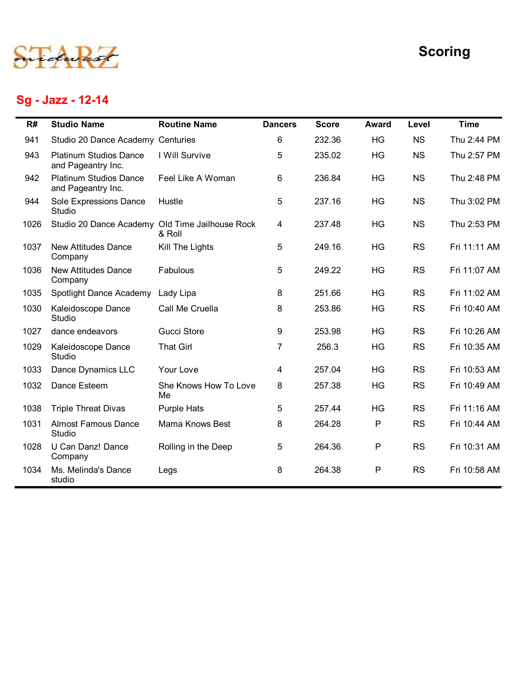

# Sg - Jazz - 12-14

|      |                                                     |                             |                 |              |              |           | <b>Scoring</b> |
|------|-----------------------------------------------------|-----------------------------|-----------------|--------------|--------------|-----------|----------------|
|      | Sg - Jazz - 12-14                                   |                             |                 |              |              |           |                |
| R#   | <b>Studio Name</b>                                  | <b>Routine Name</b>         | <b>Dancers</b>  | <b>Score</b> | <b>Award</b> | Level     | <b>Time</b>    |
| 941  | Studio 20 Dance Academy Centuries                   |                             | 6               | 232.36       | HG           | <b>NS</b> | Thu 2:44 PM    |
| 943  | <b>Platinum Studios Dance</b><br>and Pageantry Inc. | I Will Survive              | 5               | 235.02       | HG           | <b>NS</b> | Thu 2:57 PM    |
| 942  | <b>Platinum Studios Dance</b><br>and Pageantry Inc. | Feel Like A Woman           | 6               | 236.84       | HG           | <b>NS</b> | Thu 2:48 PM    |
| 944  | Sole Expressions Dance<br>Studio                    | Hustle                      | 5               | 237.16       | HG           | <b>NS</b> | Thu 3:02 PM    |
| 1026 | Studio 20 Dance Academy Old Time Jailhouse Rock     | & Roll                      | 4               | 237.48       | HG           | <b>NS</b> | Thu 2:53 PM    |
| 1037 | <b>New Attitudes Dance</b><br>Company               | Kill The Lights             | 5               | 249.16       | HG           | <b>RS</b> | Fri 11:11 AM   |
| 1036 | <b>New Attitudes Dance</b><br>Company               | Fabulous                    | 5               | 249.22       | HG           | <b>RS</b> | Fri 11:07 AM   |
| 1035 | Spotlight Dance Academy                             | Lady Lipa                   | 8               | 251.66       | HG           | <b>RS</b> | Fri 11:02 AM   |
| 1030 | Kaleidoscope Dance<br>Studio                        | Call Me Cruella             | 8               | 253.86       | HG           | <b>RS</b> | Fri 10:40 AM   |
| 1027 | dance endeavors                                     | Gucci Store                 | 9               | 253.98       | HG           | <b>RS</b> | Fri 10:26 AM   |
| 1029 | Kaleidoscope Dance<br>Studio                        | <b>That Girl</b>            | $\mathbf{7}$    | 256.3        | HG           | <b>RS</b> | Fri 10:35 AM   |
| 1033 | Dance Dynamics LLC                                  | Your Love                   | 4               | 257.04       | HG           | <b>RS</b> | Fri 10:53 AM   |
| 1032 | Dance Esteem                                        | She Knows How To Love<br>Me | 8               | 257.38       | HG           | <b>RS</b> | Fri 10:49 AM   |
| 1038 | <b>Triple Threat Divas</b>                          | <b>Purple Hats</b>          | 5               | 257.44       | HG           | <b>RS</b> | Fri 11:16 AM   |
| 1031 | <b>Almost Famous Dance</b><br>Studio                | Mama Knows Best             | 8               | 264.28       | P            | <b>RS</b> | Fri 10:44 AM   |
| 1028 | U Can Danz! Dance<br>Company                        | Rolling in the Deep         | $5\phantom{.0}$ | 264.36       | $\sf P$      | RS        | Fri 10:31 AM   |
| 1034 | Ms. Melinda's Dance<br>studio                       | Legs                        | 8               | 264.38       | P            | RS        | Fri 10:58 AM   |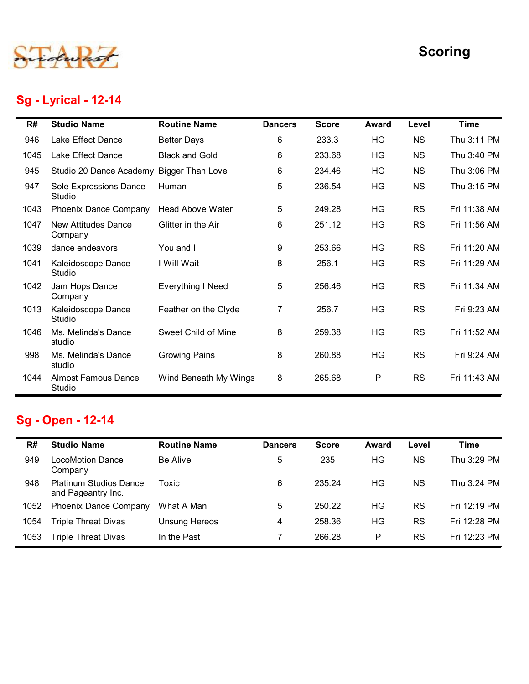

# Sg - Lyrical - 12-14

|      |                                                     |                         |                |              |              |           | <b>Scoring</b> |
|------|-----------------------------------------------------|-------------------------|----------------|--------------|--------------|-----------|----------------|
|      | <b>Sg - Lyrical - 12-14</b>                         |                         |                |              |              |           |                |
| R#   | <b>Studio Name</b>                                  | <b>Routine Name</b>     | <b>Dancers</b> | <b>Score</b> | <b>Award</b> | Level     | <b>Time</b>    |
| 946  | Lake Effect Dance                                   | <b>Better Days</b>      | 6              | 233.3        | HG           | <b>NS</b> | Thu 3:11 PM    |
| 1045 | Lake Effect Dance                                   | <b>Black and Gold</b>   | 6              | 233.68       | HG           | <b>NS</b> | Thu 3:40 PM    |
| 945  | Studio 20 Dance Academy Bigger Than Love            |                         | 6              | 234.46       | HG           | <b>NS</b> | Thu 3:06 PM    |
| 947  | Sole Expressions Dance<br>Studio                    | Human                   | 5              | 236.54       | HG           | <b>NS</b> | Thu 3:15 PM    |
| 1043 | Phoenix Dance Company                               | <b>Head Above Water</b> | 5              | 249.28       | HG           | <b>RS</b> | Fri 11:38 AM   |
| 1047 | <b>New Attitudes Dance</b><br>Company               | Glitter in the Air      | 6              | 251.12       | HG           | <b>RS</b> | Fri 11:56 AM   |
| 1039 | dance endeavors                                     | You and I               | 9              | 253.66       | HG           | <b>RS</b> | Fri 11:20 AM   |
| 1041 | Kaleidoscope Dance<br>Studio                        | I Will Wait             | 8              | 256.1        | HG           | <b>RS</b> | Fri 11:29 AM   |
| 1042 | Jam Hops Dance<br>Company                           | Everything I Need       | 5              | 256.46       | HG           | RS        | Fri 11:34 AM   |
| 1013 | Kaleidoscope Dance<br>Studio                        | Feather on the Clyde    | $\overline{7}$ | 256.7        | HG           | <b>RS</b> | Fri 9:23 AM    |
| 1046 | Ms. Melinda's Dance<br>studio                       | Sweet Child of Mine     | 8              | 259.38       | HG           | <b>RS</b> | Fri 11:52 AM   |
| 998  | Ms. Melinda's Dance<br>studio                       | <b>Growing Pains</b>    | 8              | 260.88       | HG           | <b>RS</b> | Fri 9:24 AM    |
| 1044 | <b>Almost Famous Dance</b><br>Studio                | Wind Beneath My Wings   | 8              | 265.68       | P            | <b>RS</b> | Fri 11:43 AM   |
|      | Sg - Open - 12-14                                   |                         |                |              |              |           |                |
| R#   | <b>Studio Name</b>                                  | <b>Routine Name</b>     | <b>Dancers</b> | <b>Score</b> | <b>Award</b> | Level     | <b>Time</b>    |
| 949  | <b>LocoMotion Dance</b><br>Company                  | Be Alive                | 5              | 235          | HG           | <b>NS</b> | Thu 3:29 PM    |
| 948  | <b>Platinum Studios Dance</b><br>and Pageantry Inc. | Toxic                   | 6              | 235.24       | HG           | <b>NS</b> | Thu 3:24 PM    |
| 1052 | <b>Phoenix Dance Company</b>                        | What A Man              | 5              | 250.22       | HG           | <b>RS</b> | Fri 12:19 PM   |
|      | <b>Triple Threat Divas</b>                          | <b>Unsung Hereos</b>    | 4              | 258.36       | HG           | <b>RS</b> | Fri 12:28 PM   |
| 1054 |                                                     |                         |                |              |              | <b>RS</b> |                |

# Sg - Open - 12-14

| 1042 | Jam Hops Dance<br>Company                           | Everything I Need     | 5              | 256.46       | HG           | <b>RS</b> | Fri 11:34 AM |
|------|-----------------------------------------------------|-----------------------|----------------|--------------|--------------|-----------|--------------|
| 1013 | Kaleidoscope Dance<br>Studio                        | Feather on the Clyde  | $\overline{7}$ | 256.7        | HG           | <b>RS</b> | Fri 9:23 AM  |
| 1046 | Ms. Melinda's Dance<br>studio                       | Sweet Child of Mine   | 8              | 259.38       | HG           | <b>RS</b> | Fri 11:52 AM |
| 998  | Ms. Melinda's Dance<br>studio                       | <b>Growing Pains</b>  | 8              | 260.88       | HG           | <b>RS</b> | Fri 9:24 AM  |
| 1044 | Almost Famous Dance<br>Studio                       | Wind Beneath My Wings | 8              | 265.68       | P            | <b>RS</b> | Fri 11:43 AM |
|      | <b>Sg - Open - 12-14</b>                            |                       |                |              |              |           |              |
|      |                                                     |                       |                |              |              |           |              |
| R#   | <b>Studio Name</b>                                  | <b>Routine Name</b>   | <b>Dancers</b> | <b>Score</b> | <b>Award</b> | Level     | <b>Time</b>  |
| 949  |                                                     |                       |                |              |              |           |              |
|      | <b>LocoMotion Dance</b><br>Company                  | Be Alive              | 5              | 235          | HG           | <b>NS</b> | Thu 3:29 PM  |
| 948  | <b>Platinum Studios Dance</b><br>and Pageantry Inc. | Toxic                 | $\,6\,$        | 235.24       | HG           | <b>NS</b> | Thu 3:24 PM  |
| 1052 | Phoenix Dance Company                               | What A Man            | $\sqrt{5}$     | 250.22       | HG           | <b>RS</b> | Fri 12:19 PM |
| 1054 | <b>Triple Threat Divas</b>                          | <b>Unsung Hereos</b>  | $\overline{4}$ | 258.36       | HG           | <b>RS</b> | Fri 12:28 PM |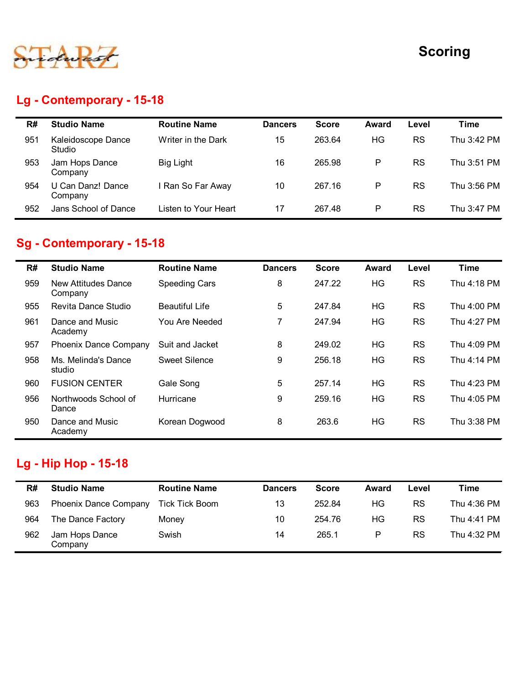

## Lg - Contemporary - 15-18

|     |                                  |                       |                |              |              |           | <b>Scoring</b> |
|-----|----------------------------------|-----------------------|----------------|--------------|--------------|-----------|----------------|
|     |                                  |                       |                |              |              |           |                |
|     |                                  |                       |                |              |              |           |                |
|     | Lg - Contemporary - 15-18        |                       |                |              |              |           |                |
| R#  | <b>Studio Name</b>               | <b>Routine Name</b>   | <b>Dancers</b> | <b>Score</b> | <b>Award</b> | Level     | <b>Time</b>    |
| 951 | Kaleidoscope Dance<br>Studio     | Writer in the Dark    | 15             | 263.64       | HG           | <b>RS</b> | Thu 3:42 PM    |
| 953 | Jam Hops Dance<br>Company        | <b>Big Light</b>      | 16             | 265.98       | $\sf P$      | <b>RS</b> | Thu 3:51 PM    |
| 954 | U Can Danz! Dance<br>Company     | I Ran So Far Away     | 10             | 267.16       | $\mathsf{P}$ | <b>RS</b> | Thu 3:56 PM    |
| 952 | Jans School of Dance             | Listen to Your Heart  | 17             | 267.48       | $\mathsf P$  | <b>RS</b> | Thu 3:47 PM    |
|     | <b>Sg - Contemporary - 15-18</b> |                       |                |              |              |           |                |
| R#  | <b>Studio Name</b>               | <b>Routine Name</b>   | <b>Dancers</b> | <b>Score</b> | Award        | Level     | <b>Time</b>    |
| 959 | New Attitudes Dance<br>Company   | <b>Speeding Cars</b>  | 8              | 247.22       | HG           | <b>RS</b> | Thu 4:18 PM    |
| 955 | Revita Dance Studio              | <b>Beautiful Life</b> | 5              | 247.84       | <b>HG</b>    | <b>RS</b> | Thu 4:00 PM    |
|     | Dance and Music                  | You Are Needed        | $\overline{7}$ | 247.94       | <b>HG</b>    | <b>RS</b> | Thu 4:27 PM    |

## Sg - Contemporary - 15-18

| R#  | <b>Studio Name</b>                              | <b>Routine Name</b>   | <b>Dancers</b> | <b>Score</b> | <b>Award</b> | Level     | <b>Time</b> |
|-----|-------------------------------------------------|-----------------------|----------------|--------------|--------------|-----------|-------------|
| 951 | Kaleidoscope Dance<br>Studio                    | Writer in the Dark    | 15             | 263.64       | HG           | <b>RS</b> | Thu 3:42 PM |
| 953 | Jam Hops Dance<br>Company                       | <b>Big Light</b>      | 16             | 265.98       | P            | <b>RS</b> | Thu 3:51 PM |
| 954 | U Can Danz! Dance<br>Company                    | I Ran So Far Away     | 10             | 267.16       | P            | <b>RS</b> | Thu 3:56 PM |
| 952 | Jans School of Dance                            | Listen to Your Heart  | 17             | 267.48       | P            | RS        | Thu 3:47 PM |
| R#  | Sg - Contemporary - 15-18<br><b>Studio Name</b> | <b>Routine Name</b>   | <b>Dancers</b> | <b>Score</b> | <b>Award</b> | Level     | <b>Time</b> |
| 959 | <b>New Attitudes Dance</b><br>Company           | <b>Speeding Cars</b>  | 8              | 247.22       | HG           | <b>RS</b> | Thu 4:18 PM |
| 955 | Revita Dance Studio                             | <b>Beautiful Life</b> | 5              | 247.84       | HG           | <b>RS</b> | Thu 4:00 PM |
| 961 | Dance and Music<br>Academy                      | You Are Needed        | $\overline{7}$ | 247.94       | HG           | <b>RS</b> | Thu 4:27 PM |
| 957 | <b>Phoenix Dance Company</b>                    | Suit and Jacket       | 8              | 249.02       | HG           | <b>RS</b> | Thu 4:09 PM |
| 958 | Ms. Melinda's Dance<br>studio                   | <b>Sweet Silence</b>  | 9              | 256.18       | HG           | RS        | Thu 4:14 PM |
| 960 | <b>FUSION CENTER</b>                            | Gale Song             | 5              | 257.14       | HG           | <b>RS</b> | Thu 4:23 PM |
| 956 | Northwoods School of<br>Dance                   | Hurricane             | 9              | 259.16       | HG           | <b>RS</b> | Thu 4:05 PM |
| 950 | Dance and Music<br>Academy                      | Korean Dogwood        | 8              | 263.6        | HG           | <b>RS</b> | Thu 3:38 PM |
|     | <sub>-</sub> g - Hip Hop - 15-18                |                       |                |              |              |           |             |
| R#  | <b>Studio Name</b>                              | <b>Routine Name</b>   | <b>Dancers</b> | <b>Score</b> | Award        | Level     | <b>Time</b> |
| 963 | <b>Phoenix Dance Company</b>                    | <b>Tick Tick Boom</b> | 13             | 252.84       | HG           | <b>RS</b> | Thu 4:36 PM |
| 964 | The Dance Factory                               | Money                 | 10             | 254.76       | HG           | <b>RS</b> | Thu 4:41 PM |
| 962 | Jam Hops Dance<br>Company                       | Swish                 | 14             | 265.1        | ${\sf P}$    | <b>RS</b> | Thu 4:32 PM |

#### Lg - Hip Hop - 15-18

| R#  | <b>Studio Name</b>           | <b>Routine Name</b> | <b>Dancers</b> | <b>Score</b> | Award | Level     | Time        |
|-----|------------------------------|---------------------|----------------|--------------|-------|-----------|-------------|
| 963 | <b>Phoenix Dance Company</b> | Tick Tick Boom      | 13             | 252.84       | ΗG    | <b>RS</b> | Thu 4:36 PM |
| 964 | The Dance Factory            | Money               | 10             | 254.76       | ΗG    | <b>RS</b> | Thu 4:41 PM |
| 962 | Jam Hops Dance<br>Company    | Swish               | 14             | 265.1        | P     | <b>RS</b> | Thu 4:32 PM |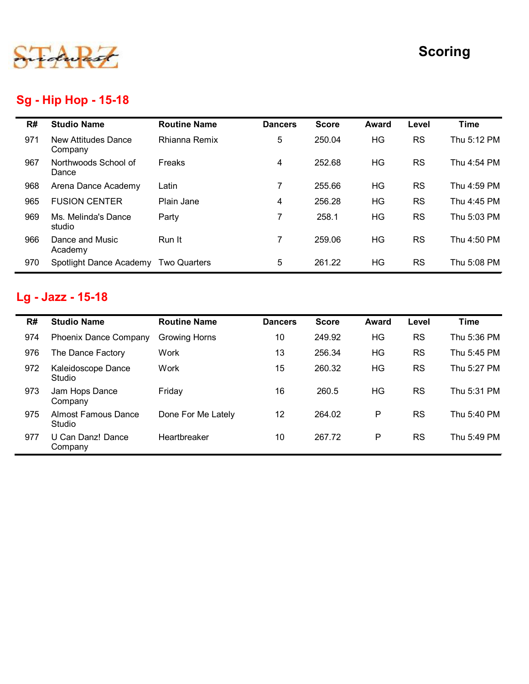

## Sg - Hip Hop - 15-18

|     |                                      |                      |                |              |              |           | <b>Scoring</b> |
|-----|--------------------------------------|----------------------|----------------|--------------|--------------|-----------|----------------|
|     | <b>Sg - Hip Hop - 15-18</b>          |                      |                |              |              |           |                |
| R#  | <b>Studio Name</b>                   | <b>Routine Name</b>  | <b>Dancers</b> | <b>Score</b> | <b>Award</b> | Level     | <b>Time</b>    |
| 971 | New Attitudes Dance<br>Company       | Rhianna Remix        | 5              | 250.04       | HG           | <b>RS</b> | Thu 5:12 PM    |
| 967 | Northwoods School of<br>Dance        | Freaks               | $\overline{4}$ | 252.68       | HG           | <b>RS</b> | Thu 4:54 PM    |
| 968 | Arena Dance Academy                  | Latin                | $\overline{7}$ | 255.66       | <b>HG</b>    | <b>RS</b> | Thu 4:59 PM    |
| 965 | <b>FUSION CENTER</b>                 | Plain Jane           | 4              | 256.28       | HG           | <b>RS</b> | Thu 4:45 PM    |
| 969 | Ms. Melinda's Dance<br>studio        | Party                | $\overline{7}$ | 258.1        | HG           | <b>RS</b> | Thu 5:03 PM    |
| 966 | Dance and Music<br>Academy           | Run It               | $\overline{7}$ | 259.06       | HG           | <b>RS</b> | Thu 4:50 PM    |
| 970 | Spotlight Dance Academy Two Quarters |                      | 5              | 261.22       | HG           | <b>RS</b> | Thu 5:08 PM    |
|     | Lg - Jazz - 15-18                    |                      |                |              |              |           |                |
|     |                                      |                      |                |              |              |           |                |
| R#  | <b>Studio Name</b>                   | <b>Routine Name</b>  | <b>Dancers</b> | <b>Score</b> | <b>Award</b> | Level     | <b>Time</b>    |
| 974 | <b>Phoenix Dance Company</b>         | <b>Growing Horns</b> | 10             | 249.92       | HG           | <b>RS</b> | Thu 5:36 PM    |
| 976 | The Dance Factory                    | Work                 | 13             | 256.34       | HG           | <b>RS</b> | Thu 5:45 PM    |
| 972 | Kaleidoscope Dance<br>Studio         | Work                 | 15             | 260.32       | HG           | <b>RS</b> | Thu 5:27 PM    |
| 973 | Jam Hops Dance<br>Company            | Friday               | 16             | 260.5        | HG           | <b>RS</b> | Thu 5:31 PM    |
| 975 | <b>Almost Famous Dance</b>           | Done For Me Lately   | 12             | 264.02       | P            | <b>RS</b> | Thu 5:40 PM    |

## Lg - Jazz - 15-18

|     | Dance                                |                      |                 |              |              |           |             |
|-----|--------------------------------------|----------------------|-----------------|--------------|--------------|-----------|-------------|
| 968 | Arena Dance Academy                  | Latin                | $\overline{7}$  | 255.66       | HG           | <b>RS</b> | Thu 4:59 PM |
| 965 | <b>FUSION CENTER</b>                 | Plain Jane           | 4               | 256.28       | HG           | <b>RS</b> | Thu 4:45 PM |
| 969 | Ms. Melinda's Dance<br>studio        | Party                | $\overline{7}$  | 258.1        | HG           | <b>RS</b> | Thu 5:03 PM |
| 966 | Dance and Music<br>Academy           | Run It               | $\overline{7}$  | 259.06       | HG           | <b>RS</b> | Thu 4:50 PM |
| 970 | Spotlight Dance Academy Two Quarters |                      | $5\phantom{.0}$ | 261.22       | HG           | <b>RS</b> | Thu 5:08 PM |
|     | Lg - Jazz - 15-18                    |                      |                 |              |              |           |             |
|     |                                      |                      |                 |              |              |           |             |
| R#  | <b>Studio Name</b>                   | <b>Routine Name</b>  | <b>Dancers</b>  | <b>Score</b> | <b>Award</b> | Level     | <b>Time</b> |
| 974 | Phoenix Dance Company                | <b>Growing Horns</b> | 10              | 249.92       | HG           | <b>RS</b> | Thu 5:36 PM |
| 976 | The Dance Factory                    | Work                 | 13              | 256.34       | HG           | <b>RS</b> | Thu 5:45 PM |
| 972 | Kaleidoscope Dance<br>Studio         | Work                 | 15              | 260.32       | HG           | <b>RS</b> | Thu 5:27 PM |
| 973 | Jam Hops Dance<br>Company            | Friday               | 16              | 260.5        | HG           | <b>RS</b> | Thu 5:31 PM |
| 975 | <b>Almost Famous Dance</b><br>Studio | Done For Me Lately   | 12              | 264.02       | $\mathsf P$  | <b>RS</b> | Thu 5:40 PM |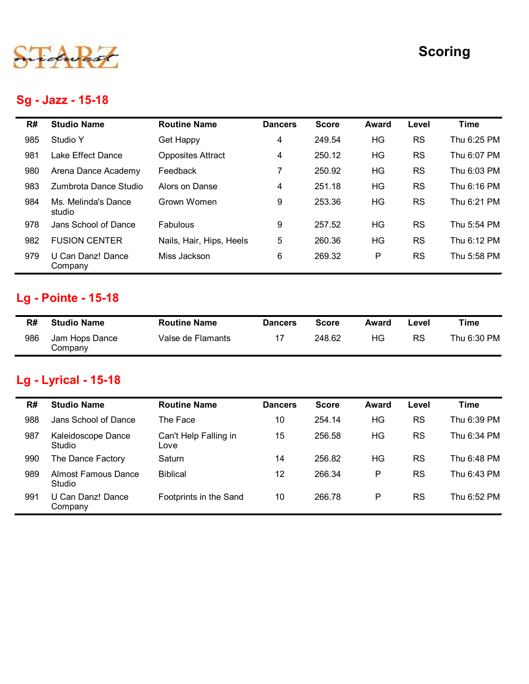

# Sg - Jazz - 15-18

|     |                               |                               |                |              |              |           | <b>Scoring</b> |
|-----|-------------------------------|-------------------------------|----------------|--------------|--------------|-----------|----------------|
|     | Sg - Jazz - 15-18             |                               |                |              |              |           |                |
| R#  | <b>Studio Name</b>            | <b>Routine Name</b>           | <b>Dancers</b> | <b>Score</b> | <b>Award</b> | Level     | <b>Time</b>    |
| 985 | Studio Y                      | <b>Get Happy</b>              | 4              | 249.54       | HG           | <b>RS</b> | Thu 6:25 PM    |
| 981 | Lake Effect Dance             | <b>Opposites Attract</b>      | 4              | 250.12       | HG           | <b>RS</b> | Thu 6:07 PM    |
| 980 | Arena Dance Academy           | Feedback                      | $\overline{7}$ | 250.92       | HG           | <b>RS</b> | Thu 6:03 PM    |
| 983 | Zumbrota Dance Studio         | Alors on Danse                | 4              | 251.18       | HG           | <b>RS</b> | Thu 6:16 PM    |
| 984 | Ms. Melinda's Dance<br>studio | Grown Women                   | 9              | 253.36       | HG           | <b>RS</b> | Thu 6:21 PM    |
| 978 | Jans School of Dance          | Fabulous                      | 9              | 257.52       | HG           | <b>RS</b> | Thu 5:54 PM    |
| 982 | <b>FUSION CENTER</b>          | Nails, Hair, Hips, Heels      | 5              | 260.36       | HG           | <b>RS</b> | Thu 6:12 PM    |
| 979 | U Can Danz! Dance<br>Company  | Miss Jackson                  | 6              | 269.32       | P            | <b>RS</b> | Thu 5:58 PM    |
|     | <b>Lg - Pointe - 15-18</b>    |                               |                |              |              |           |                |
| R#  | <b>Studio Name</b>            | <b>Routine Name</b>           | <b>Dancers</b> | <b>Score</b> | <b>Award</b> | Level     | <b>Time</b>    |
| 986 | Jam Hops Dance<br>Company     | Valse de Flamants             | 17             | 248.62       | HG           | RS        | Thu 6:30 PM    |
|     | <b>Lg - Lyrical - 15-18</b>   |                               |                |              |              |           |                |
| R#  | <b>Studio Name</b>            | <b>Routine Name</b>           | <b>Dancers</b> | <b>Score</b> | <b>Award</b> | Level     | <b>Time</b>    |
| 988 | Jans School of Dance          | The Face                      | 10             | 254.14       | HG           | <b>RS</b> | Thu 6:39 PM    |
| 987 | Kaleidoscope Dance<br>Studio  | Can't Help Falling in<br>Love | 15             | 256.58       | HG           | <b>RS</b> | Thu 6:34 PM    |
| 990 | The Dance Factory             | Saturn                        | 14             | 256.82       | HG           | <b>RS</b> | Thu 6:48 PM    |

# Lg - Pointe - 15-18

| R#  | <b>Studio Name</b>        | <b>Routine Name</b> | <b>Dancers</b> | <b>Score</b> | Award | _evel     | ™e          |
|-----|---------------------------|---------------------|----------------|--------------|-------|-----------|-------------|
| 986 | Jam Hops Dance<br>Company | Valse de Flamants   | 17             | 248.62       | ΗG    | <b>RS</b> | Thu 6:30 PM |

# Lg - Lyrical - 15-18

| 984 | Ms. Melinda's Dance<br>studio              | Grown Women                   | 9              | 253.36       | HG      | <b>RS</b> | Thu 6:21 PM |
|-----|--------------------------------------------|-------------------------------|----------------|--------------|---------|-----------|-------------|
| 978 | Jans School of Dance                       | Fabulous                      | 9              | 257.52       | HG      | <b>RS</b> | Thu 5:54 PM |
| 982 | <b>FUSION CENTER</b>                       | Nails, Hair, Hips, Heels      | 5              | 260.36       | HG      | <b>RS</b> | Thu 6:12 PM |
| 979 | U Can Danz! Dance<br>Company               | Miss Jackson                  | 6              | 269.32       | $\sf P$ | <b>RS</b> | Thu 5:58 PM |
|     | Lg - Pointe - 15-18                        |                               |                |              |         |           |             |
| R#  | <b>Studio Name</b>                         | <b>Routine Name</b>           | <b>Dancers</b> | <b>Score</b> | Award   | Level     | <b>Time</b> |
|     |                                            |                               |                |              |         |           |             |
| 986 | Jam Hops Dance<br>Company                  | Valse de Flamants             | 17             | 248.62       | HG      | <b>RS</b> | Thu 6:30 PM |
| R#  | Lg - Lyrical - 15-18<br><b>Studio Name</b> | <b>Routine Name</b>           | <b>Dancers</b> | <b>Score</b> | Award   | Level     | <b>Time</b> |
| 988 | Jans School of Dance                       | The Face                      | 10             | 254.14       | HG      | <b>RS</b> | Thu 6:39 PM |
| 987 | Kaleidoscope Dance<br>Studio               | Can't Help Falling in<br>Love | 15             | 256.58       | HG      | <b>RS</b> | Thu 6:34 PM |
| 990 | The Dance Factory                          | Saturn                        | 14             | 256.82       | HG      | <b>RS</b> | Thu 6:48 PM |
| 989 | <b>Almost Famous Dance</b><br>Studio       | <b>Biblical</b>               | 12             | 266.34       | P       | <b>RS</b> | Thu 6:43 PM |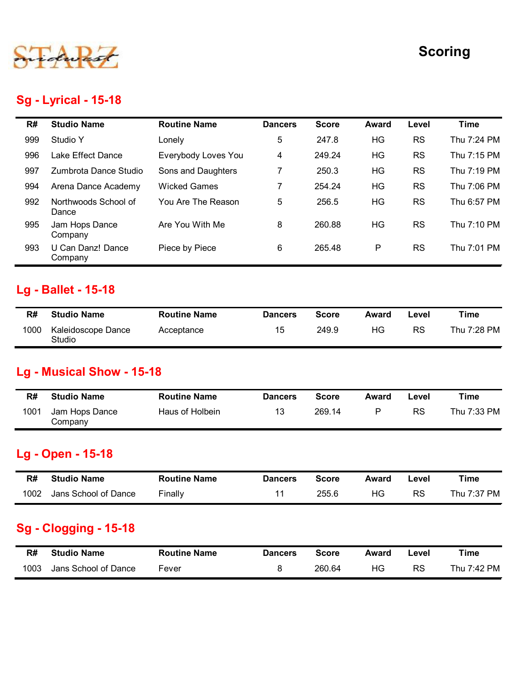

#### Sg - Lyrical - 15-18

|      |                                  |                     |                |              |              |           | <b>Scoring</b> |
|------|----------------------------------|---------------------|----------------|--------------|--------------|-----------|----------------|
|      | Sg - Lyrical - 15-18             |                     |                |              |              |           |                |
| R#   | <b>Studio Name</b>               | <b>Routine Name</b> | <b>Dancers</b> | <b>Score</b> | Award        | Level     | <b>Time</b>    |
| 999  | Studio Y                         | Lonely              | 5              | 247.8        | HG           | RS        | Thu 7:24 PM    |
| 996  | Lake Effect Dance                | Everybody Loves You | $\overline{4}$ | 249.24       | HG           | <b>RS</b> | Thu 7:15 PM    |
| 997  | Zumbrota Dance Studio            | Sons and Daughters  | $\overline{7}$ | 250.3        | HG           | <b>RS</b> | Thu 7:19 PM    |
| 994  | Arena Dance Academy              | <b>Wicked Games</b> | $\overline{7}$ | 254.24       | HG           | <b>RS</b> | Thu 7:06 PM    |
| 992  | Northwoods School of<br>Dance    | You Are The Reason  | 5              | 256.5        | HG           | RS        | Thu 6:57 PM    |
| 995  | Jam Hops Dance<br>Company        | Are You With Me     | 8              | 260.88       | HG           | <b>RS</b> | Thu 7:10 PM    |
| 993  | U Can Danz! Dance<br>Company     | Piece by Piece      | 6              | 265.48       | P            | RS        | Thu 7:01 PM    |
|      | Lg - Ballet - 15-18              |                     |                |              |              |           |                |
| R#   | <b>Studio Name</b>               | <b>Routine Name</b> | <b>Dancers</b> | <b>Score</b> | Award        | Level     | <b>Time</b>    |
| 1000 | Kaleidoscope Dance<br>Studio     | Acceptance          | 15             | 249.9        | HG           | <b>RS</b> | Thu 7:28 PM    |
|      | <b>Lg - Musical Show - 15-18</b> |                     |                |              |              |           |                |
| R#   | <b>Studio Name</b>               | <b>Routine Name</b> | <b>Dancers</b> | <b>Score</b> | <b>Award</b> | Level     | <b>Time</b>    |
| 1001 | Jam Hops Dance<br>Company        | Haus of Holbein     | 13             | 269.14       | P            | RS        | Thu 7:33 PM    |

#### Lg - Ballet - 15-18

| R#   | <b>Studio Name</b>           | <b>Routine Name</b> | <b>Dancers</b> | Score | Award | ∟evel | Time        |
|------|------------------------------|---------------------|----------------|-------|-------|-------|-------------|
| 1000 | Kaleidoscope Dance<br>Studio | Acceptance          | 15             | 249.9 | HG.   | RS    | Thu 7:28 PM |

#### Lg - Musical Show - 15-18

|      | <b>Studio Name</b>           | <b>Routine Name</b> | <b>Dancers</b> | <b>Score</b> | Award        | Level     | <b>Time</b> |
|------|------------------------------|---------------------|----------------|--------------|--------------|-----------|-------------|
| 1000 | Kaleidoscope Dance<br>Studio | Acceptance          | 15             | 249.9        | HG           | <b>RS</b> | Thu 7:28 PM |
|      | Lg - Musical Show - 15-18    |                     |                |              |              |           |             |
| R#   | <b>Studio Name</b>           | <b>Routine Name</b> | <b>Dancers</b> | <b>Score</b> | Award        | Level     | <b>Time</b> |
| 1001 | Jam Hops Dance<br>Company    | Haus of Holbein     | 13             | 269.14       | ${\sf P}$    | <b>RS</b> | Thu 7:33 PM |
|      | Lg - Open - 15-18            |                     |                |              |              |           |             |
| R#   | <b>Studio Name</b>           | <b>Routine Name</b> | <b>Dancers</b> | <b>Score</b> | <b>Award</b> | Level     | <b>Time</b> |
| 1002 | Jans School of Dance         | Finally             | 11             | 255.6        | HG           | <b>RS</b> | Thu 7:37 PM |
|      |                              |                     |                |              |              |           |             |
|      | <b>Sg - Clogging - 15-18</b> |                     |                |              |              |           |             |
| R#   | <b>Studio Name</b>           | <b>Routine Name</b> | <b>Dancers</b> | <b>Score</b> | Award        | Level     | <b>Time</b> |

#### Lg - Open - 15-18

| R#   | <b>Studio Name</b>   | Routine Name | <b>Dancers</b> | Score | Award | Level | Time        |
|------|----------------------|--------------|----------------|-------|-------|-------|-------------|
| 1002 | Jans School of Dance | Finally      |                | 255.6 | ΗG    | RS    | Thu 7:37 PM |

#### Sg - Clogging - 15-18

| R#   | <b>Studio Name</b>   | <b>Routine Name</b> | <b>Dancers</b> | Score  | Award | ∟evel     | ™ime        |
|------|----------------------|---------------------|----------------|--------|-------|-----------|-------------|
| 1003 | Jans School of Dance | -ever               |                | 260.64 | НG    | <b>RS</b> | Thu 7:42 PM |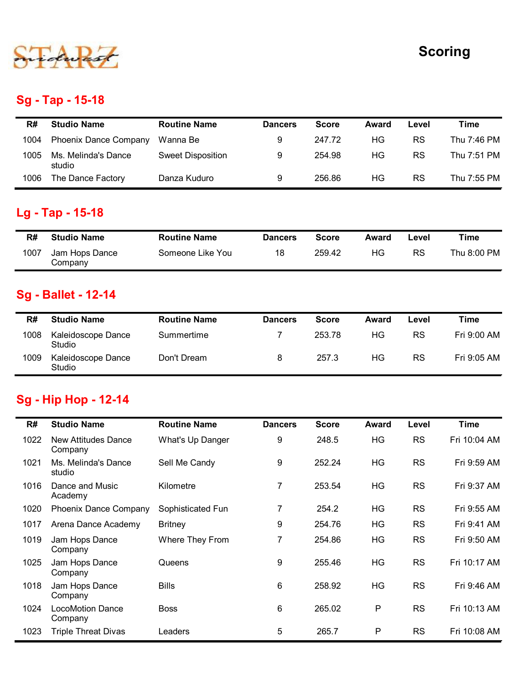

## Sg - Tap - 15-18

|      |                               |                          |                |              |              |           | <b>Scoring</b> |
|------|-------------------------------|--------------------------|----------------|--------------|--------------|-----------|----------------|
|      | <b>Sg - Tap - 15-18</b>       |                          |                |              |              |           |                |
| R#   | <b>Studio Name</b>            | <b>Routine Name</b>      | <b>Dancers</b> | <b>Score</b> | <b>Award</b> | Level     | <b>Time</b>    |
| 1004 | Phoenix Dance Company         | Wanna Be                 | 9              | 247.72       | HG           | <b>RS</b> | Thu 7:46 PM    |
| 1005 | Ms. Melinda's Dance<br>studio | <b>Sweet Disposition</b> | 9              | 254.98       | HG           | <b>RS</b> | Thu 7:51 PM    |
| 1006 | The Dance Factory             | Danza Kuduro             | 9              | 256.86       | HG           | <b>RS</b> | Thu 7:55 PM    |
|      | Lg - Tap - 15-18              |                          |                |              |              |           |                |
| R#   | <b>Studio Name</b>            | <b>Routine Name</b>      | <b>Dancers</b> | <b>Score</b> | <b>Award</b> | Level     | <b>Time</b>    |
| 1007 | Jam Hops Dance<br>Company     | Someone Like You         | 18             | 259.42       | HG           | RS        | Thu 8:00 PM    |
|      | <b>Sg - Ballet - 12-14</b>    |                          |                |              |              |           |                |
| R#   | <b>Studio Name</b>            | <b>Routine Name</b>      | <b>Dancers</b> | <b>Score</b> | Award        | Level     | <b>Time</b>    |
| 1008 | Kaleidoscope Dance<br>Studio  | Summertime               | $\overline{7}$ | 253.78       | HG           | RS        | Fri 9:00 AM    |
|      | Kaleidoscope Dance            | Don't Dream              | 8              | 257.3        | HG           | <b>RS</b> | Fri 9:05 AM    |

## Lg - Tap - 15-18

| R#   | <b>Studio Name</b>        | <b>Routine Name</b> | <b>Dancers</b> | Score  | Award | -evel | Time        |
|------|---------------------------|---------------------|----------------|--------|-------|-------|-------------|
| 1007 | Jam Hops Dance<br>Company | Someone Like You    | 18             | 259.42 | HG    | RS    | Thu 8:00 PM |

# Sg - Ballet - 12-14

| 1004 | Phoenix Dance Company                            | Wanna Be                 | 9              | 247.72       | HG           | <b>RS</b> | Thu 7:46 PM |
|------|--------------------------------------------------|--------------------------|----------------|--------------|--------------|-----------|-------------|
| 1005 | Ms. Melinda's Dance<br>studio                    | <b>Sweet Disposition</b> | 9              | 254.98       | HG           | <b>RS</b> | Thu 7:51 PM |
| 1006 | The Dance Factory                                | Danza Kuduro             | 9              | 256.86       | HG           | <b>RS</b> | Thu 7:55 PM |
|      | Lg - Tap - 15-18                                 |                          |                |              |              |           |             |
| R#   | <b>Studio Name</b>                               | <b>Routine Name</b>      | <b>Dancers</b> | <b>Score</b> | <b>Award</b> | Level     | <b>Time</b> |
|      |                                                  |                          | 18             | 259.42       | HG           | <b>RS</b> | Thu 8:00 PM |
| 1007 | Jam Hops Dance<br>Company                        | Someone Like You         |                |              |              |           |             |
| R#   | <b>Sg - Ballet - 12-14</b><br><b>Studio Name</b> | <b>Routine Name</b>      | <b>Dancers</b> | <b>Score</b> | <b>Award</b> | Level     | <b>Time</b> |
| 1008 | Kaleidoscope Dance<br>Studio                     | Summertime               | $\overline{7}$ | 253.78       | HG           | <b>RS</b> | Fri 9:00 AM |

#### Sg - Hip Hop - 12-14

| R#   | <b>Studio Name</b>               | <b>Routine Name</b> | <b>Dancers</b> | <b>Score</b> | Award        | Level     | <b>Time</b>  |
|------|----------------------------------|---------------------|----------------|--------------|--------------|-----------|--------------|
| 1007 | Jam Hops Dance<br>Company        | Someone Like You    | 18             | 259.42       | HG           | <b>RS</b> | Thu 8:00 PM  |
|      | Sg - Ballet - 12-14              |                     |                |              |              |           |              |
| R#   | <b>Studio Name</b>               | <b>Routine Name</b> | <b>Dancers</b> | <b>Score</b> | Award        | Level     | <b>Time</b>  |
| 1008 | Kaleidoscope Dance<br>Studio     | Summertime          | 7              | 253.78       | HG           | <b>RS</b> | Fri 9:00 AM  |
| 1009 | Kaleidoscope Dance<br>Studio     | Don't Dream         | 8              | 257.3        | HG           | <b>RS</b> | Fri 9:05 AM  |
| R#   | <b>Studio Name</b>               | <b>Routine Name</b> | <b>Dancers</b> | <b>Score</b> | <b>Award</b> | Level     | <b>Time</b>  |
|      | <b>Sg - Hip Hop - 12-14</b>      |                     |                |              |              |           |              |
| 1022 | New Attitudes Dance              | What's Up Danger    | 9              | 248.5        | HG           | <b>RS</b> | Fri 10:04 AM |
|      | Company                          |                     |                |              |              |           |              |
| 1021 | Ms. Melinda's Dance<br>studio    | Sell Me Candy       | 9              | 252.24       | HG           | <b>RS</b> | Fri 9:59 AM  |
| 1016 | Dance and Music<br>Academy       | Kilometre           | $\overline{7}$ | 253.54       | HG           | <b>RS</b> | Fri 9:37 AM  |
| 1020 | <b>Phoenix Dance Company</b>     | Sophisticated Fun   | $\overline{7}$ | 254.2        | HG           | <b>RS</b> | Fri 9:55 AM  |
| 1017 | Arena Dance Academy              | <b>Britney</b>      | 9              | 254.76       | HG           | <b>RS</b> | Fri 9:41 AM  |
|      | Jam Hops Dance<br>Company        | Where They From     | 7              | 254.86       | HG           | <b>RS</b> | Fri 9:50 AM  |
| 1019 |                                  | Queens              | 9              | 255.46       | HG           | <b>RS</b> | Fri 10:17 AM |
| 1025 | Jam Hops Dance<br>Company        |                     |                |              |              |           |              |
|      | 1018 Jam Hops Dance<br>Company   | <b>Bills</b>        | 6              | 258.92       | HG           | <b>RS</b> | Fri 9:46 AM  |
|      | 1024 LocoMotion Dance<br>Company | <b>Boss</b>         | 6              | 265.02       | P            | RS        | Fri 10:13 AM |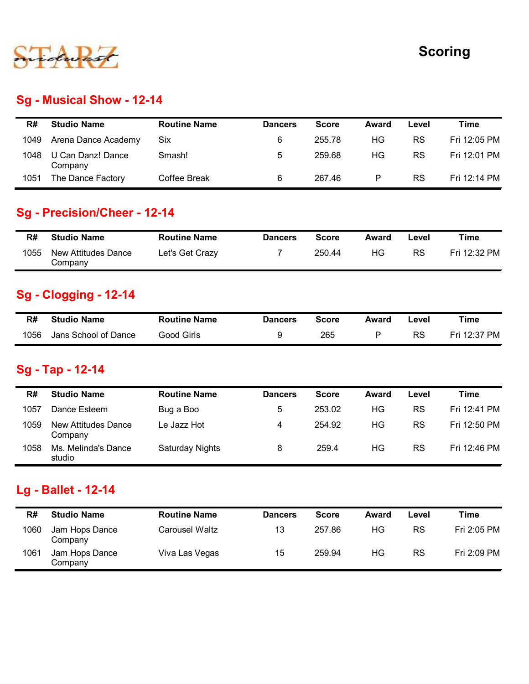

#### Sg - Musical Show - 12-14

|            |                                                                                             |                                        |                                  |                        |                    |                    | <b>Scoring</b>              |
|------------|---------------------------------------------------------------------------------------------|----------------------------------------|----------------------------------|------------------------|--------------------|--------------------|-----------------------------|
|            | Sg - Musical Show - 12-14                                                                   |                                        |                                  |                        |                    |                    |                             |
| R#         | <b>Studio Name</b>                                                                          | <b>Routine Name</b>                    | <b>Dancers</b>                   | <b>Score</b>           | Award              | Level              | <b>Time</b>                 |
| 1049       | Arena Dance Academy                                                                         | Six                                    | 6                                | 255.78                 | HG                 | <b>RS</b>          | Fri 12:05 PM                |
| 1048       | U Can Danz! Dance<br>Company                                                                | Smash!                                 | $\sqrt{5}$                       | 259.68                 | HG                 | <b>RS</b>          | Fri 12:01 PM                |
| 1051       | The Dance Factory                                                                           | Coffee Break                           | $\,6\,$                          | 267.46                 | $\sf P$            | <b>RS</b>          | Fri 12:14 PM                |
| R#<br>1055 | Sg - Precision/Cheer - 12-14<br><b>Studio Name</b><br><b>New Attitudes Dance</b><br>Company | <b>Routine Name</b><br>Let's Get Crazy | <b>Dancers</b><br>$\overline{7}$ | <b>Score</b><br>250.44 | <b>Award</b><br>HG | Level<br><b>RS</b> | <b>Time</b><br>Fri 12:32 PM |
|            |                                                                                             |                                        |                                  |                        |                    |                    |                             |
|            | <b>Sg - Clogging - 12-14</b>                                                                |                                        |                                  |                        |                    |                    |                             |
|            |                                                                                             |                                        |                                  |                        |                    |                    | <b>Time</b>                 |
| R#         | <b>Studio Name</b>                                                                          | <b>Routine Name</b>                    | <b>Dancers</b>                   | <b>Score</b>           | Award              | Level              |                             |

#### Sg - Precision/Cheer - 12-14

| R#   | <b>Studio Name</b>             | <b>Routine Name</b> | <b>Dancers</b> | Score  | Award | ∟evel     | Time         |
|------|--------------------------------|---------------------|----------------|--------|-------|-----------|--------------|
| 1055 | New Attitudes Dance<br>Company | Let's Get Crazy     |                | 250.44 | ΗG    | <b>RS</b> | Fri 12:32 PM |

#### Sg - Clogging - 12-14

| R#   | <b>Studio Name</b>   | <b>Routine Name</b> | <b>Dancers</b> | Score | Award | -evel | Time         |
|------|----------------------|---------------------|----------------|-------|-------|-------|--------------|
| 1056 | Jans School of Dance | Good Girls          |                | 265   |       | RS    | Fri 12:37 PM |

#### Sg - Tap - 12-14

| 1051 | The Dance Factory                      | Coffee Break           | 6              | 267.46       | $\mathsf{P}$ | <b>RS</b> | Fri 12:14 PM |
|------|----------------------------------------|------------------------|----------------|--------------|--------------|-----------|--------------|
|      | <b>Sg - Precision/Cheer - 12-14</b>    |                        |                |              |              |           |              |
| R#   | <b>Studio Name</b>                     | <b>Routine Name</b>    | <b>Dancers</b> | <b>Score</b> | <b>Award</b> | Level     | <b>Time</b>  |
| 1055 | <b>New Attitudes Dance</b><br>Company  | Let's Get Crazy        | $\overline{7}$ | 250.44       | HG           | RS        | Fri 12:32 PM |
|      | <b>Sg - Clogging - 12-14</b>           |                        |                |              |              |           |              |
| R#   | <b>Studio Name</b>                     | <b>Routine Name</b>    | <b>Dancers</b> | <b>Score</b> | <b>Award</b> | Level     | <b>Time</b>  |
| 1056 | Jans School of Dance                   | <b>Good Girls</b>      | 9              | 265          | $\mathsf P$  | <b>RS</b> | Fri 12:37 PM |
| R#   | Sg - Tap - 12-14<br><b>Studio Name</b> | <b>Routine Name</b>    | <b>Dancers</b> | <b>Score</b> | <b>Award</b> | Level     | <b>Time</b>  |
|      |                                        |                        |                |              |              |           |              |
| 1057 | Dance Esteem                           | Bug a Boo              | 5              | 253.02       | HG           | <b>RS</b> | Fri 12:41 PM |
| 1059 | <b>New Attitudes Dance</b><br>Company  | Le Jazz Hot            | 4              | 254.92       | HG           | <b>RS</b> | Fri 12:50 PM |
| 1058 | Ms. Melinda's Dance<br>studio          | <b>Saturday Nights</b> | 8              | 259.4        | HG           | RS        | Fri 12:46 PM |
|      | <b>Lg - Ballet - 12-14</b>             |                        |                |              |              |           |              |
| R#   | <b>Studio Name</b>                     | <b>Routine Name</b>    | <b>Dancers</b> | <b>Score</b> | Award        | Level     | <b>Time</b>  |
| 1060 | Jam Hops Dance<br>Company              | Carousel Waltz         | 13             | 257.86       | HG           | RS        | Fri 2:05 PM  |
|      | Jam Hops Dance                         | Viva Las Vegas         | 15             | 259.94       | HG           | RS        | Fri 2:09 PM  |

#### Lg - Ballet - 12-14

| R#   | <b>Studio Name</b>        | <b>Routine Name</b> | <b>Dancers</b> | <b>Score</b> | Award | Level | Time        |
|------|---------------------------|---------------------|----------------|--------------|-------|-------|-------------|
| 1060 | Jam Hops Dance<br>Company | Carousel Waltz      | 13             | 257.86       | ΗG    | RS    | Fri 2:05 PM |
| 1061 | Jam Hops Dance<br>Company | Viva Las Vegas      | 15             | 259.94       | ΗG    | RS    | Fri 2:09 PM |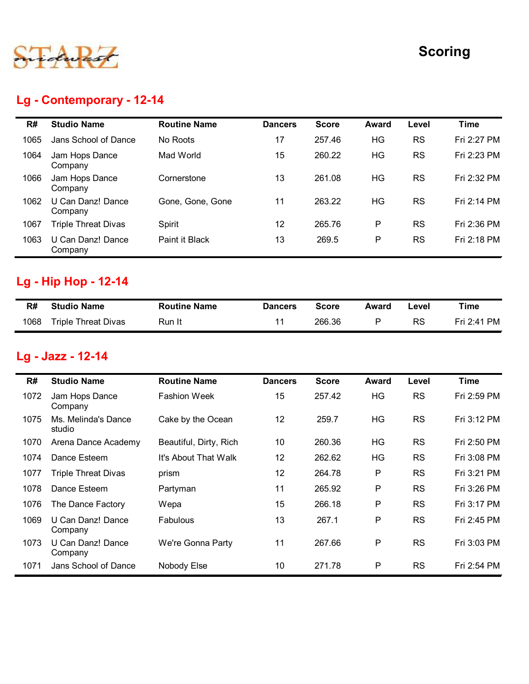

## Lg - Contemporary - 12-14

|      | Lg - Contemporary - 12-14     |                     |                |              |              |           | <b>Scoring</b> |
|------|-------------------------------|---------------------|----------------|--------------|--------------|-----------|----------------|
| R#   | <b>Studio Name</b>            | <b>Routine Name</b> | <b>Dancers</b> | <b>Score</b> | <b>Award</b> | Level     | <b>Time</b>    |
| 1065 | Jans School of Dance          | No Roots            | 17             | 257.46       | HG           | <b>RS</b> | Fri 2:27 PM    |
| 1064 | Jam Hops Dance<br>Company     | Mad World           | 15             | 260.22       | HG           | <b>RS</b> | Fri 2:23 PM    |
| 1066 | Jam Hops Dance<br>Company     | Cornerstone         | 13             | 261.08       | HG           | <b>RS</b> | Fri 2:32 PM    |
| 1062 | U Can Danz! Dance<br>Company  | Gone, Gone, Gone    | 11             | 263.22       | HG           | <b>RS</b> | Fri 2:14 PM    |
| 1067 | <b>Triple Threat Divas</b>    | Spirit              | 12             | 265.76       | P            | <b>RS</b> | Fri 2:36 PM    |
| 1063 | U Can Danz! Dance<br>Company  | Paint it Black      | 13             | 269.5        | P            | <b>RS</b> | Fri 2:18 PM    |
|      | Lg - Hip Hop - 12-14          |                     |                |              |              |           |                |
| R#   | <b>Studio Name</b>            | <b>Routine Name</b> | <b>Dancers</b> | <b>Score</b> | <b>Award</b> | Level     | <b>Time</b>    |
| 1068 | <b>Triple Threat Divas</b>    | Run It              | 11             | 266.36       | $\mathsf{P}$ | RS        | Fri 2:41 PM    |
|      | Lg - Jazz - 12-14             |                     |                |              |              |           |                |
| R#   | <b>Studio Name</b>            | <b>Routine Name</b> | <b>Dancers</b> | <b>Score</b> | <b>Award</b> | Level     | <b>Time</b>    |
| 1072 | Jam Hops Dance<br>Company     | <b>Fashion Week</b> | 15             | 257.42       | HG           | RS        | Fri 2:59 PM    |
|      |                               |                     |                |              |              |           |                |
| 1075 | Ms. Melinda's Dance<br>studio | Cake by the Ocean   | 12             | 259.7        | HG           | <b>RS</b> | Fri 3:12 PM    |

## Lg - Hip Hop - 12-14

| R#   | <b>Studio Name</b>         | <b>Routine Name</b> | <b>Dancers</b> | <b>Score</b> | Award | Level | Time        |
|------|----------------------------|---------------------|----------------|--------------|-------|-------|-------------|
| 1068 | <b>Triple Threat Divas</b> | Run It              |                | 266.36       |       | RS    | Fri 2:41 PM |

## Lg - Jazz - 12-14

| 1062 | U Can Danz! Dance<br>Company            | Gone, Gone, Gone       | 11              | 263.22       | HG           | <b>RS</b> | Fri 2:14 PM |
|------|-----------------------------------------|------------------------|-----------------|--------------|--------------|-----------|-------------|
| 1067 | <b>Triple Threat Divas</b>              | Spirit                 | 12              | 265.76       | P            | <b>RS</b> | Fri 2:36 PM |
| 1063 | U Can Danz! Dance<br>Company            | Paint it Black         | 13              | 269.5        | P            | RS        | Fri 2:18 PM |
|      | <b>Lg - Hip Hop - 12-14</b>             |                        |                 |              |              |           |             |
| R#   | <b>Studio Name</b>                      | <b>Routine Name</b>    | <b>Dancers</b>  | <b>Score</b> | Award        | Level     | <b>Time</b> |
| 1068 | <b>Triple Threat Divas</b>              | Run It                 | 11              | 266.36       | P            | <b>RS</b> | Fri 2:41 PM |
| R#   | Lg - Jazz - 12-14<br><b>Studio Name</b> | <b>Routine Name</b>    | <b>Dancers</b>  | <b>Score</b> | <b>Award</b> | Level     | <b>Time</b> |
| 1072 | Jam Hops Dance<br>Company               | <b>Fashion Week</b>    | 15              | 257.42       | HG           | <b>RS</b> | Fri 2:59 PM |
| 1075 | Ms. Melinda's Dance<br>studio           | Cake by the Ocean      | 12              | 259.7        | HG           | <b>RS</b> | Fri 3:12 PM |
| 1070 | Arena Dance Academy                     | Beautiful, Dirty, Rich | 10 <sup>°</sup> | 260.36       | <b>HG</b>    | <b>RS</b> | Fri 2:50 PM |
| 1074 | Dance Esteem                            | It's About That Walk   | 12              | 262.62       | HG           | <b>RS</b> | Fri 3:08 PM |
| 1077 | <b>Triple Threat Divas</b>              | prism                  | 12              | 264.78       | P            | <b>RS</b> | Fri 3:21 PM |
|      |                                         |                        | 11              | 265.92       | P            | <b>RS</b> | Fri 3:26 PM |
| 1078 | Dance Esteem                            | Partyman               |                 |              |              |           |             |
| 1076 | The Dance Factory                       | Wepa                   | 15              | 266.18       | P            | <b>RS</b> | Fri 3:17 PM |
| 1069 | U Can Danz! Dance<br>Company            | Fabulous               | 13              | 267.1        | P            | <b>RS</b> | Fri 2:45 PM |
| 1073 | U Can Danz! Dance<br>Company            | We're Gonna Party      | 11              | 267.66       | P            | <b>RS</b> | Fri 3:03 PM |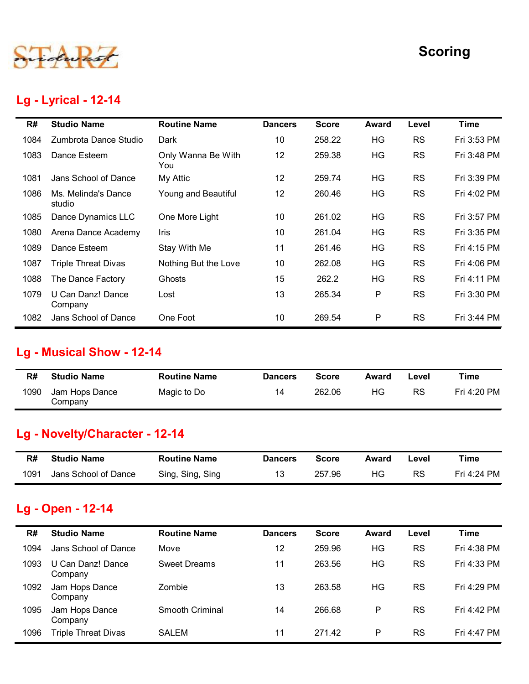

#### Lg - Lyrical - 12-14

|      |                                  |                           |                |              |              |           | <b>Scoring</b> |
|------|----------------------------------|---------------------------|----------------|--------------|--------------|-----------|----------------|
|      | <b>Lg - Lyrical - 12-14</b>      |                           |                |              |              |           |                |
| R#   | <b>Studio Name</b>               | <b>Routine Name</b>       | <b>Dancers</b> | <b>Score</b> | <b>Award</b> | Level     | <b>Time</b>    |
| 1084 | Zumbrota Dance Studio            | Dark                      | 10             | 258.22       | HG           | <b>RS</b> | Fri 3:53 PM    |
| 1083 | Dance Esteem                     | Only Wanna Be With<br>You | 12             | 259.38       | HG           | <b>RS</b> | Fri 3:48 PM    |
| 1081 | Jans School of Dance             | My Attic                  | 12             | 259.74       | HG           | <b>RS</b> | Fri 3:39 PM    |
| 1086 | Ms. Melinda's Dance<br>studio    | Young and Beautiful       | 12             | 260.46       | HG           | <b>RS</b> | Fri 4:02 PM    |
| 1085 | Dance Dynamics LLC               | One More Light            | 10             | 261.02       | HG           | <b>RS</b> | Fri 3:57 PM    |
| 1080 | Arena Dance Academy              | Iris                      | 10             | 261.04       | HG           | <b>RS</b> | Fri 3:35 PM    |
| 1089 | Dance Esteem                     | Stay With Me              | 11             | 261.46       | HG           | <b>RS</b> | Fri 4:15 PM    |
| 1087 | <b>Triple Threat Divas</b>       | Nothing But the Love      | 10             | 262.08       | HG           | <b>RS</b> | Fri 4:06 PM    |
| 1088 | The Dance Factory                | Ghosts                    | 15             | 262.2        | HG           | <b>RS</b> | Fri 4:11 PM    |
| 1079 | U Can Danz! Dance<br>Company     | Lost                      | 13             | 265.34       | P            | <b>RS</b> | Fri 3:30 PM    |
| 1082 | Jans School of Dance             | One Foot                  | 10             | 269.54       | P            | <b>RS</b> | Fri 3:44 PM    |
|      | <b>Lg - Musical Show - 12-14</b> |                           |                |              |              |           |                |
| R#   | <b>Studio Name</b>               | <b>Routine Name</b>       | <b>Dancers</b> | <b>Score</b> | <b>Award</b> | Level     | <b>Time</b>    |
| 1090 | Jam Hops Dance<br>Company        | Magic to Do               | 14             | 262.06       | HG           | <b>RS</b> | Fri 4:20 PM    |
|      | Lg - Novelty/Character - 12-14   |                           |                |              |              |           |                |
| R#   | <b>Studio Name</b>               | <b>Routine Name</b>       | <b>Dancers</b> | <b>Score</b> | <b>Award</b> | Level     | <b>Time</b>    |
| 1091 | Jans School of Dance             | Sing, Sing, Sing          | 13             | 257.96       | HG           | <b>RS</b> | Fri 4:24 PM    |

#### Lg - Musical Show - 12-14

| R#   | <b>Studio Name</b>        | <b>Routine Name</b> | <b>Dancers</b> | <b>Score</b> | Award | Level     | Time        |
|------|---------------------------|---------------------|----------------|--------------|-------|-----------|-------------|
| 1090 | Jam Hops Dance<br>Company | Magic to Do         | 14             | 262.06       | ΗG    | <b>RS</b> | Fri 4:20 PM |

#### Lg - Novelty/Character - 12-14

| R#   | <b>Studio Name</b>   | <b>Routine Name</b> | <b>Dancers</b> | Score  | Award | -evel | ™ime        |
|------|----------------------|---------------------|----------------|--------|-------|-------|-------------|
| 1091 | Jans School of Dance | Sing, Sing, Sing    | 12             | 257.96 | НG    | RS    | Fri 4:24 PM |

#### Lg - Open - 12-14

| 1082 | Jans School of Dance                      | One Foot            | 10             | 269.54       | P            | <b>RS</b> | Fri 3:44 PM |
|------|-------------------------------------------|---------------------|----------------|--------------|--------------|-----------|-------------|
|      |                                           |                     |                |              |              |           |             |
|      | <b>Lg - Musical Show - 12-14</b>          |                     |                |              |              |           |             |
| R#   | <b>Studio Name</b>                        | <b>Routine Name</b> | <b>Dancers</b> | <b>Score</b> | <b>Award</b> | Level     | <b>Time</b> |
| 1090 | Jam Hops Dance<br>Company                 | Magic to Do         | 14             | 262.06       | HG           | <b>RS</b> | Fri 4:20 PM |
|      | Lg - Novelty/Character - 12-14            |                     |                |              |              |           |             |
|      |                                           |                     |                |              | <b>Award</b> | Level     | <b>Time</b> |
| R#   | <b>Studio Name</b>                        | <b>Routine Name</b> | <b>Dancers</b> | <b>Score</b> |              |           |             |
| 1091 | Jans School of Dance<br>Lg - Open - 12-14 | Sing, Sing, Sing    | 13             | 257.96       | HG           | <b>RS</b> | Fri 4:24 PM |
| R#   | <b>Studio Name</b>                        | <b>Routine Name</b> | <b>Dancers</b> | <b>Score</b> | <b>Award</b> | Level     | <b>Time</b> |
| 1094 | Jans School of Dance                      | Move                | 12             | 259.96       | HG           | <b>RS</b> | Fri 4:38 PM |
| 1093 | U Can Danz! Dance<br>Company              | <b>Sweet Dreams</b> | 11             | 263.56       | HG           | <b>RS</b> | Fri 4:33 PM |
| 1092 | Jam Hops Dance<br>Company                 | Zombie              | 13             | 263.58       | HG           | <b>RS</b> | Fri 4:29 PM |
| 1095 | Jam Hops Dance<br>Company                 | Smooth Criminal     | 14             | 266.68       | P            | <b>RS</b> | Fri 4:42 PM |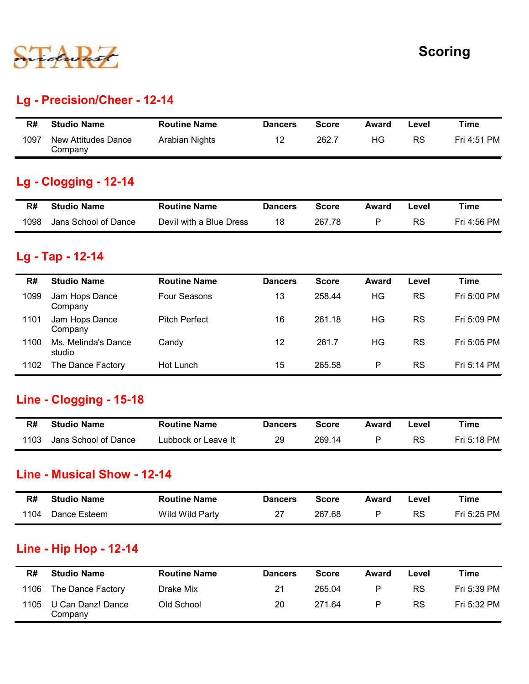

#### Lg - Precision/Cheer - 12-14

|      |                                |                     |                |              |       |       | <b>Scoring</b> |
|------|--------------------------------|---------------------|----------------|--------------|-------|-------|----------------|
|      |                                |                     |                |              |       |       |                |
|      |                                |                     |                |              |       |       |                |
|      | Lg - Precision/Cheer - 12-14   |                     |                |              |       |       |                |
| R#   | <b>Studio Name</b>             | <b>Routine Name</b> | <b>Dancers</b> | <b>Score</b> | Award | Level | <b>Time</b>    |
| 1097 | New Attitudes Dance<br>Company | Arabian Nights      | 12             | 262.7        | HG    | RS    | Fri 4:51 PM    |
|      | <b>Lg - Clogging - 12-14</b>   |                     |                |              |       |       |                |
| R#   | <b>Studio Name</b>             | <b>Routine Name</b> | <b>Dancers</b> | <b>Score</b> | Award | Level | <b>Time</b>    |

#### Lg - Clogging - 12-14

| R#   | <b>Studio Name</b>   | <b>Routine Name</b>     | <b>Dancers</b> | Score  | Award | ∟evel | Time        |
|------|----------------------|-------------------------|----------------|--------|-------|-------|-------------|
| 1098 | Jans School of Dance | Devil with a Blue Dress | 18             | 267.78 |       | RS    | Fri 4:56 PM |

#### Lg - Tap - 12-14

|      | duas                                   |                         |                |              |              |           | -------     |
|------|----------------------------------------|-------------------------|----------------|--------------|--------------|-----------|-------------|
|      | <b>Lg - Precision/Cheer - 12-14</b>    |                         |                |              |              |           |             |
| R#   | <b>Studio Name</b>                     | <b>Routine Name</b>     | <b>Dancers</b> | <b>Score</b> | <b>Award</b> | Level     | <b>Time</b> |
| 1097 | <b>New Attitudes Dance</b><br>Company  | Arabian Nights          | 12             | 262.7        | HG           | <b>RS</b> | Fri 4:51 PM |
|      | <b>Lg - Clogging - 12-14</b>           |                         |                |              |              |           |             |
| R#   | <b>Studio Name</b>                     | <b>Routine Name</b>     | <b>Dancers</b> | <b>Score</b> | Award        | Level     | <b>Time</b> |
| 1098 | Jans School of Dance                   | Devil with a Blue Dress | 18             | 267.78       | P            | <b>RS</b> | Fri 4:56 PM |
| R#   | Lg - Tap - 12-14<br><b>Studio Name</b> | <b>Routine Name</b>     | <b>Dancers</b> | <b>Score</b> | <b>Award</b> | Level     | <b>Time</b> |
| 1099 | Jam Hops Dance<br>Company              | Four Seasons            | 13             | 258.44       | HG           | <b>RS</b> | Fri 5:00 PM |
| 1101 | Jam Hops Dance<br>Company              | <b>Pitch Perfect</b>    | 16             | 261.18       | HG           | <b>RS</b> | Fri 5:09 PM |
| 1100 | Ms. Melinda's Dance<br>studio          | Candy                   | 12             | 261.7        | HG           | <b>RS</b> | Fri 5:05 PM |
| 1102 | The Dance Factory                      | Hot Lunch               | 15             | 265.58       | P            | <b>RS</b> | Fri 5:14 PM |
|      | <b>Line - Clogging - 15-18</b>         |                         |                |              |              |           |             |
| R#   | <b>Studio Name</b>                     | <b>Routine Name</b>     | <b>Dancers</b> | <b>Score</b> | Award        | Level     | <b>Time</b> |
| 1103 | Jans School of Dance                   | Lubbock or Leave It     | 29             | 269.14       | P            | <b>RS</b> | Fri 5:18 PM |
|      | <b>Line - Musical Show - 12-14</b>     |                         |                |              |              |           |             |
| R#   | <b>Studio Name</b>                     | <b>Routine Name</b>     | <b>Dancers</b> | <b>Score</b> | <b>Award</b> | Level     | <b>Time</b> |
| 1104 | Dance Esteem                           | Wild Wild Party         | 27             | 267.68       | P            | <b>RS</b> | Fri 5:25 PM |
|      | <b>Line - Hip Hop - 12-14</b>          |                         |                |              |              |           |             |

#### Line - Clogging - 15-18

| R#   | <b>Studio Name</b>   | <b>Routine Name</b> | <b>Dancers</b> | Score  | Award | ∟evel | τime        |
|------|----------------------|---------------------|----------------|--------|-------|-------|-------------|
| 1103 | Jans School of Dance | Lubbock or Leave It | 29             | 269.14 |       | RS    | Fri 5:18 PM |

#### Line - Musical Show - 12-14

| R#   | <b>Studio Name</b> | <b>Routine Name</b> | <b>Dancers</b> | Score  | Award | ∟evel | Time        |
|------|--------------------|---------------------|----------------|--------|-------|-------|-------------|
| 1104 | Dance Esteem       | Wild Wild Party     | רמ             | 267.68 |       | RS    | Fri 5:25 PM |

#### Line - Hip Hop - 12-14

|      | studio                        |                     |                |              |              |           |             |
|------|-------------------------------|---------------------|----------------|--------------|--------------|-----------|-------------|
| 1102 | The Dance Factory             | Hot Lunch           | 15             | 265.58       | P            | <b>RS</b> | Fri 5:14 PM |
|      | Line - Clogging - 15-18       |                     |                |              |              |           |             |
| R#   | <b>Studio Name</b>            | <b>Routine Name</b> | <b>Dancers</b> | <b>Score</b> | Award        | Level     | <b>Time</b> |
| 1103 | Jans School of Dance          | Lubbock or Leave It | 29             | 269.14       | $\mathsf{P}$ | <b>RS</b> | Fri 5:18 PM |
|      | Line - Musical Show - 12-14   |                     |                |              |              |           |             |
| R#   | <b>Studio Name</b>            | <b>Routine Name</b> | <b>Dancers</b> | <b>Score</b> | <b>Award</b> | Level     | <b>Time</b> |
| 1104 | Dance Esteem                  | Wild Wild Party     | 27             | 267.68       | P            | <b>RS</b> | Fri 5:25 PM |
|      | <b>Line - Hip Hop - 12-14</b> |                     |                |              |              |           |             |
| R#   | <b>Studio Name</b>            | <b>Routine Name</b> | <b>Dancers</b> | <b>Score</b> | <b>Award</b> | Level     | <b>Time</b> |
| 1106 | The Dance Factory             | Drake Mix           | 21             | 265.04       | P            | <b>RS</b> | Fri 5:39 PM |
| 1105 | U Can Danz! Dance<br>Company  | Old School          | 20             | 271.64       | P            | <b>RS</b> | Fri 5:32 PM |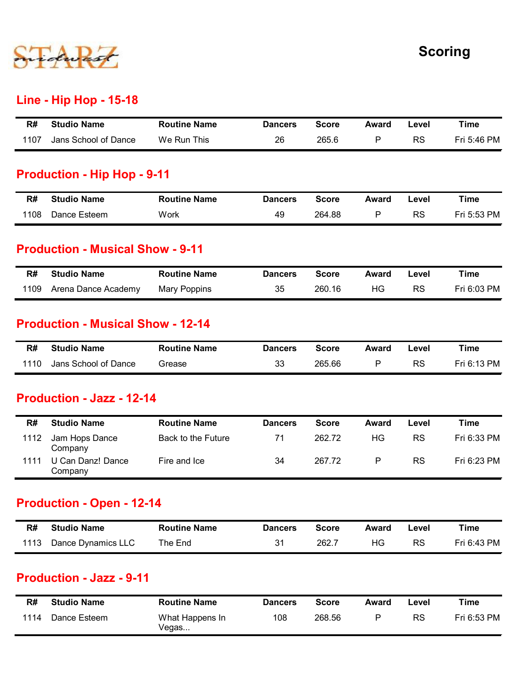

#### Line - Hip Hop - 15-18

|                     |                               |              | Award | Level | <b>Time</b>    |
|---------------------|-------------------------------|--------------|-------|-------|----------------|
| <b>Routine Name</b> | <b>Dancers</b>                | <b>Score</b> |       |       |                |
|                     | <b>Line - Hip Hop - 15-18</b> |              |       |       | <b>Scoring</b> |

#### Production - Hip Hop - 9-11

|      |                                                                |                     |                |              |              |           | <b>Scoring</b> |
|------|----------------------------------------------------------------|---------------------|----------------|--------------|--------------|-----------|----------------|
|      | <b>Line - Hip Hop - 15-18</b>                                  |                     |                |              |              |           |                |
| R#   | <b>Studio Name</b>                                             | <b>Routine Name</b> | <b>Dancers</b> | <b>Score</b> | <b>Award</b> | Level     | <b>Time</b>    |
| 1107 | Jans School of Dance                                           | We Run This         | 26             | 265.6        | P            | RS        | Fri 5:46 PM    |
| 1108 | Dance Esteem                                                   | Work                | 49             | 264.88       | P            | <b>RS</b> | Fri 5:53 PM    |
|      |                                                                |                     |                |              |              |           |                |
|      | <b>Production - Musical Show - 9-11</b>                        |                     |                |              |              |           |                |
|      |                                                                |                     |                | <b>Score</b> | <b>Award</b> | Level     | <b>Time</b>    |
| R#   | <b>Studio Name</b>                                             | <b>Routine Name</b> | <b>Dancers</b> |              |              |           |                |
| 1109 | Arena Dance Academy                                            | <b>Mary Poppins</b> | 35             | 260.16       | HG           | RS        | Fri 6:03 PM    |
| R#   | <b>Production - Musical Show - 12-14</b><br><b>Studio Name</b> | <b>Routine Name</b> | <b>Dancers</b> | <b>Score</b> | <b>Award</b> | Level     | <b>Time</b>    |

#### Production - Musical Show - 9-11

| R#   | <b>Studio Name</b>  | <b>Routine Name</b> | <b>Dancers</b> | <b>Score</b> | Award | _evel | Time        |
|------|---------------------|---------------------|----------------|--------------|-------|-------|-------------|
| 1109 | Arena Dance Academy | Mary Poppins        | 35             | 260.16       | ΗG    | RS    | Fri 6:03 PM |

#### Production - Musical Show - 12-14

| R#   | <b>Studio Name</b>   | <b>Routine Name</b> | <b>Dancers</b> | <b>Score</b> | Award | ∟evel | Time        |
|------|----------------------|---------------------|----------------|--------------|-------|-------|-------------|
| 1110 | Jans School of Dance | Grease              | 33             | 265.66       |       | RS    | Fri 6:13 PM |

#### Production - Jazz - 12-14

| R#           | <b>Studio Name</b>                                     | <b>Routine Name</b>                       | <b>Dancers</b> | <b>Score</b>     | Award              | Level                  | Time                       |
|--------------|--------------------------------------------------------|-------------------------------------------|----------------|------------------|--------------------|------------------------|----------------------------|
| 1108         | Dance Esteem                                           | Work                                      | 49             | 264.88           | $\mathsf{P}$       | RS                     | Fri 5:53 PM                |
|              | <b>Production - Musical Show - 9-11</b>                |                                           |                |                  |                    |                        |                            |
| R#           | <b>Studio Name</b>                                     | <b>Routine Name</b>                       | <b>Dancers</b> | <b>Score</b>     | Award              | Level                  | <b>Time</b>                |
| 1109         | Arena Dance Academy                                    | <b>Mary Poppins</b>                       | 35             | 260.16           | HG                 | <b>RS</b>              | Fri 6:03 PM                |
|              | <b>Production - Musical Show - 12-14</b>               |                                           |                |                  |                    |                        |                            |
| R#           | <b>Studio Name</b>                                     | <b>Routine Name</b>                       | <b>Dancers</b> | <b>Score</b>     | <b>Award</b>       | Level                  | <b>Time</b>                |
| 1110         | Jans School of Dance                                   | Grease                                    | 33             | 265.66           | P                  | <b>RS</b>              | Fri 6:13 PM                |
| R#           | <b>Production - Jazz - 12-14</b><br><b>Studio Name</b> | <b>Routine Name</b>                       | <b>Dancers</b> | <b>Score</b>     | Award              | Level                  | <b>Time</b>                |
|              |                                                        |                                           |                |                  |                    |                        |                            |
| 1112<br>1111 | Jam Hops Dance<br>Company<br>U Can Danz! Dance         | <b>Back to the Future</b><br>Fire and Ice | 71<br>34       | 262.72<br>267.72 | HG<br>$\mathsf{P}$ | <b>RS</b><br><b>RS</b> | Fri 6:33 PM<br>Fri 6:23 PM |
|              | Company                                                |                                           |                |                  |                    |                        |                            |
|              | <b>Production - Open - 12-14</b>                       |                                           |                |                  |                    |                        |                            |
| R#           | <b>Studio Name</b>                                     | <b>Routine Name</b>                       | <b>Dancers</b> | <b>Score</b>     | Award              | Level                  | <b>Time</b>                |
| 1113         | Dance Dynamics LLC                                     | The End                                   | 31             | 262.7            | HG                 | <b>RS</b>              | Fri 6:43 PM                |
|              | <b>Production - Jazz - 9-11</b>                        |                                           |                |                  |                    |                        |                            |
|              | <b>Studio Name</b>                                     | <b>Routine Name</b>                       | <b>Dancers</b> | <b>Score</b>     | Award              | Level                  | <b>Time</b>                |
| R#           |                                                        | What Happens In                           | 108            | 268.56           | $\mathsf{P}$       | RS                     | Fri 6:53 PM                |

#### Production - Open - 12-14

| R#   | <b>Studio Name</b> | <b>Routine Name</b> | <b>Dancers</b> | Score | Award | Level     | Time        |
|------|--------------------|---------------------|----------------|-------|-------|-----------|-------------|
| 1113 | Dance Dynamics LLC | The End             | 24             | 262.7 | HG.   | <b>RS</b> | Fri 6:43 PM |

#### Production - Jazz - 9-11

| R#   | <b>Studio Name</b> | <b>Routine Name</b>      | <b>Dancers</b> | <b>Score</b> | Award | ∟evel | Time        |
|------|--------------------|--------------------------|----------------|--------------|-------|-------|-------------|
| 1114 | Dance Esteem       | What Happens In<br>Vegas | 108            | 268.56       | P     | RS    | Fri 6:53 PM |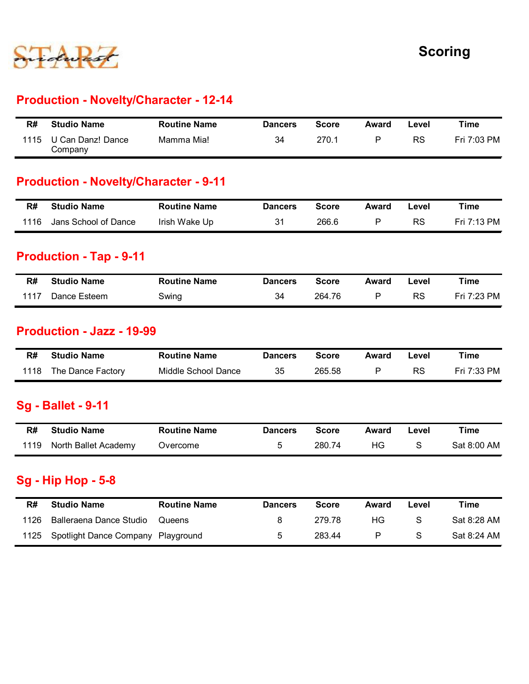

#### Production - Novelty/Character - 12-14

|      |                                               |                     |                |              |              |           | <b>Scoring</b> |
|------|-----------------------------------------------|---------------------|----------------|--------------|--------------|-----------|----------------|
|      |                                               |                     |                |              |              |           |                |
|      |                                               |                     |                |              |              |           |                |
|      | <b>Production - Novelty/Character - 12-14</b> |                     |                |              |              |           |                |
| R#   | <b>Studio Name</b>                            | <b>Routine Name</b> | <b>Dancers</b> | <b>Score</b> | <b>Award</b> | Level     | <b>Time</b>    |
| 1115 | U Can Danz! Dance                             | Mamma Mia!          |                |              |              |           |                |
|      | Company                                       |                     | 34             | 270.1        | $\mathsf{P}$ | <b>RS</b> | Fri 7:03 PM    |
|      | <b>Production - Novelty/Character - 9-11</b>  |                     |                |              |              |           |                |
| R#   | <b>Studio Name</b>                            | <b>Routine Name</b> | <b>Dancers</b> | <b>Score</b> | Award        | Level     | <b>Time</b>    |
| 1116 | Jans School of Dance                          | Irish Wake Up       | 31             | 266.6        | $\mathsf{P}$ | RS        | Fri 7:13 PM    |
|      | <b>Production - Tap - 9-11</b>                |                     |                |              |              |           |                |
| R#   | <b>Studio Name</b>                            | <b>Routine Name</b> | <b>Dancers</b> | <b>Score</b> | <b>Award</b> | Level     | <b>Time</b>    |

#### Production - Novelty/Character - 9-11

| R#   | <b>Studio Name</b>   | <b>Routine Name</b> | <b>Dancers</b> | <b>Score</b> | Award | Level | Time        |
|------|----------------------|---------------------|----------------|--------------|-------|-------|-------------|
| 1116 | Jans School of Dance | Irish Wake Up       | 31             | 266.6        |       | RS    | Fri 7:13 PM |

#### Production - Tap - 9-11

|      | Company                                                |                     |                |              |              |           |             |
|------|--------------------------------------------------------|---------------------|----------------|--------------|--------------|-----------|-------------|
|      | <b>Production - Novelty/Character - 9-11</b>           |                     |                |              |              |           |             |
| R#   | <b>Studio Name</b>                                     | <b>Routine Name</b> | <b>Dancers</b> | <b>Score</b> | Award        | Level     | <b>Time</b> |
| 1116 | Jans School of Dance                                   | Irish Wake Up       | 31             | 266.6        | $\mathsf{P}$ | <b>RS</b> | Fri 7:13 PM |
|      | <b>Production - Tap - 9-11</b>                         |                     |                |              |              |           |             |
| R#   | <b>Studio Name</b>                                     | <b>Routine Name</b> | <b>Dancers</b> | <b>Score</b> | Award        | Level     | <b>Time</b> |
| 1117 | Dance Esteem                                           | Swing               | 34             | 264.76       | $\mathsf{P}$ | <b>RS</b> | Fri 7:23 PM |
| R#   | <b>Production - Jazz - 19-99</b><br><b>Studio Name</b> | <b>Routine Name</b> | <b>Dancers</b> | <b>Score</b> | Award        | Level     | <b>Time</b> |
| 1118 | The Dance Factory                                      | Middle School Dance | 35             | 265.58       | P            | <b>RS</b> | Fri 7:33 PM |
|      | <b>Sg - Ballet - 9-11</b>                              |                     |                |              |              |           |             |
| R#   | <b>Studio Name</b>                                     | <b>Routine Name</b> | <b>Dancers</b> | <b>Score</b> | Award        | Level     | <b>Time</b> |
| 1119 | North Ballet Academy                                   | Overcome            | 5              | 280.74       | HG           | S         | Sat 8:00 AM |
|      | <b>Sg - Hip Hop - 5-8</b>                              |                     |                |              |              |           |             |
|      |                                                        |                     |                |              |              |           |             |

#### Production - Jazz - 19-99

| R#   | Studio Name            | <b>Routine Name</b> | <b>Dancers</b> | <b>Score</b> | Award | -evel     | Time              |
|------|------------------------|---------------------|----------------|--------------|-------|-----------|-------------------|
| 1118 | The .<br>Dance Factory | Middle School Dance | つに<br>ັບ       | 265.58       |       | <b>RS</b> | 7:33 PM<br>7<br>п |

#### Sg - Ballet - 9-11

| R#   | <b>Studio Name</b>   | <b>Routine Name</b> | <b>Dancers</b> | <b>Score</b> | Award | Level | Time        |
|------|----------------------|---------------------|----------------|--------------|-------|-------|-------------|
| 1119 | North Ballet Academy | Overcome            |                | 280.74       | HG.   |       | Sat 8:00 AM |

#### Sg - Hip Hop - 5-8

| R#   | <b>Studio Name</b>               | <b>Routine Name</b> | <b>Dancers</b> | <b>Score</b> | Award        | Level     | Time        |
|------|----------------------------------|---------------------|----------------|--------------|--------------|-----------|-------------|
| 1117 | Dance Esteem                     | Swing               | 34             | 264.76       | $\mathsf{P}$ | <b>RS</b> | Fri 7:23 PM |
|      |                                  |                     |                |              |              |           |             |
|      | <b>Production - Jazz - 19-99</b> |                     |                |              |              |           |             |
| R#   | <b>Studio Name</b>               | <b>Routine Name</b> | <b>Dancers</b> | <b>Score</b> | Award        | Level     | <b>Time</b> |
| 1118 | The Dance Factory                | Middle School Dance | 35             | 265.58       | $\mathsf{P}$ | <b>RS</b> | Fri 7:33 PM |
|      |                                  |                     |                |              |              |           |             |
|      | <b>Sg - Ballet - 9-11</b>        |                     |                |              |              |           |             |
| R#   | <b>Studio Name</b>               | <b>Routine Name</b> | <b>Dancers</b> | <b>Score</b> | Award        | Level     | <b>Time</b> |
| 1119 | North Ballet Academy             | Overcome            | 5              | 280.74       | HG           | S         | Sat 8:00 AM |
|      |                                  |                     |                |              |              |           |             |
|      | <b>Sg - Hip Hop - 5-8</b>        |                     |                |              |              |           |             |
|      |                                  | <b>Routine Name</b> | <b>Dancers</b> | <b>Score</b> | Award        | Level     | <b>Time</b> |
| R#   | <b>Studio Name</b>               |                     |                |              |              |           |             |
| 1126 | Balleraena Dance Studio          | Queens              | 8              | 279.78       | HG           | S         | Sat 8:28 AM |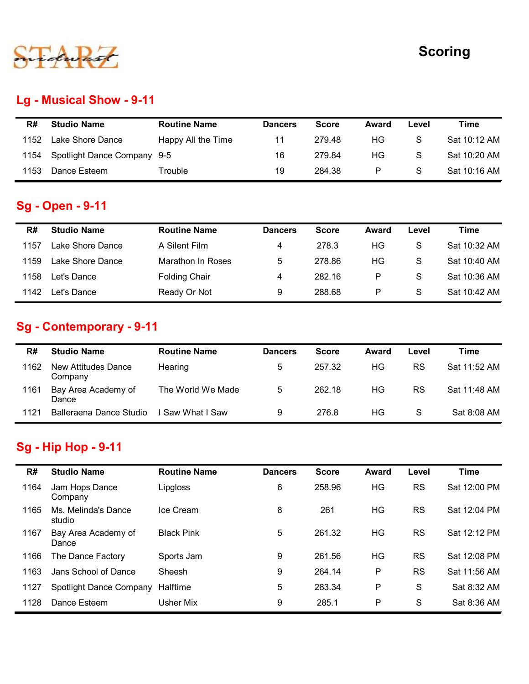

## Lg - Musical Show - 9-11

|      |                             |                     |                |              |       |               | <b>Scoring</b> |
|------|-----------------------------|---------------------|----------------|--------------|-------|---------------|----------------|
|      |                             |                     |                |              |       |               |                |
|      |                             |                     |                |              |       |               |                |
|      | Lg - Musical Show - 9-11    |                     |                |              |       |               |                |
| R#   | <b>Studio Name</b>          | <b>Routine Name</b> | <b>Dancers</b> | <b>Score</b> | Award | Level         | <b>Time</b>    |
| 1152 | Lake Shore Dance            | Happy All the Time  | 11             | 279.48       | HG    | ${\mathbb S}$ | Sat 10:12 AM   |
| 1154 | Spotlight Dance Company 9-5 |                     | 16             | 279.84       | HG    | ${\mathsf S}$ | Sat 10:20 AM   |

#### Sg - Open - 9-11

|      |                                                       |                          |                |              |              |               | <b>Scoring</b> |
|------|-------------------------------------------------------|--------------------------|----------------|--------------|--------------|---------------|----------------|
|      | <b>Lg - Musical Show - 9-11</b>                       |                          |                |              |              |               |                |
| R#   | <b>Studio Name</b>                                    | <b>Routine Name</b>      | <b>Dancers</b> | <b>Score</b> | <b>Award</b> | Level         | <b>Time</b>    |
| 1152 | Lake Shore Dance                                      | Happy All the Time       | 11             | 279.48       | HG           | S             | Sat 10:12 AM   |
| 1154 | Spotlight Dance Company 9-5                           |                          | 16             | 279.84       | HG           | S             | Sat 10:20 AM   |
| 1153 | Dance Esteem                                          | Trouble                  | 19             | 284.38       | P            | S             | Sat 10:16 AM   |
| R#   | <b>Studio Name</b>                                    | <b>Routine Name</b>      | <b>Dancers</b> | <b>Score</b> | <b>Award</b> | Level         | <b>Time</b>    |
| 1157 | Lake Shore Dance                                      | A Silent Film            | 4              | 278.3        | HG           | S             | Sat 10:32 AM   |
| 1159 | Lake Shore Dance                                      | <b>Marathon In Roses</b> | 5              | 278.86       | HG           | S             | Sat 10:40 AM   |
| 1158 | Let's Dance                                           | <b>Folding Chair</b>     | 4              | 282.16       | P            | S             | Sat 10:36 AM   |
| 1142 | Let's Dance                                           | Ready Or Not             | 9              | 288.68       | P            | S             | Sat 10:42 AM   |
| R#   | <b>Sg - Contemporary - 9-11</b><br><b>Studio Name</b> | <b>Routine Name</b>      | <b>Dancers</b> | <b>Score</b> | <b>Award</b> | Level         | <b>Time</b>    |
| 1162 | New Attitudes Dance<br>Company                        | Hearing                  | 5              | 257.32       | HG           | <b>RS</b>     | Sat 11:52 AM   |
| 1161 | Bay Area Academy of<br>Dance                          | The World We Made        | 5              | 262.18       | HG           | <b>RS</b>     | Sat 11:48 AM   |
|      | Balleraena Dance Studio                               | I Saw What I Saw         | 9              | 276.8        | HG           | ${\mathsf S}$ | Sat 8:08 AM    |

## Sg - Contemporary - 9-11

| 1 I J I | Lake SHOLE Darice                                | A ƏHƏHL FIIIH            | $^{+}$         | 210.J        | טח        | ◡         | <b>JAL 10.JZ AIVI</b> |
|---------|--------------------------------------------------|--------------------------|----------------|--------------|-----------|-----------|-----------------------|
| 1159    | Lake Shore Dance                                 | <b>Marathon In Roses</b> | 5              | 278.86       | <b>HG</b> | S         | Sat 10:40 AM          |
| 1158    | Let's Dance                                      | <b>Folding Chair</b>     | 4              | 282.16       | P         | S         | Sat 10:36 AM          |
| 1142    | Let's Dance                                      | Ready Or Not             | 9              | 288.68       | P         | S         | Sat 10:42 AM          |
|         | Sg - Contemporary - 9-11                         |                          |                |              |           |           |                       |
| R#      | <b>Studio Name</b>                               | <b>Routine Name</b>      | <b>Dancers</b> | <b>Score</b> | Award     | Level     | <b>Time</b>           |
| 1162    | <b>New Attitudes Dance</b><br>Company            | Hearing                  | 5              | 257.32       | HG        | <b>RS</b> | Sat 11:52 AM          |
| 1161    | Bay Area Academy of<br>Dance                     | The World We Made        | 5              | 262.18       | HG        | <b>RS</b> | Sat 11:48 AM          |
| 1121    | Balleraena Dance Studio                          | Saw What I Saw           | 9              | 276.8        | HG        | S         | Sat 8:08 AM           |
| R#      | <b>Sg - Hip Hop - 9-11</b><br><b>Studio Name</b> | <b>Routine Name</b>      |                | <b>Score</b> | Award     |           | <b>Time</b>           |
|         |                                                  |                          | <b>Dancers</b> |              |           | Level     |                       |
| 1164    | Jam Hops Dance<br>Company                        | Lipgloss                 | 6              | 258.96       | HG        | <b>RS</b> | Sat 12:00 PM          |
| 1165    | Ms. Melinda's Dance<br>studio                    | Ice Cream                | 8              | 261          | HG        | <b>RS</b> | Sat 12:04 PM          |
|         |                                                  |                          |                |              |           |           |                       |

# Sg - Hip Hop - 9-11

|      | Lake Shore Dance                                      | <b>Marathon In Roses</b> | O.             | Z10.00       | пv           |           | 3al 10.40 AM |
|------|-------------------------------------------------------|--------------------------|----------------|--------------|--------------|-----------|--------------|
| 1158 | Let's Dance                                           | <b>Folding Chair</b>     | 4              | 282.16       | $\mathsf{P}$ | S         | Sat 10:36 AM |
| 1142 | Let's Dance                                           | Ready Or Not             | 9              | 288.68       | ${\sf P}$    | S         | Sat 10:42 AM |
|      | Sg - Contemporary - 9-11                              |                          |                |              |              |           |              |
| R#   | <b>Studio Name</b>                                    | <b>Routine Name</b>      | <b>Dancers</b> | <b>Score</b> | Award        | Level     | <b>Time</b>  |
| 1162 | New Attitudes Dance<br>Company                        | Hearing                  | 5              | 257.32       | HG           | RS        | Sat 11:52 AM |
| 1161 | Bay Area Academy of<br>Dance                          | The World We Made        | 5              | 262.18       | HG           | <b>RS</b> | Sat 11:48 AM |
|      |                                                       |                          |                |              |              |           |              |
| 1121 | Balleraena Dance Studio<br><b>Sg - Hip Hop - 9-11</b> | I Saw What I Saw         | 9              | 276.8        | HG           | S         | Sat 8:08 AM  |
|      |                                                       |                          |                |              |              |           |              |
| R#   | <b>Studio Name</b>                                    | <b>Routine Name</b>      | <b>Dancers</b> | <b>Score</b> | Award        | Level     | <b>Time</b>  |
| 1164 | Jam Hops Dance<br>Company                             | Lipgloss                 | 6              | 258.96       | HG           | <b>RS</b> | Sat 12:00 PM |
| 1165 | Ms. Melinda's Dance<br>studio                         | Ice Cream                | 8              | 261          | HG           | <b>RS</b> | Sat 12:04 PM |
| 1167 | Bay Area Academy of<br>Dance                          | <b>Black Pink</b>        | 5              | 261.32       | HG           | <b>RS</b> | Sat 12:12 PM |
| 1166 | The Dance Factory                                     | Sports Jam               | 9              | 261.56       | HG           | <b>RS</b> | Sat 12:08 PM |
| 1163 | Jans School of Dance                                  | Sheesh                   | 9              | 264.14       | $\mathsf{P}$ | <b>RS</b> | Sat 11:56 AM |
| 1127 | Spotlight Dance Company                               | Halftime                 | 5              | 283.34       | P            | S         | Sat 8:32 AM  |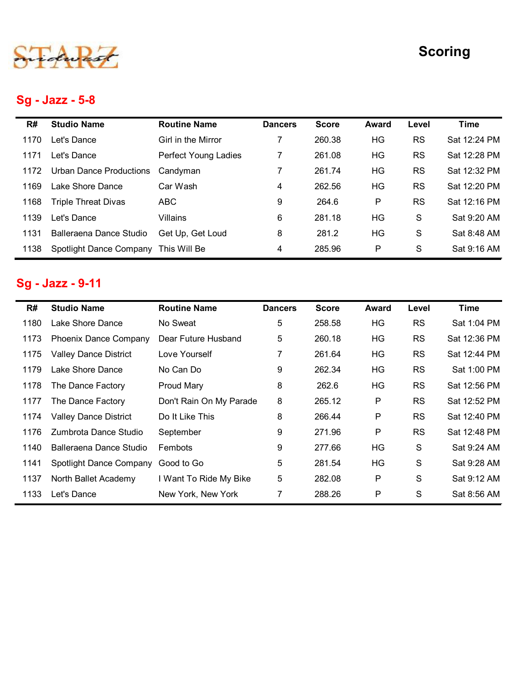# Sg - Jazz - 5-8

|      |                              |                         |                |              |              |           | <b>Scoring</b> |
|------|------------------------------|-------------------------|----------------|--------------|--------------|-----------|----------------|
|      |                              |                         |                |              |              |           |                |
|      |                              |                         |                |              |              |           |                |
|      | Sg - Jazz - 5-8              |                         |                |              |              |           |                |
| R#   | <b>Studio Name</b>           | <b>Routine Name</b>     | <b>Dancers</b> | <b>Score</b> | <b>Award</b> | Level     | <b>Time</b>    |
| 1170 | Let's Dance                  | Girl in the Mirror      | 7              | 260.38       | HG           | <b>RS</b> | Sat 12:24 PM   |
| 1171 | Let's Dance                  | Perfect Young Ladies    | 7              | 261.08       | HG           | <b>RS</b> | Sat 12:28 PM   |
| 1172 | Urban Dance Productions      | Candyman                | $\overline{7}$ | 261.74       | HG           | <b>RS</b> | Sat 12:32 PM   |
| 1169 | Lake Shore Dance             | Car Wash                | 4              | 262.56       | HG           | <b>RS</b> | Sat 12:20 PM   |
| 1168 | <b>Triple Threat Divas</b>   | <b>ABC</b>              | 9              | 264.6        | P            | <b>RS</b> | Sat 12:16 PM   |
| 1139 | Let's Dance                  | Villains                | 6              | 281.18       | HG           | S         | Sat 9:20 AM    |
| 1131 | Balleraena Dance Studio      | Get Up, Get Loud        | 8              | 281.2        | HG           | S         | Sat 8:48 AM    |
| 1138 | Spotlight Dance Company      | This Will Be            | 4              | 285.96       | P            | S         | Sat 9:16 AM    |
|      |                              |                         |                |              |              |           |                |
|      | Sg - Jazz - 9-11             |                         |                |              |              |           |                |
| R#   | <b>Studio Name</b>           | <b>Routine Name</b>     | <b>Dancers</b> | <b>Score</b> | <b>Award</b> | Level     | <b>Time</b>    |
|      | Lake Shore Dance             | No Sweat                | 5              | 258.58       | HG           | <b>RS</b> | Sat 1:04 PM    |
| 1180 | Phoenix Dance Company        | Dear Future Husband     | 5              | 260.18       | HG           | <b>RS</b> | Sat 12:36 PM   |
| 1173 |                              | Love Yourself           | $\overline{7}$ | 261.64       | HG           | <b>RS</b> | Sat 12:44 PM   |
| 1175 | <b>Valley Dance District</b> |                         |                |              |              |           |                |
| 1179 | Lake Shore Dance             | No Can Do               | 9              | 262.34       | HG           | <b>RS</b> | Sat 1:00 PM    |
| 1178 | The Dance Factory            | <b>Proud Mary</b>       | 8              | 262.6        | HG           | <b>RS</b> | Sat 12:56 PM   |
| 1177 | The Dance Factory            | Don't Rain On My Parade | 8              | 265.12       | P            | <b>RS</b> | Sat 12:52 PM   |

## Sg - Jazz - 9-11

| 1171 | Let's Dance                            | <b>Perfect Young Ladies</b> | $\overline{7}$ | 261.08       | HG           | <b>RS</b>     | Sat 12:28 PM |
|------|----------------------------------------|-----------------------------|----------------|--------------|--------------|---------------|--------------|
| 1172 | <b>Urban Dance Productions</b>         | Candyman                    | $\overline{7}$ | 261.74       | HG           | <b>RS</b>     | Sat 12:32 PM |
| 1169 | Lake Shore Dance                       | Car Wash                    | 4              | 262.56       | HG           | <b>RS</b>     | Sat 12:20 PM |
| 1168 | <b>Triple Threat Divas</b>             | <b>ABC</b>                  | 9              | 264.6        | $\mathsf{P}$ | <b>RS</b>     | Sat 12:16 PM |
| 1139 | Let's Dance                            | Villains                    | 6              | 281.18       | HG           | $\mathbf S$   | Sat 9:20 AM  |
| 1131 | Balleraena Dance Studio                | Get Up, Get Loud            | 8              | 281.2        | HG           | S             | Sat 8:48 AM  |
| 1138 | Spotlight Dance Company                | This Will Be                | 4              | 285.96       | P            | S             | Sat 9:16 AM  |
| R#   | Sg - Jazz - 9-11<br><b>Studio Name</b> | <b>Routine Name</b>         | <b>Dancers</b> | <b>Score</b> | Award        | Level         | <b>Time</b>  |
| 1180 | Lake Shore Dance                       | No Sweat                    | 5              | 258.58       | HG           | <b>RS</b>     | Sat 1:04 PM  |
| 1173 | Phoenix Dance Company                  | Dear Future Husband         | 5              | 260.18       | HG           | <b>RS</b>     | Sat 12:36 PM |
| 1175 | <b>Valley Dance District</b>           | Love Yourself               | $\overline{7}$ | 261.64       | HG           | <b>RS</b>     | Sat 12:44 PM |
| 1179 | Lake Shore Dance                       | No Can Do                   | 9              | 262.34       | HG           | <b>RS</b>     | Sat 1:00 PM  |
| 1178 | The Dance Factory                      | Proud Mary                  | 8              | 262.6        | HG           | <b>RS</b>     | Sat 12:56 PM |
| 1177 | The Dance Factory                      | Don't Rain On My Parade     | 8              | 265.12       | P            | <b>RS</b>     | Sat 12:52 PM |
| 1174 | <b>Valley Dance District</b>           | Do It Like This             | 8              | 266.44       | P            | <b>RS</b>     | Sat 12:40 PM |
|      | Zumbrota Dance Studio                  | September                   | 9              | 271.96       | P            | <b>RS</b>     | Sat 12:48 PM |
| 1176 |                                        |                             |                |              |              | ${\mathsf S}$ | Sat 9:24 AM  |
| 1140 | Balleraena Dance Studio                | Fembots                     | 9              | 277.66       | HG           |               |              |
| 1141 | Spotlight Dance Company                | Good to Go                  | 5              | 281.54       | HG           | ${\mathsf S}$ | Sat 9:28 AM  |
| 1137 | North Ballet Academy                   | I Want To Ride My Bike      | 5              | 282.08       | P            | S             | Sat 9:12 AM  |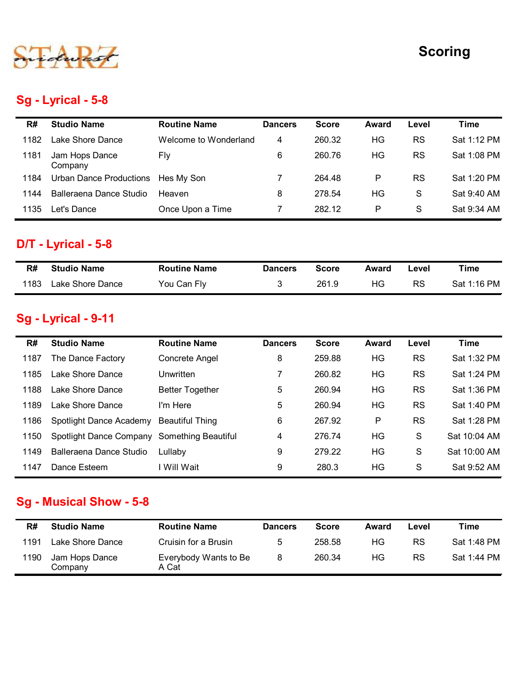

## Sg - Lyrical - 5-8

# D/T - Lyrical - 5-8

| R#   | <b>Studio Name</b> | <b>Routine Name</b> | <b>Dancers</b> | <b>Score</b> | Award | Level | Time        |
|------|--------------------|---------------------|----------------|--------------|-------|-------|-------------|
| 1183 | Lake Shore Dance   | You Can Fly         |                | 261.9        | HG.   | RS    | Sat 1:16 PM |

## Sg - Lyrical - 9-11

| 1181         | Jam Hops Dance<br>Company                 | Fly                    | 6              | 260.76       | HG           | <b>RS</b> | Sat 1:08 PM  |
|--------------|-------------------------------------------|------------------------|----------------|--------------|--------------|-----------|--------------|
| 1184         | <b>Urban Dance Productions</b>            | Hes My Son             | 7              | 264.48       | P            | <b>RS</b> | Sat 1:20 PM  |
| 1144         | Balleraena Dance Studio                   | Heaven                 | 8              | 278.54       | HG           | S         | Sat 9:40 AM  |
| 1135         | Let's Dance                               | Once Upon a Time       | 7              | 282.12       | P            | S         | Sat 9:34 AM  |
|              | <b>D/T - Lyrical - 5-8</b>                |                        |                |              |              |           |              |
| R#           | <b>Studio Name</b>                        | <b>Routine Name</b>    | <b>Dancers</b> | <b>Score</b> | <b>Award</b> | Level     | <b>Time</b>  |
| 1183         | Lake Shore Dance                          | You Can Fly            | 3              | 261.9        | HG           | <b>RS</b> | Sat 1:16 PM  |
| R#           | Sg - Lyrical - 9-11<br><b>Studio Name</b> | <b>Routine Name</b>    | <b>Dancers</b> | <b>Score</b> | <b>Award</b> | Level     | <b>Time</b>  |
| 1187         | The Dance Factory                         | Concrete Angel         | 8              | 259.88       | HG           | <b>RS</b> | Sat 1:32 PM  |
| 1185         | Lake Shore Dance                          | Unwritten              | 7              | 260.82       | HG           | <b>RS</b> | Sat 1:24 PM  |
| 1188         | Lake Shore Dance                          | <b>Better Together</b> | 5              | 260.94       | HG           | <b>RS</b> | Sat 1:36 PM  |
| 1189         | Lake Shore Dance                          | I'm Here               | 5              | 260.94       | HG           | <b>RS</b> | Sat 1:40 PM  |
| 1186         | Spotlight Dance Academy                   | <b>Beautiful Thing</b> | 6              | 267.92       | P            | <b>RS</b> | Sat 1:28 PM  |
| 1150         | Spotlight Dance Company                   | Something Beautiful    | 4              | 276.74       | HG           | S         | Sat 10:04 AM |
| 1149         | Balleraena Dance Studio                   | Lullaby                | 9              | 279.22       | HG           | S         | Sat 10:00 AM |
| 1147         | Dance Esteem                              | I Will Wait            | 9              | 280.3        | HG           | S         | Sat 9:52 AM  |
|              | <b>Sg - Musical Show - 5-8</b>            |                        |                |              |              |           |              |
| R#           | <b>Studio Name</b>                        | <b>Routine Name</b>    | <b>Dancers</b> | <b>Score</b> | <b>Award</b> | Level     | <b>Time</b>  |
|              | Lake Shore Dance                          | Cruisin for a Brusin   | 5              | 258.58       | HG           | RS        | Sat 1:48 PM  |
| 1191<br>1190 | Jam Hops Dance                            | Everybody Wants to Be  | 8              | 260.34       | HG           | <b>RS</b> | Sat 1:44 PM  |

## Sg - Musical Show - 5-8

| R#   | <b>Studio Name</b>        | <b>Routine Name</b>            | <b>Dancers</b> | <b>Score</b> | Award | Level     | Time        |
|------|---------------------------|--------------------------------|----------------|--------------|-------|-----------|-------------|
| 1191 | Lake Shore Dance          | Cruisin for a Brusin           | 5              | 258.58       | HG.   | RS        | Sat 1:48 PM |
| 1190 | Jam Hops Dance<br>Company | Everybody Wants to Be<br>A Cat |                | 260.34       | HG    | <b>RS</b> | Sat 1:44 PM |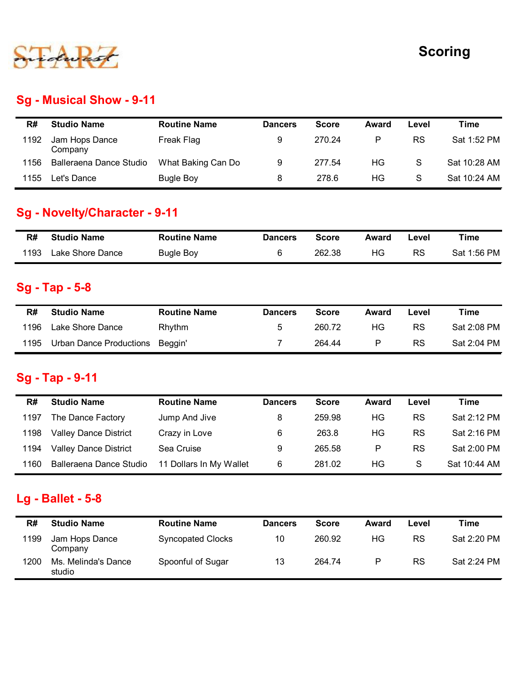

## Sg - Musical Show - 9-11

|      |                                      |                     |                 |              |              |             | <b>Scoring</b> |
|------|--------------------------------------|---------------------|-----------------|--------------|--------------|-------------|----------------|
|      |                                      |                     |                 |              |              |             |                |
|      | <b>Sg - Musical Show - 9-11</b>      |                     |                 |              |              |             |                |
| R#   | <b>Studio Name</b>                   | <b>Routine Name</b> | <b>Dancers</b>  | <b>Score</b> | <b>Award</b> | Level       | <b>Time</b>    |
| 1192 | Jam Hops Dance<br>Company            | Freak Flag          | 9               | 270.24       | P            | RS          | Sat 1:52 PM    |
| 1156 | Balleraena Dance Studio              | What Baking Can Do  | 9               | 277.54       | HG           | $\mathsf S$ | Sat 10:28 AM   |
| 1155 | Let's Dance                          | <b>Bugle Boy</b>    | $\bf 8$         | 278.6        | HG           | S           | Sat 10:24 AM   |
|      | <b>Sg - Novelty/Character - 9-11</b> |                     |                 |              |              |             |                |
| R#   | <b>Studio Name</b>                   | <b>Routine Name</b> | <b>Dancers</b>  | <b>Score</b> | <b>Award</b> | Level       | <b>Time</b>    |
| 1193 | Lake Shore Dance                     | <b>Bugle Boy</b>    | $\,6$           | 262.38       | HG           | <b>RS</b>   | Sat 1:56 PM    |
|      |                                      |                     |                 |              |              |             |                |
|      | <b>Sg - Tap - 5-8</b>                |                     |                 |              |              |             |                |
| R#   | <b>Studio Name</b>                   | <b>Routine Name</b> | <b>Dancers</b>  | <b>Score</b> | Award        | Level       | <b>Time</b>    |
| 1196 | Lake Shore Dance                     | Rhythm              | $5\phantom{.0}$ | 260.72       | HG           | <b>RS</b>   | Sat 2:08 PM    |

## Sg - Novelty/Character - 9-11

| R#   | <b>Studio Name</b> | <b>Routine Name</b> | <b>Dancers</b> | <b>Score</b> | Award | ∟evel | Time        |
|------|--------------------|---------------------|----------------|--------------|-------|-------|-------------|
| 1193 | Lake Shore Dance   | <b>Bugle Boy</b>    |                | 262.38       | HG    | RS    | Sat 1:56 PM |

#### Sg - Tap - 5-8

| R#   | <b>Studio Name</b>      | <b>Routine Name</b> | <b>Dancers</b> | Score  | Award | ∟evel | Time        |
|------|-------------------------|---------------------|----------------|--------|-------|-------|-------------|
| 1196 | Lake Shore Dance        | Rhythm              | ა              | 260.72 | ΗG    | RS    | Sat 2:08 PM |
| 1195 | Urban Dance Productions | Beaain'             |                | 264.44 | P     | RS    | Sat 2:04 PM |

## Sg - Tap - 9-11

|      | 1155<br>Let's Dance            | Bugle Boy                | 8              | 278.6        | HG.          | S         | Sat 10:24 AM |
|------|--------------------------------|--------------------------|----------------|--------------|--------------|-----------|--------------|
|      | Sg - Novelty/Character - 9-11  |                          |                |              |              |           |              |
| R#   | <b>Studio Name</b>             | <b>Routine Name</b>      | <b>Dancers</b> | <b>Score</b> | <b>Award</b> | Level     | <b>Time</b>  |
| 1193 | Lake Shore Dance               | <b>Bugle Boy</b>         | 6              | 262.38       | HG           | <b>RS</b> | Sat 1:56 PM  |
|      | Sg - Tap - 5-8                 |                          |                |              |              |           |              |
| R#   | <b>Studio Name</b>             | <b>Routine Name</b>      | <b>Dancers</b> | <b>Score</b> | Award        | Level     | <b>Time</b>  |
| 1196 | Lake Shore Dance               | Rhythm                   | 5              | 260.72       | HG           | <b>RS</b> | Sat 2:08 PM  |
| 1195 | <b>Urban Dance Productions</b> | Beggin'                  | $\overline{7}$ | 264.44       | ${\sf P}$    | <b>RS</b> | Sat 2:04 PM  |
| R#   | <b>Studio Name</b>             | <b>Routine Name</b>      | <b>Dancers</b> | <b>Score</b> | <b>Award</b> | Level     | <b>Time</b>  |
| 1197 | The Dance Factory              | Jump And Jive            | 8              | 259.98       | HG           | <b>RS</b> | Sat 2:12 PM  |
| 1198 | <b>Valley Dance District</b>   | Crazy in Love            | 6              | 263.8        | <b>HG</b>    | <b>RS</b> | Sat 2:16 PM  |
| 1194 | <b>Valley Dance District</b>   | Sea Cruise               | 9              | 265.58       | ${\sf P}$    | <b>RS</b> | Sat 2:00 PM  |
| 1160 | Balleraena Dance Studio        | 11 Dollars In My Wallet  | 6              | 281.02       | HG           | S         | Sat 10:44 AM |
|      | Lg - Ballet - $5-8$            |                          |                |              |              |           |              |
| R#   | <b>Studio Name</b>             | <b>Routine Name</b>      | <b>Dancers</b> | <b>Score</b> | Award        | Level     | <b>Time</b>  |
| 1199 | Jam Hops Dance<br>Company      | <b>Syncopated Clocks</b> | 10             | 260.92       | HG           | <b>RS</b> | Sat 2:20 PM  |
|      |                                | Spoonful of Sugar        | 13             | 264.74       | P            | <b>RS</b> | Sat 2:24 PM  |

#### Lg - Ballet - 5-8

| R#   | <b>Studio Name</b>            | <b>Routine Name</b>      | <b>Dancers</b> | <b>Score</b> | Award | Level     | Time        |
|------|-------------------------------|--------------------------|----------------|--------------|-------|-----------|-------------|
| 1199 | Jam Hops Dance<br>Company     | <b>Syncopated Clocks</b> | 10             | 260.92       | ΗG    | <b>RS</b> | Sat 2:20 PM |
| 1200 | Ms. Melinda's Dance<br>studio | Spoonful of Sugar        | 13             | 264.74       | P     | <b>RS</b> | Sat 2:24 PM |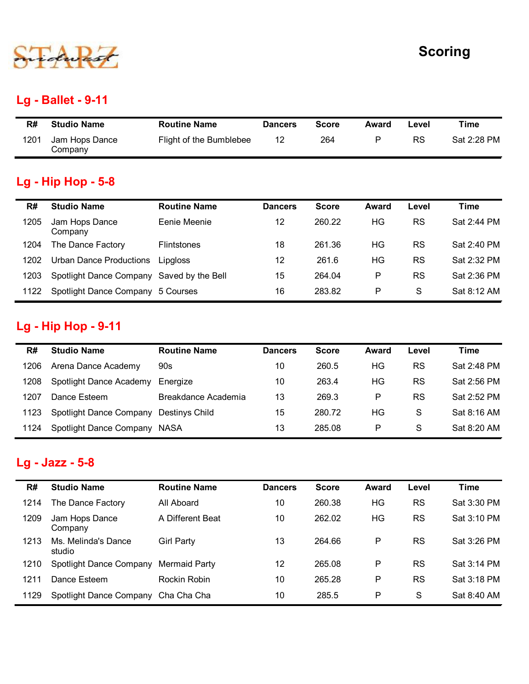

## Lg - Ballet - 9-11

|      | 500                       |                         |                |              |              |           | <b>Scoring</b> |
|------|---------------------------|-------------------------|----------------|--------------|--------------|-----------|----------------|
|      |                           |                         |                |              |              |           |                |
|      | <b>Lg - Ballet - 9-11</b> |                         |                |              |              |           |                |
| R#   | <b>Studio Name</b>        | <b>Routine Name</b>     | <b>Dancers</b> | <b>Score</b> | <b>Award</b> | Level     | <b>Time</b>    |
| 1201 | Jam Hops Dance<br>Company | Flight of the Bumblebee | 12             | 264          | ${\sf P}$    | <b>RS</b> | Sat 2:28 PM    |
|      |                           |                         |                |              |              |           |                |
|      | <b>Lg - Hip Hop - 5-8</b> |                         |                |              |              |           |                |

## Lg - Hip Hop - 5-8

|            |                                                 |                                                |                      |                     |              |                    | <b>Scoring</b>             |
|------------|-------------------------------------------------|------------------------------------------------|----------------------|---------------------|--------------|--------------------|----------------------------|
|            | <b>Lg - Ballet - 9-11</b>                       |                                                |                      |                     |              |                    |                            |
| R#<br>1201 | <b>Studio Name</b><br>Jam Hops Dance<br>Company | <b>Routine Name</b><br>Flight of the Bumblebee | <b>Dancers</b><br>12 | <b>Score</b><br>264 | Award<br>P   | Level<br><b>RS</b> | <b>Time</b><br>Sat 2:28 PM |
|            | <b>Lg - Hip Hop - 5-8</b>                       |                                                |                      |                     |              |                    |                            |
| R#         | <b>Studio Name</b>                              | <b>Routine Name</b>                            | <b>Dancers</b>       | <b>Score</b>        | <b>Award</b> | Level              | <b>Time</b>                |
| 1205       | Jam Hops Dance<br>Company                       | Eenie Meenie                                   | 12                   | 260.22              | HG           | <b>RS</b>          | Sat 2:44 PM                |
| 1204       | The Dance Factory                               | Flintstones                                    | 18                   | 261.36              | HG           | <b>RS</b>          | Sat 2:40 PM                |
| 1202       | <b>Urban Dance Productions</b>                  | Lipgloss                                       | 12                   | 261.6               | HG           | <b>RS</b>          | Sat 2:32 PM                |
| 1203       | Spotlight Dance Company Saved by the Bell       |                                                | 15                   | 264.04              | P            | <b>RS</b>          | Sat 2:36 PM                |
| 1122       | Spotlight Dance Company 5 Courses               |                                                | 16                   | 283.82              | P            | S                  | Sat 8:12 AM                |
|            | <b>Lg - Hip Hop - 9-11</b>                      |                                                |                      |                     |              |                    |                            |
| R#         | <b>Studio Name</b>                              | <b>Routine Name</b>                            | <b>Dancers</b>       | <b>Score</b>        | Award        | Level              | <b>Time</b>                |
| 1206       | Arena Dance Academy                             | 90s                                            | 10                   | 260.5               | HG           | <b>RS</b>          | Sat 2:48 PM                |
| 1208       | Spotlight Dance Academy Energize                |                                                | 10                   | 263.4               | HG           | <b>RS</b>          | Sat 2:56 PM                |
| 1207       | Dance Esteem                                    | Breakdance Academia                            | 13                   | 269.3               | P            | <b>RS</b>          | Sat 2:52 PM                |
|            | Spotlight Dance Company Destinys Child          |                                                | 15                   | 280.72              | HG           | S                  | Sat 8:16 AM                |
| 1123       |                                                 |                                                |                      |                     |              |                    |                            |

# Lg - Hip Hop - 9-11

| 1404 | UID CITY DATIC THOUGHOID EIPYIOSS         |                     | $\sim$          | 20 I.V       | .            | - טי      | UAL 2.JZ I IVI |
|------|-------------------------------------------|---------------------|-----------------|--------------|--------------|-----------|----------------|
| 1203 | Spotlight Dance Company Saved by the Bell |                     | 15              | 264.04       | $\mathsf{P}$ | <b>RS</b> | Sat 2:36 PM    |
| 1122 | Spotlight Dance Company 5 Courses         |                     | 16              | 283.82       | P            | S         | Sat 8:12 AM    |
|      |                                           |                     |                 |              |              |           |                |
|      | <b>Lg - Hip Hop - 9-11</b>                |                     |                 |              |              |           |                |
| R#   | <b>Studio Name</b>                        | <b>Routine Name</b> | <b>Dancers</b>  | <b>Score</b> | Award        | Level     | <b>Time</b>    |
| 1206 | Arena Dance Academy                       | 90s                 | 10              | 260.5        | HG           | <b>RS</b> | Sat 2:48 PM    |
| 1208 | Spotlight Dance Academy                   | Energize            | 10              | 263.4        | HG           | <b>RS</b> | Sat 2:56 PM    |
| 1207 | Dance Esteem                              | Breakdance Academia | 13              | 269.3        | $\mathsf{P}$ | <b>RS</b> | Sat 2:52 PM    |
| 1123 | Spotlight Dance Company                   | Destinys Child      | 15              | 280.72       | <b>HG</b>    | S         | Sat 8:16 AM    |
| 1124 | Spotlight Dance Company NASA              |                     | 13              | 285.08       | $\mathsf{P}$ | S         | Sat 8:20 AM    |
|      |                                           |                     |                 |              |              |           |                |
|      | Lg - Jazz - 5-8                           |                     |                 |              |              |           |                |
| R#   | <b>Studio Name</b>                        | <b>Routine Name</b> | <b>Dancers</b>  | <b>Score</b> | Award        | Level     | <b>Time</b>    |
| 1214 | The Dance Factory                         | All Aboard          | 10              | 260.38       | HG           | <b>RS</b> | Sat 3:30 PM    |
| 1209 | Jam Hops Dance<br>Company                 | A Different Beat    | 10 <sup>1</sup> | 262.02       | <b>HG</b>    | <b>RS</b> | Sat 3:10 PM    |
| 1213 | Ms. Melinda's Dance<br>studio             | <b>Girl Party</b>   | 13              | 264.66       | $\mathsf{P}$ | <b>RS</b> | Sat 3:26 PM    |
|      |                                           |                     |                 |              |              |           |                |

## Lg - Jazz - 5-8

| R#   | <b>Studio Name</b>            | <b>Routine Name</b>   | <b>Dancers</b> | <b>Score</b> | Award | Level     | <b>Time</b> |
|------|-------------------------------|-----------------------|----------------|--------------|-------|-----------|-------------|
| 1206 | Arena Dance Academy           | 90s                   | 10             | 260.5        | HG    | <b>RS</b> | Sat 2:48 PM |
| 1208 | Spotlight Dance Academy       | Energize              | 10             | 263.4        | HG    | <b>RS</b> | Sat 2:56 PM |
| 1207 | Dance Esteem                  | Breakdance Academia   | 13             | 269.3        | P     | <b>RS</b> | Sat 2:52 PM |
| 1123 | Spotlight Dance Company       | <b>Destinys Child</b> | 15             | 280.72       | HG    | S         | Sat 8:16 AM |
| 1124 | Spotlight Dance Company NASA  |                       | 13             | 285.08       | P     | S         | Sat 8:20 AM |
|      | Lg - Jazz - 5-8               |                       |                |              |       |           |             |
|      |                               |                       |                |              |       |           |             |
| R#   | <b>Studio Name</b>            | <b>Routine Name</b>   | <b>Dancers</b> | <b>Score</b> | Award | Level     | <b>Time</b> |
| 1214 | The Dance Factory             | All Aboard            | 10             | 260.38       | HG    | <b>RS</b> | Sat 3:30 PM |
| 1209 | Jam Hops Dance<br>Company     | A Different Beat      | 10             | 262.02       | HG    | <b>RS</b> | Sat 3:10 PM |
| 1213 | Ms. Melinda's Dance<br>studio | <b>Girl Party</b>     | 13             | 264.66       | P     | RS        | Sat 3:26 PM |
| 1210 | Spotlight Dance Company       | <b>Mermaid Party</b>  | 12             | 265.08       | P     | <b>RS</b> | Sat 3:14 PM |
| 1211 | Dance Esteem                  | Rockin Robin          | 10             | 265.28       | P     | <b>RS</b> | Sat 3:18 PM |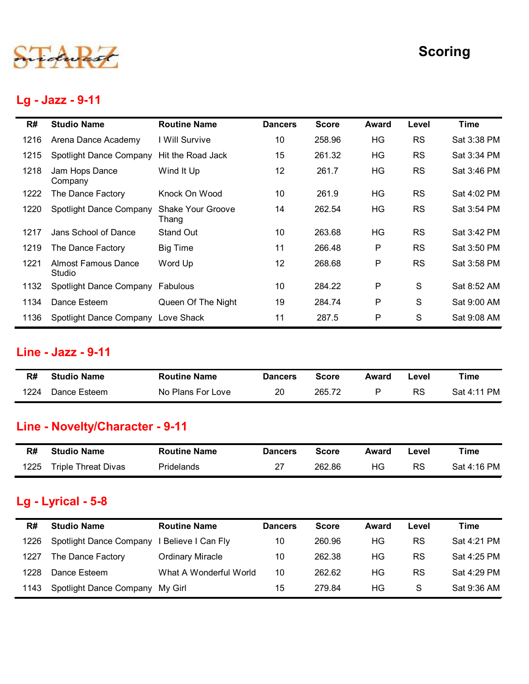

#### Lg - Jazz - 9-11

|      |                                       |                            |                |              |              |               | <b>Scoring</b> |
|------|---------------------------------------|----------------------------|----------------|--------------|--------------|---------------|----------------|
|      | Lg - Jazz - 9-11                      |                            |                |              |              |               |                |
| R#   | <b>Studio Name</b>                    | <b>Routine Name</b>        | <b>Dancers</b> | <b>Score</b> | <b>Award</b> | Level         | <b>Time</b>    |
| 1216 | Arena Dance Academy                   | I Will Survive             | 10             | 258.96       | HG           | <b>RS</b>     | Sat 3:38 PM    |
| 1215 | Spotlight Dance Company               | Hit the Road Jack          | 15             | 261.32       | HG           | <b>RS</b>     | Sat 3:34 PM    |
| 1218 | Jam Hops Dance<br>Company             | Wind It Up                 | 12             | 261.7        | HG           | <b>RS</b>     | Sat 3:46 PM    |
| 1222 | The Dance Factory                     | Knock On Wood              | 10             | 261.9        | HG           | <b>RS</b>     | Sat 4:02 PM    |
| 1220 | Spotlight Dance Company               | Shake Your Groove<br>Thang | 14             | 262.54       | HG           | <b>RS</b>     | Sat 3:54 PM    |
| 1217 | Jans School of Dance                  | Stand Out                  | 10             | 263.68       | HG           | <b>RS</b>     | Sat 3:42 PM    |
| 1219 | The Dance Factory                     | <b>Big Time</b>            | 11             | 266.48       | P            | <b>RS</b>     | Sat 3:50 PM    |
| 1221 | <b>Almost Famous Dance</b><br>Studio  | Word Up                    | 12             | 268.68       | P            | <b>RS</b>     | Sat 3:58 PM    |
|      | 1132 Spotlight Dance Company Fabulous |                            | $10$           | 284.22       | P            | S             | Sat 8:52 AM    |
| 1134 | Dance Esteem                          | Queen Of The Night         | 19             | 284.74       | P            | ${\mathsf S}$ | Sat 9:00 AM    |
| 1136 | Spotlight Dance Company Love Shack    |                            | 11             | 287.5        | P            | S             | Sat 9:08 AM    |
|      | Line - Jazz - 9-11                    |                            |                |              |              |               |                |
| R#   | <b>Studio Name</b>                    | <b>Routine Name</b>        | <b>Dancers</b> | <b>Score</b> | <b>Award</b> | Level         | <b>Time</b>    |
|      |                                       |                            |                |              |              |               |                |

#### Line - Jazz - 9-11

| R#   | <b>Studio Name</b> | <b>Routine Name</b> | <b>Dancers</b> | Score  | Award | -evel | Time        |
|------|--------------------|---------------------|----------------|--------|-------|-------|-------------|
| 1224 | Dance Esteem       | No Plans For Love   | 20             | 265.72 |       | RS    | Sat 4:11 PM |

# Line - Novelty/Character - 9-11

| R#   | <b>Studio Name</b>  | <b>Routine Name</b> | <b>Dancers</b> | Score  | Award | ∟evel | Time        |
|------|---------------------|---------------------|----------------|--------|-------|-------|-------------|
| 1225 | Triple Threat Divas | Pridelands          | າ              | 262.86 | ΗG    | RS    | Sat 4:16 PM |

#### Lg - Lyrical - 5-8

| 1134 | Dance Esteem                                    | Queen Of The Night      | 19             | 284.74       | P            | S         | Sat 9:00 AM |
|------|-------------------------------------------------|-------------------------|----------------|--------------|--------------|-----------|-------------|
| 1136 | Spotlight Dance Company Love Shack              |                         | 11             | 287.5        | P            | S         | Sat 9:08 AM |
|      | <b>Line - Jazz - 9-11</b>                       |                         |                |              |              |           |             |
| R#   | <b>Studio Name</b>                              | <b>Routine Name</b>     | <b>Dancers</b> | <b>Score</b> | <b>Award</b> | Level     | <b>Time</b> |
| 1224 | Dance Esteem                                    | No Plans For Love       | 20             | 265.72       | P            | <b>RS</b> | Sat 4:11 PM |
|      | Line - Novelty/Character - 9-11                 |                         |                |              |              |           |             |
|      |                                                 |                         |                |              |              |           |             |
| R#   | <b>Studio Name</b>                              | <b>Routine Name</b>     | <b>Dancers</b> | <b>Score</b> | Award        | Level     | <b>Time</b> |
| 1225 | <b>Triple Threat Divas</b>                      | Pridelands              | 27             | 262.86       | HG           | <b>RS</b> | Sat 4:16 PM |
| R#   | <b>Lg - Lyrical - 5-8</b><br><b>Studio Name</b> | <b>Routine Name</b>     | <b>Dancers</b> | <b>Score</b> | <b>Award</b> | Level     | <b>Time</b> |
| 1226 | Spotlight Dance Company                         | I Believe I Can Fly     | 10             | 260.96       | HG           | <b>RS</b> | Sat 4:21 PM |
| 1227 | The Dance Factory                               | <b>Ordinary Miracle</b> | 10             | 262.38       | <b>HG</b>    | <b>RS</b> | Sat 4:25 PM |
| 1228 | Dance Esteem                                    | What A Wonderful World  | 10             | 262.62       | HG           | <b>RS</b> | Sat 4:29 PM |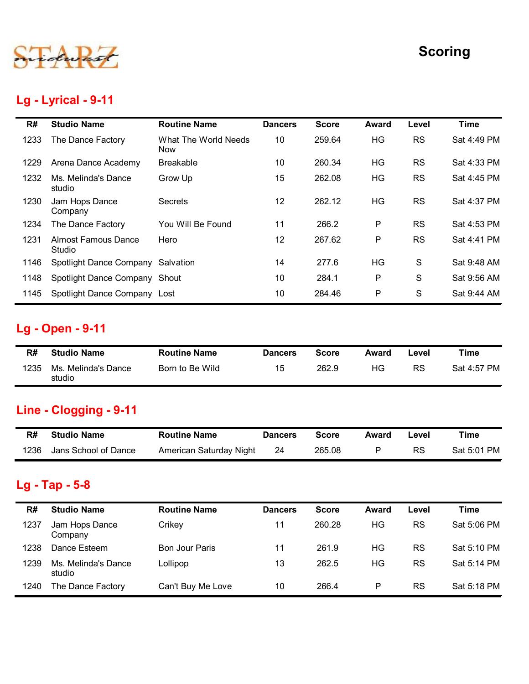

## Lg - Lyrical - 9-11

|      |                                      |                             |                |              |              |               | <b>Scoring</b> |
|------|--------------------------------------|-----------------------------|----------------|--------------|--------------|---------------|----------------|
|      | Lg - Lyrical - 9-11                  |                             |                |              |              |               |                |
| R#   | <b>Studio Name</b>                   | <b>Routine Name</b>         | <b>Dancers</b> | <b>Score</b> | <b>Award</b> | Level         | <b>Time</b>    |
| 1233 | The Dance Factory                    | What The World Needs<br>Now | 10             | 259.64       | HG           | <b>RS</b>     | Sat 4:49 PM    |
| 1229 | Arena Dance Academy                  | <b>Breakable</b>            | 10             | 260.34       | <b>HG</b>    | <b>RS</b>     | Sat 4:33 PM    |
| 1232 | Ms. Melinda's Dance<br>studio        | Grow Up                     | 15             | 262.08       | HG           | <b>RS</b>     | Sat 4:45 PM    |
| 1230 | Jam Hops Dance<br>Company            | Secrets                     | 12             | 262.12       | HG           | <b>RS</b>     | Sat 4:37 PM    |
| 1234 | The Dance Factory                    | You Will Be Found           | 11             | 266.2        | P            | <b>RS</b>     | Sat 4:53 PM    |
| 1231 | <b>Almost Famous Dance</b><br>Studio | Hero                        | 12             | 267.62       | $\mathsf P$  | <b>RS</b>     | Sat 4:41 PM    |
| 1146 | Spotlight Dance Company Salvation    |                             | 14             | 277.6        | HG           | S             | Sat 9:48 AM    |
| 1148 | Spotlight Dance Company Shout        |                             | 10             | 284.1        | P            | ${\mathsf S}$ | Sat 9:56 AM    |
| 1145 | Spotlight Dance Company Lost         |                             | 10             | 284.46       | P            | ${\mathsf S}$ | Sat 9:44 AM    |
|      | <b>Lg - Open - 9-11</b>              |                             |                |              |              |               |                |
| R#   | <b>Studio Name</b>                   | <b>Routine Name</b>         | <b>Dancers</b> | <b>Score</b> | <b>Award</b> | Level         | <b>Time</b>    |
| 1235 | Ms. Melinda's Dance<br>studio        | Born to Be Wild             | 15             | 262.9        | HG           | <b>RS</b>     | Sat 4:57 PM    |
|      | <b>Line - Clogging - 9-11</b>        |                             |                |              |              |               |                |
| R#   | <b>Studio Name</b>                   | <b>Routine Name</b>         | <b>Dancers</b> | <b>Score</b> | <b>Award</b> | Level         | <b>Time</b>    |
| 1236 | Jans School of Dance                 | American Saturday Night     | 24             | 265.08       | P            | <b>RS</b>     | Sat 5:01 PM    |

# Lg - Open - 9-11

| R#   | <b>Studio Name</b>            | <b>Routine Name</b> | <b>Dancers</b> | <b>Score</b> | Award | Level     | Time        |
|------|-------------------------------|---------------------|----------------|--------------|-------|-----------|-------------|
| 1235 | Ms. Melinda's Dance<br>studio | Born to Be Wild     | 5 ا            | 262.9        | HG    | <b>RS</b> | Sat 4:57 PM |

# Line - Clogging - 9-11

| R#   | <b>Studio Name</b>   | <b>Routine Name</b>     | <b>Dancers</b> | Score  | Award | Level     | Time        |
|------|----------------------|-------------------------|----------------|--------|-------|-----------|-------------|
| 1236 | Jans School of Dance | American Saturday Night | 24             | 265.08 |       | <b>RS</b> | Sat 5:01 PM |

# Lg - Tap - 5-8

| 1145 | Spotlight Dance Company Lost         |                         | 10             | 284.46       | $\mathsf{P}$ | S         | Sat 9:44 AM |
|------|--------------------------------------|-------------------------|----------------|--------------|--------------|-----------|-------------|
|      | Lg - Open - 9-11                     |                         |                |              |              |           |             |
| R#   | <b>Studio Name</b>                   | <b>Routine Name</b>     | <b>Dancers</b> | <b>Score</b> | Award        | Level     | <b>Time</b> |
| 1235 | Ms. Melinda's Dance<br>studio        | Born to Be Wild         | 15             | 262.9        | HG           | <b>RS</b> | Sat 4:57 PM |
|      | Line - Clogging - 9-11               |                         |                |              |              |           |             |
|      |                                      |                         |                |              |              |           |             |
| R#   | <b>Studio Name</b>                   | <b>Routine Name</b>     | <b>Dancers</b> | <b>Score</b> | <b>Award</b> | Level     | <b>Time</b> |
| 1236 | Jans School of Dance                 | American Saturday Night | 24             | 265.08       | $\mathsf{P}$ | <b>RS</b> | Sat 5:01 PM |
| R#   | Lg - Tap - 5-8<br><b>Studio Name</b> | <b>Routine Name</b>     | <b>Dancers</b> | <b>Score</b> | Award        | Level     | <b>Time</b> |
| 1237 | Jam Hops Dance<br>Company            | Crikey                  | 11             | 260.28       | HG           | <b>RS</b> | Sat 5:06 PM |
| 1238 | Dance Esteem                         | <b>Bon Jour Paris</b>   | 11             | 261.9        | <b>HG</b>    | <b>RS</b> | Sat 5:10 PM |
| 1239 | Ms. Melinda's Dance<br>studio        | Lollipop                | 13             | 262.5        | HG           | <b>RS</b> | Sat 5:14 PM |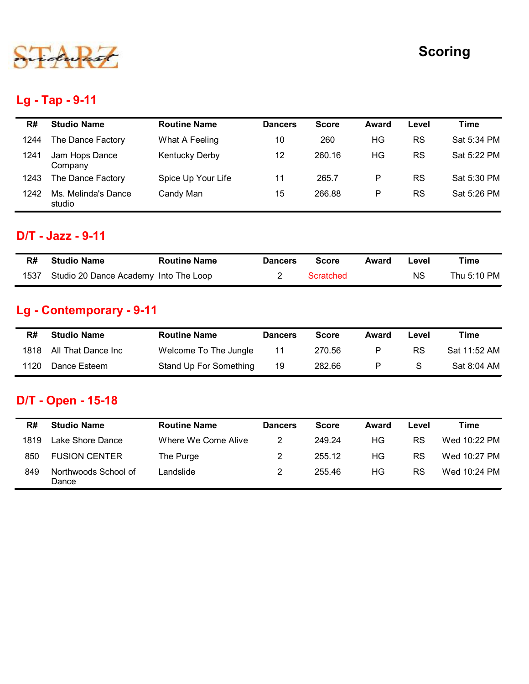

## Lg - Tap - 9-11

|                               |                                                                   |                                                              |                |              |           | <b>Scoring</b> |
|-------------------------------|-------------------------------------------------------------------|--------------------------------------------------------------|----------------|--------------|-----------|----------------|
|                               |                                                                   |                                                              |                |              |           |                |
|                               |                                                                   |                                                              |                |              |           |                |
| <b>Studio Name</b>            | <b>Routine Name</b>                                               | <b>Dancers</b>                                               | <b>Score</b>   | Award        | Level     | <b>Time</b>    |
| The Dance Factory             | What A Feeling                                                    | 10                                                           | 260            | HG           | <b>RS</b> | Sat 5:34 PM    |
| Jam Hops Dance<br>Company     | <b>Kentucky Derby</b>                                             | 12                                                           | 260.16         | HG           | <b>RS</b> | Sat 5:22 PM    |
| The Dance Factory             | Spice Up Your Life                                                | 11                                                           | 265.7          | ${\sf P}$    | <b>RS</b> | Sat 5:30 PM    |
| Ms. Melinda's Dance<br>studio | Candy Man                                                         | 15                                                           | 266.88         | $\mathsf{P}$ | <b>RS</b> | Sat 5:26 PM    |
|                               |                                                                   |                                                              |                |              |           |                |
|                               |                                                                   |                                                              |                |              |           | <b>Time</b>    |
|                               |                                                                   | $\overline{2}$                                               | Scratched      |              | <b>NS</b> | Thu 5:10 PM    |
|                               | Lg - Tap - 9-11<br><b>D/T</b> - Jazz - 9-11<br><b>Studio Name</b> | <b>Routine Name</b><br>Studio 20 Dance Academy Into The Loop | <b>Dancers</b> | <b>Score</b> | Award     | Level          |

## D/T - Jazz - 9-11

| R#   | <b>Studio Name</b>                    | <b>Routine Name</b> | <b>Dancers</b> | Score     | Award | Level | Time        |
|------|---------------------------------------|---------------------|----------------|-----------|-------|-------|-------------|
| 1537 | Studio 20 Dance Academy Into The Loop |                     |                | Scratched |       | ΝS    | Thu 5:10 PM |

## Lg - Contemporary - 9-11

| R#   | <b>Studio Name</b> | <b>Routine Name</b>    | <b>Dancers</b> | <b>Score</b> | Award | Level | Time         |
|------|--------------------|------------------------|----------------|--------------|-------|-------|--------------|
| 1818 | All That Dance Inc | Welcome To The Jungle  |                | 270.56       | P     | RS    | Sat 11:52 AM |
| 1120 | Dance Esteem       | Stand Up For Something | 19             | 282.66       | P     | S     | Sat 8:04 AM  |

## D/T - Open - 15-18

|      | <b>Studio Name</b>                    | <b>Routine Name</b>           | <b>Dancers</b> | <b>Score</b>     | <b>Award</b> | Level     | <b>Time</b>  |
|------|---------------------------------------|-------------------------------|----------------|------------------|--------------|-----------|--------------|
| 1537 | Studio 20 Dance Academy Into The Loop |                               | 2              | <b>Scratched</b> |              | <b>NS</b> | Thu 5:10 PM  |
|      | Lg - Contemporary - 9-11              |                               |                |                  |              |           |              |
| R#   | <b>Studio Name</b>                    | <b>Routine Name</b>           | <b>Dancers</b> | <b>Score</b>     | <b>Award</b> | Level     | <b>Time</b>  |
| 1818 | All That Dance Inc                    | Welcome To The Jungle         | 11             | 270.56           | P            | <b>RS</b> | Sat 11:52 AM |
| 1120 | Dance Esteem                          | <b>Stand Up For Something</b> | 19             | 282.66           | P            | S         | Sat 8:04 AM  |
|      | <b>D/T - Open - 15-18</b>             |                               |                |                  |              |           |              |
|      |                                       |                               | <b>Dancers</b> | <b>Score</b>     | <b>Award</b> | Level     | <b>Time</b>  |
| R#   | <b>Studio Name</b>                    | <b>Routine Name</b>           |                |                  |              | <b>RS</b> | Wed 10:22 PM |
| 1819 | Lake Shore Dance                      | Where We Come Alive           | $\overline{2}$ | 249.24           | HG           |           |              |
| 850  | <b>FUSION CENTER</b>                  | The Purge                     | $\overline{2}$ | 255.12           | HG           | <b>RS</b> | Wed 10:27 PM |